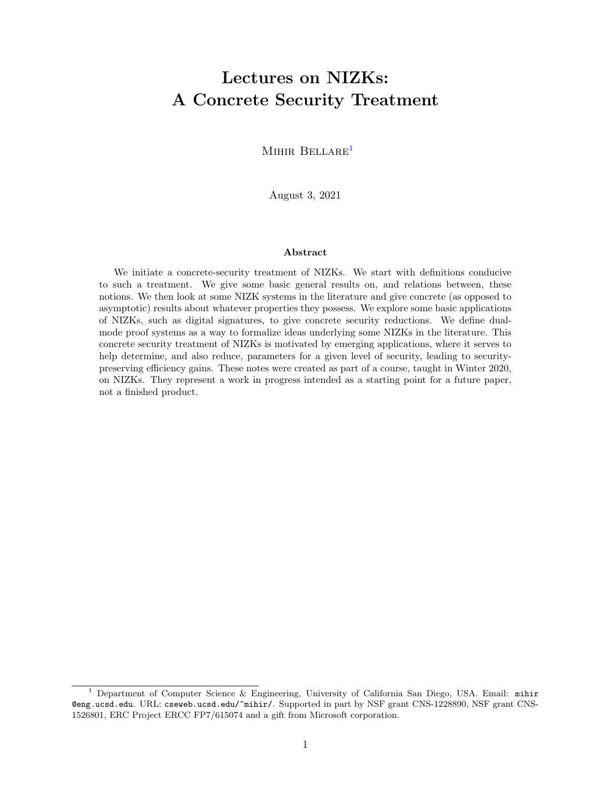# Lectures on NIZKs: A Concrete Security Treatment

MIHIR BELLARE<sup>1</sup>

August 3, 2021

#### Abstract

We initiate a concrete-security treatment of NIZKs. We start with definitions conducive to such a treatment. We give some basic general results on, and relations between, these notions. We then look at some NIZK systems in the literature and give concrete (as opposed to asymptotic) results about whatever properties they possess. We explore some basic applications of NIZKs, such as digital signatures, to give concrete security reductions. We define dualmode proof systems as a way to formalize ideas underlying some NIZKs in the literature. This concrete security treatment of NIZKs is motivated by emerging applications, where it serves to help determine, and also reduce, parameters for a given level of security, leading to securitypreserving efficiency gains. These notes were created as part of a course, taught in Winter 2020, on NIZKs. They represent a work in progress intended as a starting point for a future paper, not a finished product.

<sup>&</sup>lt;sup>1</sup> Department of Computer Science & Engineering, University of California San Diego, USA. Email: mihir @eng.ucsd.edu. URL: cseweb.ucsd.edu/~mihir/. Supported in part by NSF grant CNS-1228890, NSF grant CNS-1526801, ERC Project ERCC FP7/615074 and a gift from Microsoft corporation.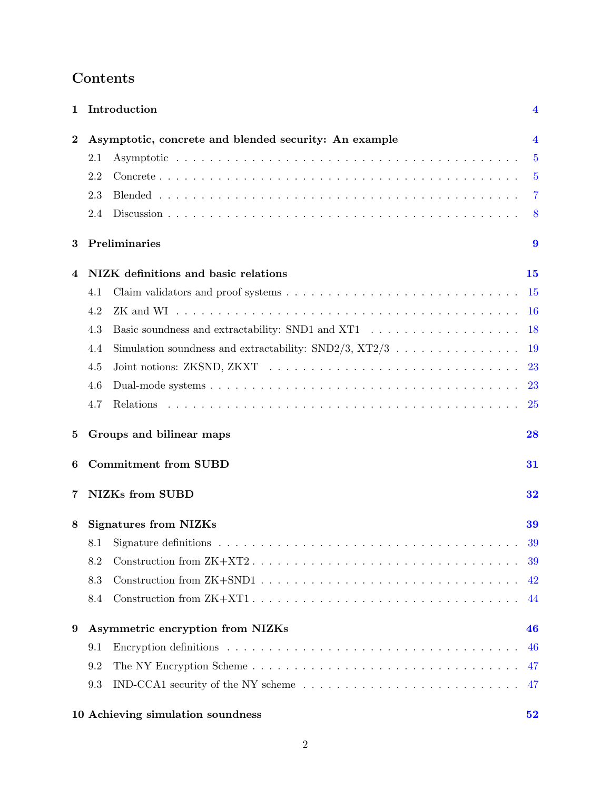| Contents |  |
|----------|--|
|----------|--|

| 1        | Introduction                                                                                                       | 4              |
|----------|--------------------------------------------------------------------------------------------------------------------|----------------|
| $\bf{2}$ | Asymptotic, concrete and blended security: An example                                                              | $\overline{4}$ |
|          | 2.1                                                                                                                | $\overline{5}$ |
|          | 2.2                                                                                                                | $\overline{5}$ |
|          | 2.3                                                                                                                | 7              |
|          | 2.4                                                                                                                | 8              |
| 3        | Preliminaries                                                                                                      | 9              |
| 4        | NIZK definitions and basic relations                                                                               | 15             |
|          | 4.1                                                                                                                | <b>15</b>      |
|          | 4.2                                                                                                                | <b>16</b>      |
|          | 4.3                                                                                                                | 18             |
|          | Simulation soundness and extractability: SND2/3, XT2/3<br>4.4                                                      | 19             |
|          | 4.5                                                                                                                | 23             |
|          | 4.6                                                                                                                | <b>23</b>      |
|          | 4.7                                                                                                                | 25             |
| 5        | Groups and bilinear maps                                                                                           | 28             |
| 6        | <b>Commitment from SUBD</b>                                                                                        | 31             |
| 7        | <b>NIZKs</b> from SUBD                                                                                             | 32             |
| 8        | <b>Signatures from NIZKs</b>                                                                                       | 39             |
|          | Signature definitions $\ldots \ldots \ldots \ldots \ldots \ldots \ldots \ldots \ldots \ldots \ldots \ldots$<br>8.1 | 39             |
|          | 8.2                                                                                                                | 39             |
|          | 8.3                                                                                                                | 42             |
|          | 8.4                                                                                                                | 44             |
| 9        | Asymmetric encryption from NIZKs                                                                                   | 46             |
|          | 9.1                                                                                                                | 46             |
|          | 9.2                                                                                                                | 47             |
|          | IND-CCA1 security of the NY scheme $\ldots \ldots \ldots \ldots \ldots \ldots \ldots \ldots \ldots$<br>9.3         | 47             |

| 10 Achieving simulation soundness |  |
|-----------------------------------|--|
|-----------------------------------|--|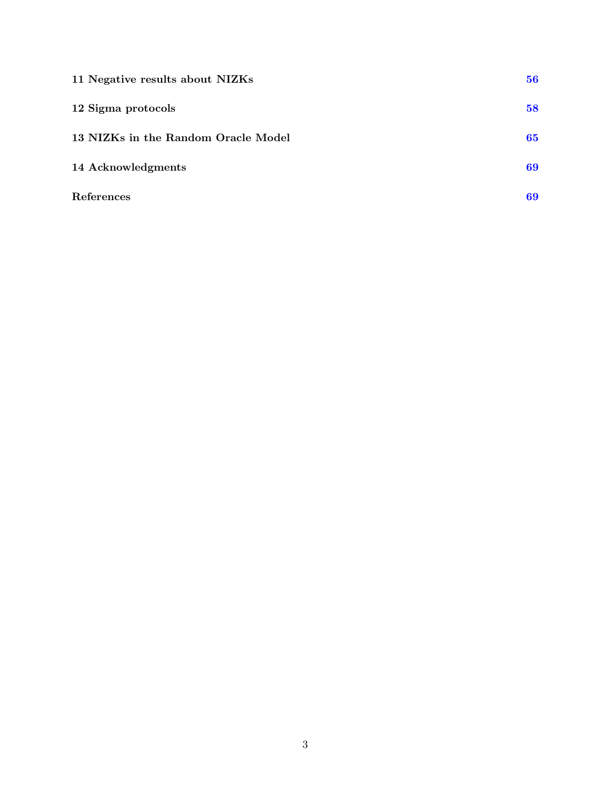| 11 Negative results about NIZKs     | 56 |
|-------------------------------------|----|
| 12 Sigma protocols                  | 58 |
| 13 NIZKs in the Random Oracle Model | 65 |
| 14 Acknowledgments                  | 69 |
| References                          | 69 |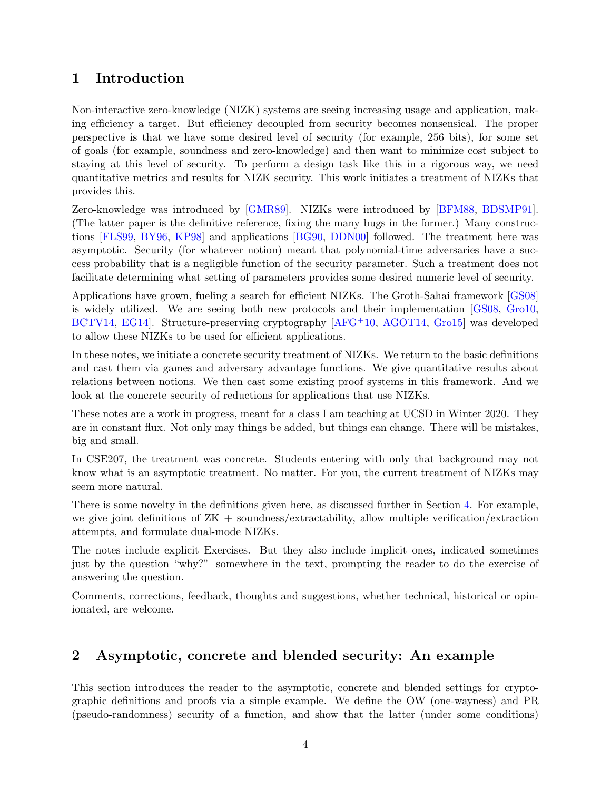# <span id="page-3-2"></span><span id="page-3-0"></span>1 Introduction

Non-interactive zero-knowledge (NIZK) systems are seeing increasing usage and application, making efficiency a target. But efficiency decoupled from security becomes nonsensical. The proper perspective is that we have some desired level of security (for example, 256 bits), for some set of goals (for example, soundness and zero-knowledge) and then want to minimize cost subject to staying at this level of security. To perform a design task like this in a rigorous way, we need quantitative metrics and results for NIZK security. This work initiates a treatment of NIZKs that provides this.

Zero-knowledge was introduced by [\[GMR89\]](#page-70-0). NIZKs were introduced by [\[BFM88,](#page-68-1) [BDSMP91\]](#page-68-2). (The latter paper is the definitive reference, fixing the many bugs in the former.) Many constructions [\[FLS99,](#page-69-0) [BY96,](#page-69-1) [KP98\]](#page-70-1) and applications [\[BG90,](#page-68-3) [DDN00\]](#page-69-2) followed. The treatment here was asymptotic. Security (for whatever notion) meant that polynomial-time adversaries have a success probability that is a negligible function of the security parameter. Such a treatment does not facilitate determining what setting of parameters provides some desired numeric level of security.

Applications have grown, fueling a search for efficient NIZKs. The Groth-Sahai framework [\[GS08\]](#page-70-2) is widely utilized. We are seeing both new protocols and their implementation [\[GS08,](#page-70-2) [Gro10,](#page-70-3) [BCTV14,](#page-68-4) [EG14\]](#page-69-3). Structure-preserving cryptography [\[AFG](#page-68-5)+10, [AGOT14,](#page-68-6) [Gro15\]](#page-70-4) was developed to allow these NIZKs to be used for efficient applications.

In these notes, we initiate a concrete security treatment of NIZKs. We return to the basic definitions and cast them via games and adversary advantage functions. We give quantitative results about relations between notions. We then cast some existing proof systems in this framework. And we look at the concrete security of reductions for applications that use NIZKs.

These notes are a work in progress, meant for a class I am teaching at UCSD in Winter 2020. They are in constant flux. Not only may things be added, but things can change. There will be mistakes, big and small.

In CSE207, the treatment was concrete. Students entering with only that background may not know what is an asymptotic treatment. No matter. For you, the current treatment of NIZKs may seem more natural.

There is some novelty in the definitions given here, as discussed further in Section [4.](#page-14-0) For example, we give joint definitions of ZK + soundness/extractability, allow multiple verification/extraction attempts, and formulate dual-mode NIZKs.

The notes include explicit Exercises. But they also include implicit ones, indicated sometimes just by the question "why?" somewhere in the text, prompting the reader to do the exercise of answering the question.

Comments, corrections, feedback, thoughts and suggestions, whether technical, historical or opinionated, are welcome.

# <span id="page-3-1"></span>2 Asymptotic, concrete and blended security: An example

This section introduces the reader to the asymptotic, concrete and blended settings for cryptographic definitions and proofs via a simple example. We define the OW (one-wayness) and PR (pseudo-randomness) security of a function, and show that the latter (under some conditions)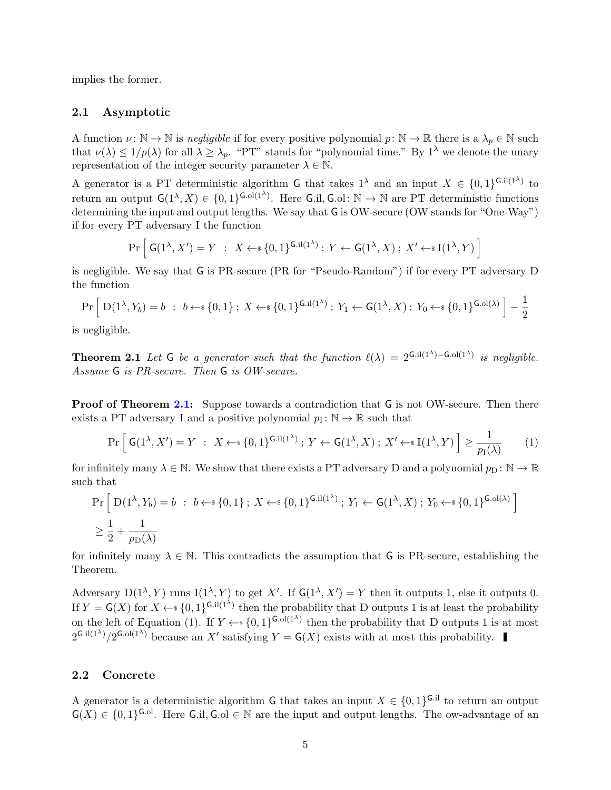implies the former.

#### <span id="page-4-0"></span>2.1 Asymptotic

A function  $\nu: \mathbb{N} \to \mathbb{N}$  is negligible if for every positive polynomial  $p: \mathbb{N} \to \mathbb{R}$  there is a  $\lambda_p \in \mathbb{N}$  such that  $\nu(\lambda) \leq 1/p(\lambda)$  for all  $\lambda \geq \lambda_p$ . "PT" stands for "polynomial time." By  $1^{\lambda}$  we denote the unary representation of the integer security parameter  $\lambda \in \mathbb{N}$ .

A generator is a PT deterministic algorithm G that takes  $1^{\lambda}$  and an input  $X \in \{0,1\}^{\mathsf{G},\text{il}(1^{\lambda})}$  to return an output  $\mathsf{G}(1^{\lambda}, X) \in \{0, 1\}^{\mathsf{G}.\mathsf{ol}(1^{\lambda})}$ . Here  $\mathsf{G}.i$ ,  $\mathsf{G}.i$ ,  $\mathbb{N} \to \mathbb{N}$  are PT deterministic functions determining the input and output lengths. We say that G is OW-secure (OW stands for "One-Way") if for every PT adversary I the function

$$
\Pr\left[\,\mathsf{G}(1^{\lambda}, X') = Y \;:\; X \leftarrow \{0, 1\}^{\mathsf{G}.\mathbf{i} \mathbf{l}(1^{\lambda})}\,;\; Y \leftarrow \mathsf{G}(1^{\lambda}, X)\,;\; X' \leftarrow \{1^{\lambda}, Y\}\right]
$$

is negligible. We say that G is PR-secure (PR for "Pseudo-Random") if for every PT adversary D the function

$$
\Pr\left[\ D(1^{\lambda}, Y_b) = b \ : \ b \leftarrow \{0, 1\} \ : \ X \leftarrow \{0, 1\}^{G \cdot \text{il}(1^{\lambda})} \ : \ Y_1 \leftarrow G(1^{\lambda}, X) \ ; \ Y_0 \leftarrow \{0, 1\}^{G \cdot \text{ol}(\lambda)} \right] - \frac{1}{2}
$$

<span id="page-4-2"></span>is negligible.

**Theorem 2.1** Let G be a generator such that the function  $\ell(\lambda) = 2^{G.I(1^{\lambda}) - G.O(1^{\lambda})}$  is negligible. Assume G is PR-secure. Then G is OW-secure.

**Proof of Theorem [2.1:](#page-4-2)** Suppose towards a contradiction that G is not OW-secure. Then there exists a PT adversary I and a positive polynomial  $p_1: \mathbb{N} \to \mathbb{R}$  such that

<span id="page-4-3"></span>
$$
\Pr\left[\ G(1^{\lambda}, X') = Y \ : \ X \leftarrow \S \{0, 1\}^{\mathsf{G}.\mathbf{i} \mathbf{l}(1^{\lambda})}; \ Y \leftarrow \mathsf{G}(1^{\lambda}, X); \ X' \leftarrow \S \mathbf{l}(1^{\lambda}, Y) \right] \ge \frac{1}{p_{\mathbf{l}}(\lambda)} \tag{1}
$$

for infinitely many  $\lambda \in \mathbb{N}$ . We show that there exists a PT adversary D and a polynomial  $p_{\text{D}}: \mathbb{N} \to \mathbb{R}$ such that

$$
\Pr\left[D(1^{\lambda}, Y_b) = b : b \leftarrow s \{0, 1\} ; X \leftarrow s \{0, 1\}^{\mathsf{G} \cdot \text{il}(1^{\lambda})} ; Y_1 \leftarrow \mathsf{G}(1^{\lambda}, X) ; Y_0 \leftarrow s \{0, 1\}^{\mathsf{G} \cdot \text{ol}(\lambda)}\right]
$$
\n
$$
\geq \frac{1}{2} + \frac{1}{p_{\mathsf{D}}(\lambda)}
$$

for infinitely many  $\lambda \in \mathbb{N}$ . This contradicts the assumption that G is PR-secure, establishing the Theorem.

Adversary  $D(1^{\lambda}, Y)$  runs  $I(1^{\lambda}, Y)$  to get X'. If  $G(1^{\lambda}, X') = Y$  then it outputs 1, else it outputs 0. If  $Y = G(X)$  for  $X \leftarrow \{0,1\}^{G.i(1^{\lambda})}$  then the probability that D outputs 1 is at least the probability on the left of Equation [\(1\)](#page-4-3). If  $Y \leftarrow \{0,1\}^{G \cdot ol(1^{\lambda})}$  then the probability that D outputs 1 is at most  $2^{\text{G.i}(1^{\lambda})}/2^{\text{G.o}(1^{\lambda})}$  because an X' satisfying  $Y = \text{G}(X)$  exists with at most this probability.

### <span id="page-4-1"></span>2.2 Concrete

A generator is a deterministic algorithm G that takes an input  $X \in \{0,1\}^{\mathsf{G},\mathrm{il}}$  to return an output  $\mathsf{G}(X) \in \{0,1\}^{\mathsf{G}.\text{ol}}$ . Here  $\mathsf{G}.\text{il}, \mathsf{G}.\text{ol} \in \mathbb{N}$  are the input and output lengths. The ow-advantage of an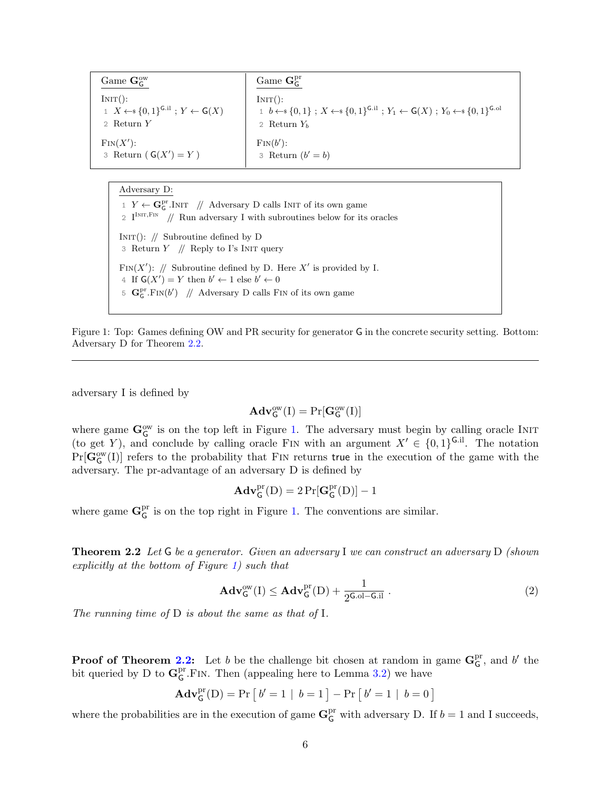<span id="page-5-1"></span>

| Game $\mathbf{G}_{\mathsf{G}}^{\text{ow}}$                              | Game $\mathbf{G}_{\mathsf{C}}^{\mathrm{pr}}$                                                                            |
|-------------------------------------------------------------------------|-------------------------------------------------------------------------------------------------------------------------|
| INT():                                                                  | INT():                                                                                                                  |
| 1 $X \leftarrow \{0,1\}^{\mathsf{G}.i1}$ ; $Y \leftarrow \mathsf{G}(X)$ | 1 $b \leftarrow s \{0,1\}$ ; $X \leftarrow s \{0,1\}^{G.i}$ ; $Y_1 \leftarrow G(X)$ ; $Y_0 \leftarrow s \{0,1\}^{G.o1}$ |
| 2 Return $Y$                                                            | 2 Return $Y_b$                                                                                                          |
| $\text{Fin}(X')$ :                                                      | $\text{Fin}(b')$ :                                                                                                      |
| 3 Return $(\mathsf{G}(X') = Y)$                                         | 3 Return $(b' = b)$                                                                                                     |

Adversary D: 1  $Y \leftarrow \mathbf{G}_{\mathsf{G}}^{\mathrm{pr}}.\text{INIT}$  // Adversary D calls INIT of its own game 2  $I^{INT, Fin}$  // Run adversary I with subroutines below for its oracles INIT():  $\text{/}$ / Subroutine defined by D 3 Return  $Y$  // Reply to I's INIT query FIN(X'): // Subroutine defined by D. Here X' is provided by I. 4 If  $G(X') = Y$  then  $b' \leftarrow 1$  else  $b' \leftarrow 0$ 5  $\mathbf{G}_{\mathsf{G}}^{\mathrm{pr}}.\mathrm{Fin}(b')$  // Adversary D calls FIN of its own game

Figure 1: Top: Games defining OW and PR security for generator G in the concrete security setting. Bottom: Adversary D for Theorem [2.2.](#page-5-0)

adversary I is defined by

$$
\mathbf{Adv}^{\mathrm{ow}}_{\mathsf{G}}(\mathrm{I}) = \Pr[\mathbf{G}^{\mathrm{ow}}_{\mathsf{G}}(\mathrm{I})]
$$

where game  $\mathbf{G}_{\mathsf{G}}^{\text{ow}}$  is on the top left in Figure [1.](#page-5-1) The adversary must begin by calling oracle INIT (to get Y), and conclude by calling oracle FIN with an argument  $X' \in \{0, 1\}^{\mathsf{G}.i}$ . The notation  $Pr[\mathbf{G}_{\mathsf{G}}^{\mathrm{ow}}(I)]$  refers to the probability that FIN returns true in the execution of the game with the adversary. The pr-advantage of an adversary D is defined by

$$
\mathbf{Adv}^{pr}_\mathsf{G}(D) = 2\Pr[\mathbf{G}^{pr}_\mathsf{G}(D)] - 1
$$

<span id="page-5-0"></span>where game  $G_G^{\text{pr}}$  $_G^{\text{pr}}$  is on the top right in Figure [1.](#page-5-1) The conventions are similar.

**Theorem 2.2** Let G be a generator. Given an adversary I we can construct an adversary D (shown explicitly at the bottom of Figure [1\)](#page-5-1) such that

$$
\mathbf{Adv}_{\mathsf{G}}^{\text{ow}}(I) \le \mathbf{Adv}_{\mathsf{G}}^{\text{pr}}(D) + \frac{1}{2^{\mathsf{G.oI} - \mathsf{G.}il}}.
$$
 (2)

The running time of D is about the same as that of I.

**Proof of Theorem [2.2:](#page-5-0)** Let b be the challenge bit chosen at random in game  $G_G^{\text{pr}}$  $_{\mathsf{G}}^{\mathrm{pr}},$  and  $b'$  the bit queried by D to  $\mathbf{G}_{\mathsf{C}}^{\text{pr}}$  $G^{\text{pr}}$ .FIN. Then (appealing here to Lemma [3.2\)](#page-10-0) we have

$$
Adv_G^{pr}(D) = Pr [b' = 1 | b = 1] - Pr [b' = 1 | b = 0]
$$

where the probabilities are in the execution of game  $\mathbf{G}_{\mathsf{G}}^{\text{pr}}$  with adversary D. If  $b = 1$  and I succeeds,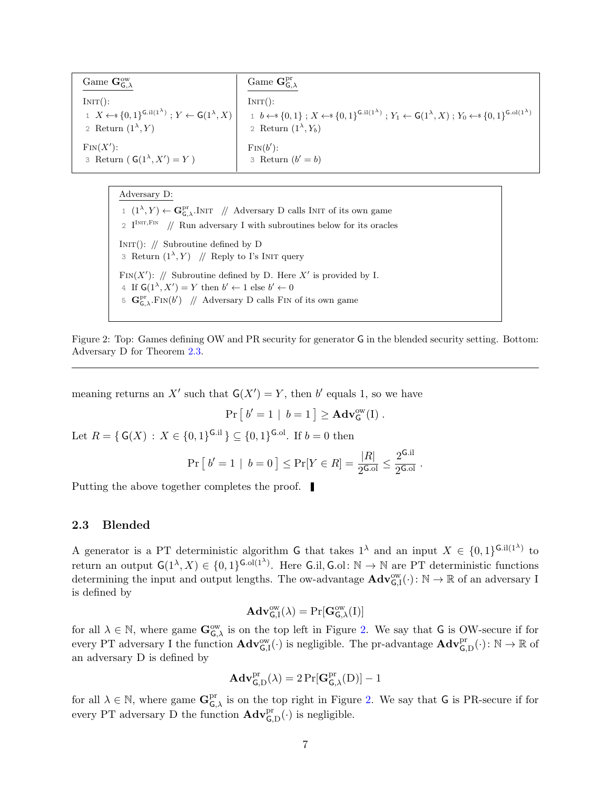<span id="page-6-2"></span>

| Game $\mathbf{G}_{\mathsf{G}.\lambda}^{\mathsf{ow}}$        | Game $\mathbf{G}_{\mathsf{C}}^{\mathrm{pr}}$                                                                                                                                                                                                                                                                                                                                                   |
|-------------------------------------------------------------|------------------------------------------------------------------------------------------------------------------------------------------------------------------------------------------------------------------------------------------------------------------------------------------------------------------------------------------------------------------------------------------------|
| $INT()$ :<br>2 Return $(1^{\lambda}, Y)$                    | INT():<br>1 $X \leftarrow \{0,1\}^{\mathsf{G},i ^{(1^{\lambda})}}$ ; $Y \leftarrow \mathsf{G}(1^{\lambda},X)$ $\left[\begin{array}{cc} 1 & b \leftarrow \{0,1\} \\ 0 & 1 \end{array}\right]$ ; $X \leftarrow \{0,1\}^{\mathsf{G},i ^{(1^{\lambda})}}$ ; $Y_1 \leftarrow \mathsf{G}(1^{\lambda},X)$ ; $Y_0 \leftarrow \{0,1\}^{\mathsf{G},i ^{(1^{\lambda})}}$<br>2 Return $(1^{\lambda}, Y_b)$ |
| $\text{Fin}(X')$ :<br>3 Return ( $G(1^{\lambda}, X') = Y$ ) | $\text{Fin}(b')$ :<br>3 Return $(b' = b)$                                                                                                                                                                                                                                                                                                                                                      |

Adversary D:

1  $(1^{\lambda}, Y) \leftarrow \mathbf{G}_{\mathsf{G}, \lambda}^{\text{pr}}$ . INIT // Adversary D calls INIT of its own game 2  $I^{INT, Fin}$  // Run adversary I with subroutines below for its oracles INIT():  $//$  Subroutine defined by D 3 Return  $(1^{\lambda}, Y)$  // Reply to I's INIT query FIN(X'): // Subroutine defined by D. Here X' is provided by I. 4 If  $\mathsf{G}(1^{\lambda}, X') = Y$  then  $b' \leftarrow 1$  else  $b' \leftarrow 0$ 5  $\mathbf{G}_{\mathsf{G},\lambda}^{\text{pr}}$ . FIN $(b')$  // Adversary D calls FIN of its own game

Figure 2: Top: Games defining OW and PR security for generator G in the blended security setting. Bottom: Adversary D for Theorem [2.3.](#page-6-1)

meaning returns an X' such that  $G(X') = Y$ , then b' equals 1, so we have

$$
\Pr [ b' = 1 | b = 1 ] \geq \mathbf{Adv}_{\mathsf{G}}^{\mathsf{ow}}(I) .
$$

Let  $R = \{ G(X) : X \in \{0,1\}^{G.i} \} \subseteq \{0,1\}^{G.ol}$ . If  $b = 0$  then

$$
\Pr [ b' = 1 | b = 0 ] \le \Pr [ Y \in R ] = \frac{|R|}{2^{\text{G}} \cdot 0!} \le \frac{2^{\text{G}} \cdot 1!}{2^{\text{G}} \cdot 0!}.
$$

Putting the above together completes the proof.

#### <span id="page-6-0"></span>2.3 Blended

A generator is a PT deterministic algorithm G that takes  $1^{\lambda}$  and an input  $X \in \{0,1\}^{\mathsf{G},\text{il}(1^{\lambda})}$  to return an output  $\mathsf{G}(1^{\lambda}, X) \in \{0,1\}^{\mathsf{G}.ol(1^{\lambda})}$ . Here  $\mathsf{G}.il, \mathsf{G}.ol: \mathbb{N} \to \mathbb{N}$  are PT deterministic functions determining the input and output lengths. The ow-advantage  $\mathbf{Adv}_{G,I}^{\text{ow}}(\cdot): \mathbb{N} \to \mathbb{R}$  of an adversary I is defined by

$$
\mathbf{Adv}_{\mathsf{G},I}^{\mathrm{ow}}(\lambda)=\Pr[\mathbf{G}_{\mathsf{G},\lambda}^{\mathrm{ow}}(I)]
$$

for all  $\lambda \in \mathbb{N}$ , where game  $\mathbf{G}_{\mathsf{G},\lambda}^{\infty}$  is on the top left in Figure [2.](#page-6-2) We say that G is OW-secure if for every PT adversary I the function  $\mathbf{Adv}_{G,I}^{\text{ow}}(\cdot)$  is negligible. The pr-advantage  $\mathbf{Adv}_{G,D}^{\text{pr}}(\cdot): \mathbb{N} \to \mathbb{R}$  of an adversary D is defined by

$$
\mathbf{Adv}^{pr}_{\mathsf{G},D}(\lambda) = 2\Pr[\mathbf{G}^{pr}_{\mathsf{G},\lambda}(D)] - 1
$$

<span id="page-6-1"></span>for all  $\lambda \in \mathbb{N}$ , where game  $\mathbf{G}_{\mathsf{G},\lambda}^{\mathrm{pr}}$  is on the top right in Figure [2.](#page-6-2) We say that G is PR-secure if for every PT adversary D the function  $\mathbf{Adv}_{\mathsf{G},\mathsf{D}}^{\text{pr}}(\cdot)$  is negligible.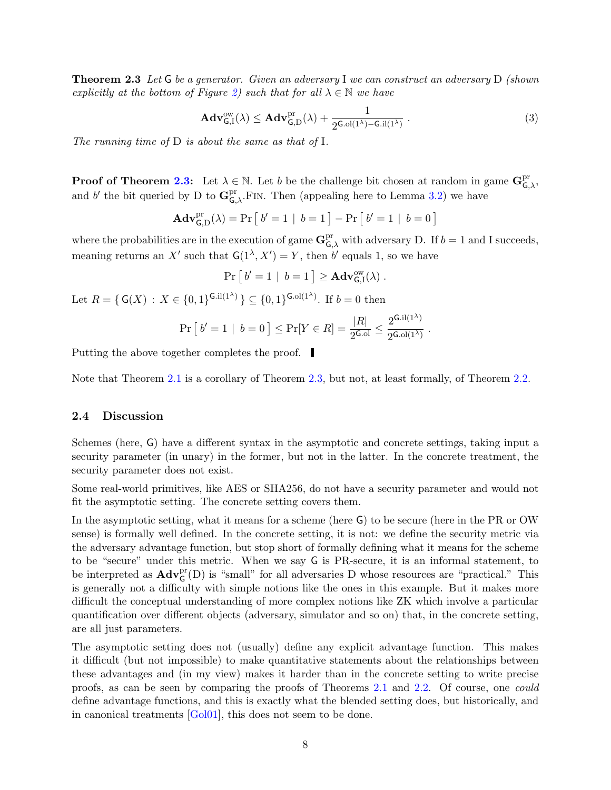<span id="page-7-1"></span>**Theorem 2.3** Let G be a generator. Given an adversary I we can construct an adversary D (shown explicitly at the bottom of Figure [2\)](#page-6-2) such that for all  $\lambda \in \mathbb{N}$  we have

$$
\mathbf{Adv}_{\mathsf{G},\mathbf{I}}^{\text{ow}}(\lambda) \le \mathbf{Adv}_{\mathsf{G},\mathbf{D}}^{\text{pr}}(\lambda) + \frac{1}{2^{\mathsf{G}.\text{ol}(1^{\lambda})-\mathsf{G}.\text{il}(1^{\lambda})}}.
$$
(3)

The running time of  $D$  is about the same as that of  $I$ .

**Proof of Theorem [2.3:](#page-6-1)** Let  $\lambda \in \mathbb{N}$ . Let b be the challenge bit chosen at random in game  $\mathbf{G}_{\mathsf{G},\lambda}^{\text{pr}}$ , and b' the bit queried by D to  $\mathbf{G}_{\mathsf{G},\lambda}^{\mathrm{pr}}$ . FIN. Then (appealing here to Lemma [3.2\)](#page-10-0) we have

$$
\mathbf{Adv}_{\mathsf{G},\mathrm{D}}^{\mathrm{pr}}(\lambda) = \Pr\left[\ b'=1 \ | \ b=1 \right] - \Pr\left[\ b'=1 \ | \ b=0 \right]
$$

where the probabilities are in the execution of game  $\mathbf{G}_{\mathsf{G},\lambda}^{\mathrm{pr}}$  with adversary D. If  $b=1$  and I succeeds, meaning returns an X' such that  $G(1^{\lambda}, X') = Y$ , then b' equals 1, so we have

$$
\Pr [b' = 1 | b = 1] \geq \mathbf{Adv}_{G,I}^{ow}(\lambda) .
$$

Let  $R = \{ G(X) : X \in \{0,1\}^{G.i(1^{\lambda})} \} \subseteq \{0,1\}^{G.o(1^{\lambda})}$ . If  $b = 0$  then

$$
\Pr [ b' = 1 | b = 0 ] \le \Pr [ Y \in R ] = \frac{|R|}{2^{\text{G}} \cdot \text{G}} \le \frac{2^{\text{G}} \cdot \text{H}(1^{\lambda})}{2^{\text{G}} \cdot \text{H}(1^{\lambda})} .
$$

Putting the above together completes the proof.

Note that Theorem [2.1](#page-4-2) is a corollary of Theorem [2.3,](#page-6-1) but not, at least formally, of Theorem [2.2.](#page-5-0)

#### <span id="page-7-0"></span>2.4 Discussion

Schemes (here, G) have a different syntax in the asymptotic and concrete settings, taking input a security parameter (in unary) in the former, but not in the latter. In the concrete treatment, the security parameter does not exist.

Some real-world primitives, like AES or SHA256, do not have a security parameter and would not fit the asymptotic setting. The concrete setting covers them.

In the asymptotic setting, what it means for a scheme (here G) to be secure (here in the PR or OW sense) is formally well defined. In the concrete setting, it is not: we define the security metric via the adversary advantage function, but stop short of formally defining what it means for the scheme to be "secure" under this metric. When we say G is PR-secure, it is an informal statement, to be interpreted as  $\mathbf{Adv}_{\mathsf{G}}^{\text{pr}}(\mathsf{D})$  is "small" for all adversaries D whose resources are "practical." This is generally not a difficulty with simple notions like the ones in this example. But it makes more difficult the conceptual understanding of more complex notions like ZK which involve a particular quantification over different objects (adversary, simulator and so on) that, in the concrete setting, are all just parameters.

The asymptotic setting does not (usually) define any explicit advantage function. This makes it difficult (but not impossible) to make quantitative statements about the relationships between these advantages and (in my view) makes it harder than in the concrete setting to write precise proofs, as can be seen by comparing the proofs of Theorems [2.1](#page-4-2) and [2.2.](#page-5-0) Of course, one could define advantage functions, and this is exactly what the blended setting does, but historically, and in canonical treatments [\[Gol01\]](#page-70-5), this does not seem to be done.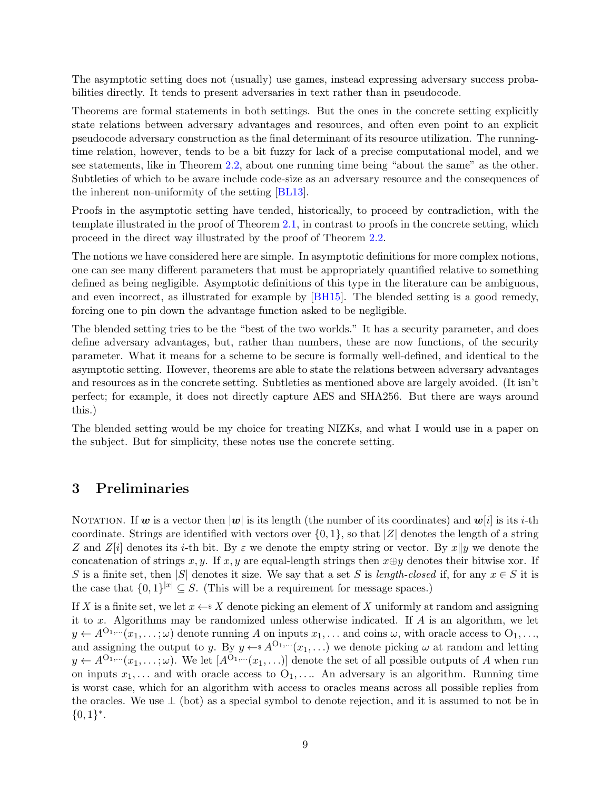<span id="page-8-1"></span>The asymptotic setting does not (usually) use games, instead expressing adversary success probabilities directly. It tends to present adversaries in text rather than in pseudocode.

Theorems are formal statements in both settings. But the ones in the concrete setting explicitly state relations between adversary advantages and resources, and often even point to an explicit pseudocode adversary construction as the final determinant of its resource utilization. The runningtime relation, however, tends to be a bit fuzzy for lack of a precise computational model, and we see statements, like in Theorem [2.2,](#page-5-0) about one running time being "about the same" as the other. Subtleties of which to be aware include code-size as an adversary resource and the consequences of the inherent non-uniformity of the setting [\[BL13\]](#page-69-4).

Proofs in the asymptotic setting have tended, historically, to proceed by contradiction, with the template illustrated in the proof of Theorem [2.1,](#page-4-2) in contrast to proofs in the concrete setting, which proceed in the direct way illustrated by the proof of Theorem [2.2.](#page-5-0)

The notions we have considered here are simple. In asymptotic definitions for more complex notions, one can see many different parameters that must be appropriately quantified relative to something defined as being negligible. Asymptotic definitions of this type in the literature can be ambiguous, and even incorrect, as illustrated for example by [\[BH15\]](#page-69-5). The blended setting is a good remedy, forcing one to pin down the advantage function asked to be negligible.

The blended setting tries to be the "best of the two worlds." It has a security parameter, and does define adversary advantages, but, rather than numbers, these are now functions, of the security parameter. What it means for a scheme to be secure is formally well-defined, and identical to the asymptotic setting. However, theorems are able to state the relations between adversary advantages and resources as in the concrete setting. Subtleties as mentioned above are largely avoided. (It isn't perfect; for example, it does not directly capture AES and SHA256. But there are ways around this.)

The blended setting would be my choice for treating NIZKs, and what I would use in a paper on the subject. But for simplicity, these notes use the concrete setting.

### <span id="page-8-0"></span>3 Preliminaries

NOTATION. If w is a vector then  $|w|$  is its length (the number of its coordinates) and  $w[i]$  is its *i*-th coordinate. Strings are identified with vectors over  $\{0, 1\}$ , so that  $|Z|$  denotes the length of a string Z and Z[i] denotes its i-th bit. By  $\varepsilon$  we denote the empty string or vector. By x||y we denote the concatenation of strings x, y. If x, y are equal-length strings then  $x \oplus y$  denotes their bitwise xor. If S is a finite set, then |S| denotes it size. We say that a set S is length-closed if, for any  $x \in S$  it is the case that  $\{0,1\}^{|x|} \subseteq S$ . (This will be a requirement for message spaces.)

If X is a finite set, we let  $x \leftarrow s X$  denote picking an element of X uniformly at random and assigning it to x. Algorithms may be randomized unless otherwise indicated. If A is an algorithm, we let  $y \leftarrow A^{O_1,\dots}(x_1,\dots;\omega)$  denote running A on inputs  $x_1,\dots$  and coins  $\omega$ , with oracle access to  $O_1,\dots$ , and assigning the output to y. By  $y \leftarrow s A^{O_1,\dots}(x_1,\dots)$  we denote picking  $\omega$  at random and letting  $y \leftarrow A^{O_1,\dots}(x_1,\dots;\omega)$ . We let  $[A^{O_1,\dots}(x_1,\dots)]$  denote the set of all possible outputs of A when run on inputs  $x_1, \ldots$  and with oracle access to  $O_1, \ldots$  An adversary is an algorithm. Running time is worst case, which for an algorithm with access to oracles means across all possible replies from the oracles. We use  $\perp$  (bot) as a special symbol to denote rejection, and it is assumed to not be in  ${0,1}^*$ .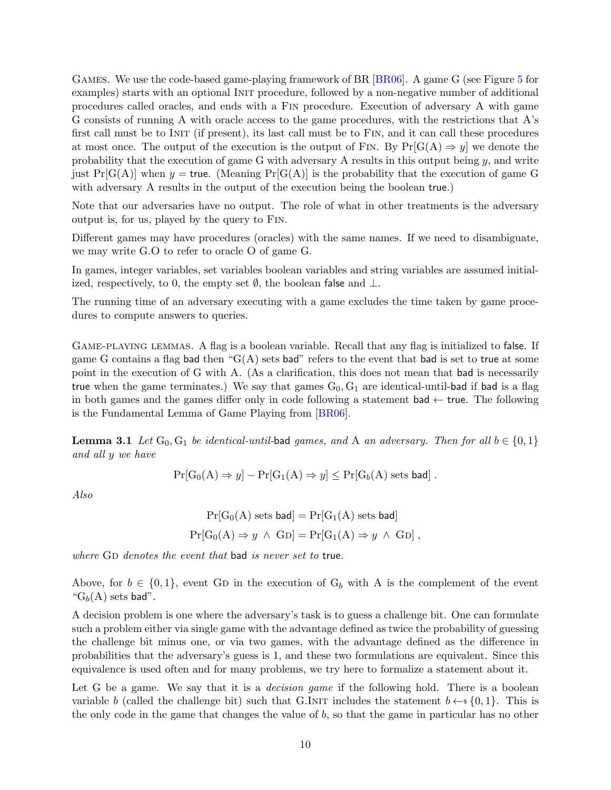<span id="page-9-1"></span>Games. We use the code-based game-playing framework of BR [\[BR06\]](#page-69-6). A game G (see Figure [5](#page-16-0) for examples) starts with an optional INIT procedure, followed by a non-negative number of additional procedures called oracles, and ends with a Fin procedure. Execution of adversary A with game G consists of running A with oracle access to the game procedures, with the restrictions that A's first call must be to INIT (if present), its last call must be to FIN, and it can call these procedures at most once. The output of the execution is the output of FIN. By  $Pr[G(A) \Rightarrow y]$  we denote the probability that the execution of game G with adversary A results in this output being y, and write just  $Pr[G(A)]$  when  $y =$  true. (Meaning  $Pr[G(A)]$  is the probability that the execution of game G with adversary A results in the output of the execution being the boolean true.)

Note that our adversaries have no output. The role of what in other treatments is the adversary output is, for us, played by the query to Fin.

Different games may have procedures (oracles) with the same names. If we need to disambiguate, we may write G.O to refer to oracle O of game G.

In games, integer variables, set variables boolean variables and string variables are assumed initialized, respectively, to 0, the empty set  $\emptyset$ , the boolean false and  $\bot$ .

The running time of an adversary executing with a game excludes the time taken by game procedures to compute answers to queries.

Game-playing lemmas. A flag is a boolean variable. Recall that any flag is initialized to false. If game G contains a flag bad then " $G(A)$  sets bad" refers to the event that bad is set to true at some point in the execution of G with A. (As a clarification, this does not mean that bad is necessarily true when the game terminates.) We say that games  $G_0, G_1$  are identical-until-bad if bad is a flag in both games and the games differ only in code following a statement bad  $\leftarrow$  true. The following is the Fundamental Lemma of Game Playing from [\[BR06\]](#page-69-6).

<span id="page-9-0"></span>**Lemma 3.1** Let  $G_0, G_1$  be identical-until-bad games, and A an adversary. Then for all  $b \in \{0, 1\}$ and all y we have

$$
Pr[G_0(A) \Rightarrow y] - Pr[G_1(A) \Rightarrow y] \leq Pr[G_b(A) \text{ sets bad}].
$$

Also

$$
Pr[G_0(A) \text{ sets bad}] = Pr[G_1(A) \text{ sets bad}]
$$
  

$$
Pr[G_0(A) \Rightarrow y \land GD] = Pr[G_1(A) \Rightarrow y \land GD],
$$

where  $GD$  denotes the event that bad is never set to true.

Above, for  $b \in \{0,1\}$ , event GD in the execution of  $G_b$  with A is the complement of the event " $G_b(A)$  sets bad".

A decision problem is one where the adversary's task is to guess a challenge bit. One can formulate such a problem either via single game with the advantage defined as twice the probability of guessing the challenge bit minus one, or via two games, with the advantage defined as the difference in probabilities that the adversary's guess is 1, and these two formulations are equivalent. Since this equivalence is used often and for many problems, we try here to formalize a statement about it.

Let G be a game. We say that it is a *decision game* if the following hold. There is a boolean variable b (called the challenge bit) such that G.INIT includes the statement  $b \leftarrow \{0, 1\}$ . This is the only code in the game that changes the value of b, so that the game in particular has no other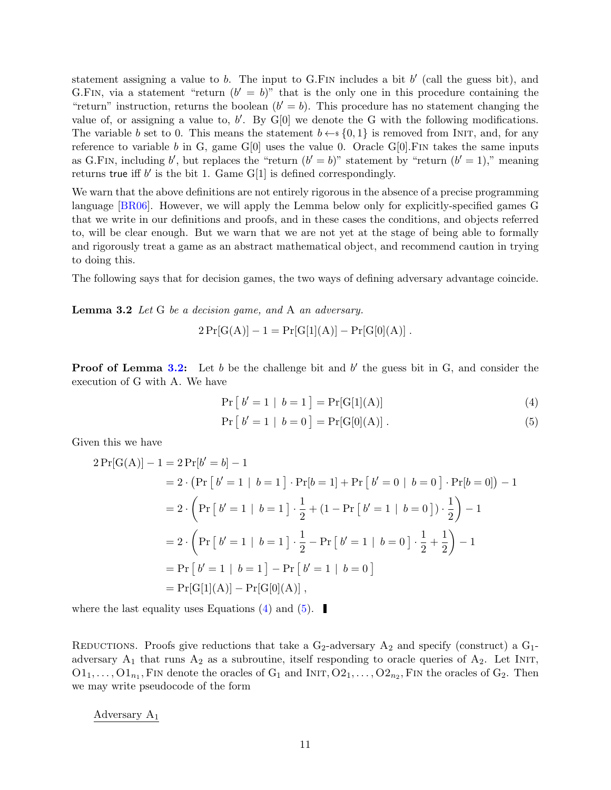<span id="page-10-3"></span>statement assigning a value to  $b$ . The input to G.FIN includes a bit  $b'$  (call the guess bit), and G.FIN, via a statement "return  $(b' = b)$ " that is the only one in this procedure containing the "return" instruction, returns the boolean  $(b' = b)$ . This procedure has no statement changing the value of, or assigning a value to,  $b'$ . By  $G[0]$  we denote the G with the following modifications. The variable b set to 0. This means the statement  $b \leftarrow s \{0, 1\}$  is removed from INIT, and, for any reference to variable b in G, game G[0] uses the value 0. Oracle G[0]. FIN takes the same inputs as G.FIN, including b', but replaces the "return  $(b' = b)$ " statement by "return  $(b' = 1)$ ," meaning returns true iff  $b'$  is the bit 1. Game  $G[1]$  is defined correspondingly.

We warn that the above definitions are not entirely rigorous in the absence of a precise programming language [\[BR06\]](#page-69-6). However, we will apply the Lemma below only for explicitly-specified games G that we write in our definitions and proofs, and in these cases the conditions, and objects referred to, will be clear enough. But we warn that we are not yet at the stage of being able to formally and rigorously treat a game as an abstract mathematical object, and recommend caution in trying to doing this.

<span id="page-10-0"></span>The following says that for decision games, the two ways of defining adversary advantage coincide.

**Lemma 3.2** Let G be a decision game, and A an adversary.

$$
2\Pr[G(A)] - 1 = \Pr[G[1](A)] - \Pr[G[0](A)].
$$

**Proof of Lemma [3.2:](#page-10-0)** Let b be the challenge bit and b' the guess bit in G, and consider the execution of G with A. We have

$$
Pr [b' = 1 | b = 1] = Pr[G[1](A)] \tag{4}
$$

<span id="page-10-2"></span><span id="page-10-1"></span>
$$
Pr [ b' = 1 | b = 0 ] = Pr[G[0](A)].
$$
\n(5)

Given this we have

$$
2\Pr[G(A)] - 1 = 2\Pr[b' = b] - 1
$$
  
= 2 \cdot (\Pr [b' = 1 | b = 1] \cdot \Pr[b = 1] + \Pr [b' = 0 | b = 0] \cdot \Pr[b = 0]) - 1  
= 2 \cdot \left(\Pr [b' = 1 | b = 1] \cdot \frac{1}{2} + (1 - \Pr [b' = 1 | b = 0]) \cdot \frac{1}{2}\right) - 1  
= 2 \cdot \left(\Pr [b' = 1 | b = 1] \cdot \frac{1}{2} - \Pr [b' = 1 | b = 0] \cdot \frac{1}{2} + \frac{1}{2}\right) - 1  
= \Pr [b' = 1 | b = 1] - \Pr [b' = 1 | b = 0]  
= \Pr[G[1](A)] - \Pr[G[0](A)],

where the last equality uses Equations [\(4\)](#page-10-1) and [\(5\)](#page-10-2).

REDUCTIONS. Proofs give reductions that take a  $G_2$ -adversary  $A_2$  and specify (construct) a  $G_1$ adversary  $A_1$  that runs  $A_2$  as a subroutine, itself responding to oracle queries of  $A_2$ . Let INIT,  $O1_1, \ldots, O1_{n_1}$ , FIN denote the oracles of  $G_1$  and INIT,  $O2_1, \ldots, O2_{n_2}$ , FIN the oracles of  $G_2$ . Then we may write pseudocode of the form

Adversary A<sup>1</sup>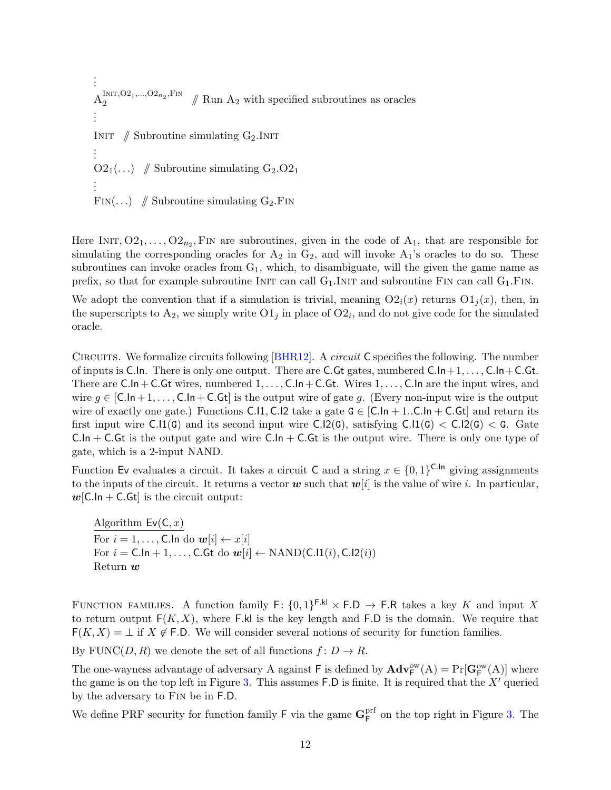<span id="page-11-0"></span>. . .  $A_2^{\text{INIT},O2_1,\dots,O2_{n_2},\text{FIN}}$  $\frac{1}{2}$ <sup>1NIT, O2</sup><sub>1</sub>,..., O2<sub>n<sub>2</sub></sub>, F<sub>IN</sub>  $\#$  Run A<sub>2</sub> with specified subroutines as oracles . . . INIT  $\#$  Subroutine simulating G<sub>2</sub>.INIT . . .  $O_{1}(\ldots)$  // Subroutine simulating  $G_{2}O_{1}$ . . . FIN(...) // Subroutine simulating  $G_2$ . FIN

Here INIT,  $O_{21}, \ldots, O_{2n_2}$ , FIN are subroutines, given in the code of  $A_1$ , that are responsible for simulating the corresponding oracles for  $A_2$  in  $G_2$ , and will invoke  $A_1$ 's oracles to do so. These subroutines can invoke oracles from  $G_1$ , which, to disambiguate, will the given the game name as prefix, so that for example subroutine INIT can call  $G_1$ . INIT and subroutine FIN can call  $G_1$ . FIN.

We adopt the convention that if a simulation is trivial, meaning  $O(2<sub>i</sub>(x))$  returns  $O(1<sub>i</sub>(x))$ , then, in the superscripts to  $A_2$ , we simply write  $O(1)$  in place of  $O(1)$ , and do not give code for the simulated oracle.

Circuits. We formalize circuits following [\[BHR12\]](#page-69-7). A circuit C specifies the following. The number of inputs is C.In. There is only one output. There are C.Gt gates, numbered  $C.ln+1, \ldots, C.ln+C.Gt$ . There are  $C.\ln C$ -C.Gt wires, numbered  $1, \ldots, C.\ln C$ -C.Gt. Wires  $1, \ldots, C.\ln$  are the input wires, and wire  $g \in [C \cdot \ln + 1, \ldots, C \cdot \ln + C \cdot Gt]$  is the output wire of gate g. (Every non-input wire is the output wire of exactly one gate.) Functions C.I.1, C.I.2 take a gate  $G \in [C \cdot \ln 1 \cdot C \cdot C \cdot \ln 1 \cdot C \cdot G \cdot \ln 1]$  and return its first input wire  $C.I1(G)$  and its second input wire  $C.I2(G)$ , satisfying  $C.I1(G) < C.I2(G) < G$ . Gate  $C.\ln + C.\text{G}t$  is the output gate and wire  $C.\ln + C.\text{G}t$  is the output wire. There is only one type of gate, which is a 2-input NAND.

Function Ev evaluates a circuit. It takes a circuit C and a string  $x \in \{0,1\}^{\mathsf{C}.\mathsf{In}}$  giving assignments to the inputs of the circuit. It returns a vector w such that  $w[i]$  is the value of wire i. In particular,  $w$ [C.ln + C.Gt] is the circuit output:

Algorithm  $Ev(C, x)$ For  $i = 1, ..., C$ . In do  $w[i] \leftarrow x[i]$ For  $i = C.\ln + 1, \ldots, C.Gt$  do  $w[i] \leftarrow \text{NAND}(C.I1(i), C.I2(i))$ Return  $w$ 

FUNCTION FAMILIES. A function family  $F: \{0,1\}^{F.kl} \times F.D \rightarrow F.R$  takes a key K and input X to return output  $F(K, X)$ , where F.kl is the key length and F.D is the domain. We require that  $F(K, X) = \bot$  if  $X \notin F.D.$  We will consider several notions of security for function families.

By FUNC(D, R) we denote the set of all functions  $f: D \to R$ .

The one-wayness advantage of adversary A against  $F$  is defined by  $Ad\mathbf{v}_F^{\text{ow}}(A) = Pr[\mathbf{G}_F^{\text{ow}}(A)]$  where the game is on the top left in Figure [3.](#page-12-0) This assumes  $F.D$  is finite. It is required that the  $X'$  queried by the adversary to Fin be in F.D.

We define PRF security for function family  $\mathsf{F}$  via the game  $\mathbf{G}_{\mathsf{F}}^{\text{prf}}$ <sup>prt</sup> on the top right in Figure [3.](#page-12-0) The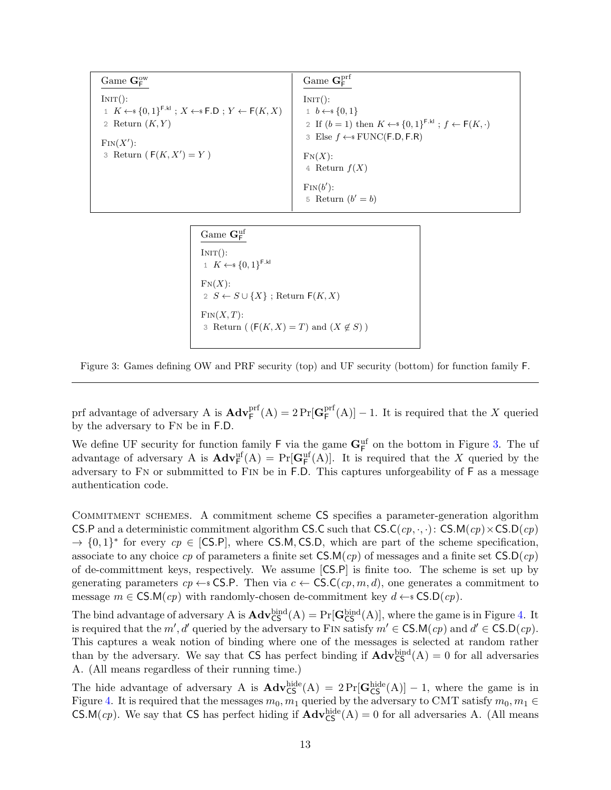<span id="page-12-0"></span>

| Game $\mathbf{G}_{\mathsf{F}}^{\text{ow}}$                                                                                                                           | Game $G_{\mathsf{F}}^{\text{prf}}$                                                                                                                                                                      |
|----------------------------------------------------------------------------------------------------------------------------------------------------------------------|---------------------------------------------------------------------------------------------------------------------------------------------------------------------------------------------------------|
| INT():<br>$1 K \leftarrow \{0,1\}^{\text{F},kl}$ ; $X \leftarrow \{F,D; Y \leftarrow F(K,X)$<br>2 Return $(K, Y)$<br>$\text{Fin}(X')$ :<br>3 Return $(F(K, X') = Y)$ | INT():<br>$1\;\;b\leftarrow\; \{0,1\}$<br>2 If $(b=1)$ then $K \leftarrow \{0,1\}^{F.kl}$ ; $f \leftarrow F(K, \cdot)$<br>3 Else $f \leftarrow$ FUNC(F.D, F.R)<br>$\mathrm{FN}(X)$ :<br>4 Return $f(X)$ |
|                                                                                                                                                                      | $\text{Fin}(b')$ :<br>5 Return $(b' = b)$                                                                                                                                                               |

 $\Gamma_{\mathsf{F}}^{\text{can}}$  GeV  $INT():$ 1  $K \leftarrow \{0,1\}^{\mathsf{F}.\mathsf{kl}}$  $\mathrm{FN}(X)$ : 2  $S \leftarrow S \cup \{X\}$ ; Return  $F(K, X)$  $\text{Fin}(X,T)$ : 3 Return (  $(F(K, X) = T)$  and  $(X \notin S)$  )

Figure 3: Games defining OW and PRF security (top) and UF security (bottom) for function family F.

prf advantage of adversary A is  $\mathbf{Adv}_{\mathsf{F}}^{\text{prf}}(\mathbf{A}) = 2 \Pr[\mathbf{G}_{\mathsf{F}}^{\text{prf}}]$  $F_F^{\text{prf}}(A)$  – 1. It is required that the X queried by the adversary to Fn be in F.D.

We define UF security for function family  $\mathsf{F}$  via the game  $\mathbf{G}_{\mathsf{F}}^{\text{uf}}$  on the bottom in Figure [3.](#page-12-0) The uf advantage of adversary A is  $\mathbf{Adv}_{\mathsf{F}}^{\text{uf}}(A) = \Pr[\mathbf{G}_{\mathsf{F}}^{\text{uf}}(A)]$ . It is required that the X queried by the adversary to Fn or submmitted to Fin be in F.D. This captures unforgeability of F as a message authentication code.

Commitment schemes. A commitment scheme CS specifies a parameter-generation algorithm CS.P and a deterministic commitment algorithm CS.C such that CS.C(cp,  $\cdot$ ,  $\cdot$ ): CS.M(cp)  $\times$ CS.D(cp)  $\rightarrow$  {0,1}<sup>\*</sup> for every  $cp \in [CS.P]$ , where CS.M, CS.D, which are part of the scheme specification, associate to any choice cp of parameters a finite set  $\mathsf{CS.M}(cp)$  of messages and a finite set  $\mathsf{CS.D}(cp)$ of de-committment keys, respectively. We assume [CS.P] is finite too. The scheme is set up by generating parameters  $cp \leftarrow s \text{CS.P.}$  Then via  $c \leftarrow \text{CS.C}(cp, m, d)$ , one generates a commitment to message  $m \in \text{CS.M}(cp)$  with randomly-chosen de-commitment key  $d \leftarrow \text{SCSD}(cp)$ .

The bind advantage of adversary A is  $\mathbf{Adv}_{\mathsf{CS}}^{\mathrm{bind}}(A) = \Pr[\mathbf{G}_{\mathsf{CS}}^{\mathrm{bind}}(A)],$  where the game is in Figure [4.](#page-13-0) It is required that the m', d' queried by the adversary to FIN satisfy  $m' \in \text{CS.M}(cp)$  and  $d' \in \text{CS.D}(cp)$ . This captures a weak notion of binding where one of the messages is selected at random rather than by the adversary. We say that CS has perfect binding if  $\mathbf{Adv}_{\mathsf{CS}}^{\text{bind}}(A) = 0$  for all adversaries A. (All means regardless of their running time.)

The hide advantage of adversary A is  $\mathbf{Adv}_{\mathsf{CS}}^{\text{hide}}(A) = 2 \Pr[\mathbf{G}_{\mathsf{CS}}^{\text{hide}}(A)] - 1$ , where the game is in Figure [4.](#page-13-0) It is required that the messages  $m_0, m_1$  queried by the adversary to CMT satisfy  $m_0, m_1 \in$ CS.M(*cp*). We say that CS has perfect hiding if  $\mathbf{Adv}^{\text{hide}}_{\text{CS}}(A) = 0$  for all adversaries A. (All means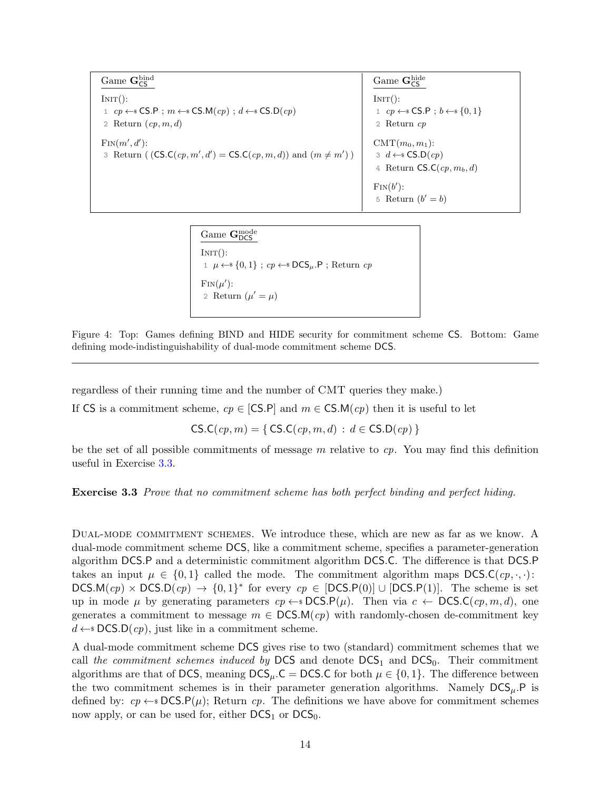<span id="page-13-0"></span>Game  $\mathbf{G}^{\mathrm{bind}}_{\mathsf{CS}}$  $INT():$ 1 cp  $\leftarrow$  SCS.P;  $m \leftarrow$  CS.M(cp);  $d \leftarrow$  CS.D(cp) 2 Return  $(cp, m, d)$  $\text{Fin}(m', d')$ : 3 Return ( $(CS.C(cp, m', d') = CS.C(cp, m, d))$  and  $(m \neq m')$ ) Game Ghide  $INT():$ 1  $cp \leftarrow$  CS.P;  $b \leftarrow$  {0, 1} 2 Return cp  $CMT(m_0, m_1)$ : 3 d ←  $\leftarrow$  S.D(cp) 4 Return  $\mathsf{CS}\mathsf{C}(cp, m_b, d)$  $\text{Fin}(b')$ : 5 Return  $(b' = b)$ 

> Game Gnode  $INT():$ 1 *μ* ←  ${0, 1}$ ; *cp* ← **DCS**<sub>μ</sub>.P; Return *cp*  $\text{Fin}(\mu')$ : 2 Return  $(\mu' = \mu)$

Figure 4: Top: Games defining BIND and HIDE security for commitment scheme CS. Bottom: Game defining mode-indistinguishability of dual-mode commitment scheme DCS.

regardless of their running time and the number of CMT queries they make.)

If CS is a commitment scheme,  $cp \in [CS.P]$  and  $m \in CS.M(cp)$  then it is useful to let

 $CS.C(cp, m) = \{ CS.C(cp, m, d) : d \in CS.D(cp) \}$ 

<span id="page-13-1"></span>be the set of all possible commitments of message  $m$  relative to  $cp$ . You may find this definition useful in Exercise [3.3.](#page-13-1)

Exercise 3.3 Prove that no commitment scheme has both perfect binding and perfect hiding.

Dual-mode commitment schemes. We introduce these, which are new as far as we know. A dual-mode commitment scheme DCS, like a commitment scheme, specifies a parameter-generation algorithm DCS.P and a deterministic commitment algorithm DCS.C. The difference is that DCS.P takes an input  $\mu \in \{0,1\}$  called the mode. The commitment algorithm maps DCS.C( $cp, \ldots$ ): DCS.M $(ep) \times DCS.D(ep) \rightarrow \{0,1\}^*$  for every  $cp \in [DCS.P(0)] \cup [DCS.P(1)]$ . The scheme is set up in mode  $\mu$  by generating parameters  $cp \leftarrow$  SOS.P( $\mu$ ). Then via  $c \leftarrow$  DCS.C( $cp, m, d$ ), one generates a commitment to message  $m \in \text{DCS.M}(cp)$  with randomly-chosen de-commitment key  $d \leftarrow$  DCS.D(cp), just like in a commitment scheme.

A dual-mode commitment scheme DCS gives rise to two (standard) commitment schemes that we call the commitment schemes induced by DCS and denote  $DCS<sub>1</sub>$  and  $DCS<sub>0</sub>$ . Their commitment algorithms are that of DCS, meaning  $DCS_{\mu}$ .C = DCS.C for both  $\mu \in \{0, 1\}$ . The difference between the two commitment schemes is in their parameter generation algorithms. Namely  $DCS<sub>u</sub>$ . P is defined by:  $cp \leftarrow$  DCS.P( $\mu$ ); Return cp. The definitions we have above for commitment schemes now apply, or can be used for, either  $DCS<sub>1</sub>$  or  $DCS<sub>0</sub>$ .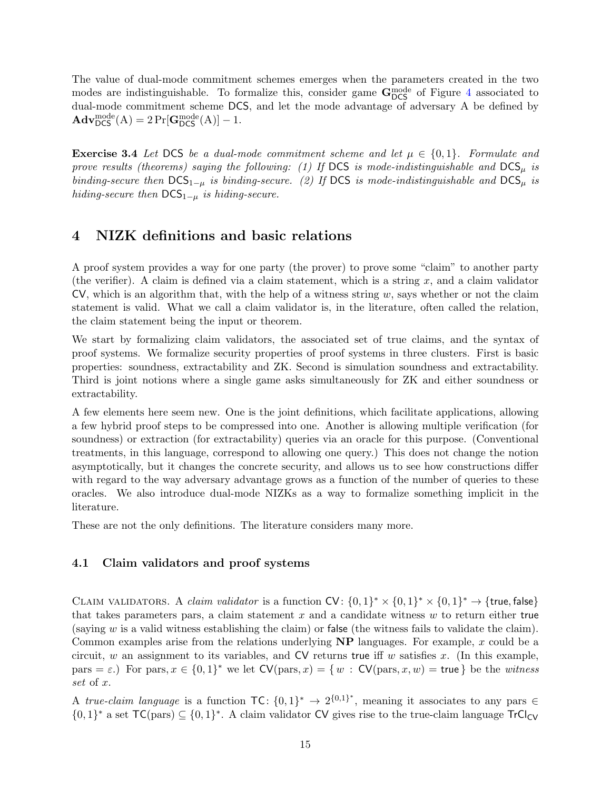The value of dual-mode commitment schemes emerges when the parameters created in the two modes are indistinguishable. To formalize this, consider game  $G_{DCS}^{mode}$  of Figure [4](#page-13-0) associated to dual-mode commitment scheme DCS, and let the mode advantage of adversary A be defined by  $\mathbf{Adv}_{\mathsf{DCS}}^{\text{mode}}(A) = 2 \Pr[\mathbf{G}_{\mathsf{DCS}}^{\text{mode}}(A)] - 1.$ 

**Exercise 3.4** Let DCS be a dual-mode commitment scheme and let  $\mu \in \{0,1\}$ . Formulate and prove results (theorems) saying the following: (1) If DCS is mode-indistinguishable and  $DCS<sub>u</sub>$  is binding-secure then  $DCS_{1-\mu}$  is binding-secure. (2) If DCS is mode-indistinguishable and DCS<sub>µ</sub> is hiding-secure then  $DCS_{1-\mu}$  is hiding-secure.

### <span id="page-14-0"></span>4 NIZK definitions and basic relations

A proof system provides a way for one party (the prover) to prove some "claim" to another party (the verifier). A claim is defined via a claim statement, which is a string x, and a claim validator  $CV$ , which is an algorithm that, with the help of a witness string w, says whether or not the claim statement is valid. What we call a claim validator is, in the literature, often called the relation, the claim statement being the input or theorem.

We start by formalizing claim validators, the associated set of true claims, and the syntax of proof systems. We formalize security properties of proof systems in three clusters. First is basic properties: soundness, extractability and ZK. Second is simulation soundness and extractability. Third is joint notions where a single game asks simultaneously for ZK and either soundness or extractability.

A few elements here seem new. One is the joint definitions, which facilitate applications, allowing a few hybrid proof steps to be compressed into one. Another is allowing multiple verification (for soundness) or extraction (for extractability) queries via an oracle for this purpose. (Conventional treatments, in this language, correspond to allowing one query.) This does not change the notion asymptotically, but it changes the concrete security, and allows us to see how constructions differ with regard to the way adversary advantage grows as a function of the number of queries to these oracles. We also introduce dual-mode NIZKs as a way to formalize something implicit in the literature.

These are not the only definitions. The literature considers many more.

### <span id="page-14-1"></span>4.1 Claim validators and proof systems

CLAIM VALIDATORS. A *claim validator* is a function  $CV: \{0,1\}^* \times \{0,1\}^* \times \{0,1\}^* \to \{\text{true},\text{false}\}$ that takes parameters pars, a claim statement x and a candidate witness  $w$  to return either true (saying  $w$  is a valid witness establishing the claim) or false (the witness fails to validate the claim). Common examples arise from the relations underlying  $NP$  languages. For example, x could be a circuit, w an assignment to its variables, and  $CV$  returns true iff w satisfies x. (In this example, pars =  $\varepsilon$ .) For pars,  $x \in \{0,1\}^*$  we let  $CV(\text{pars}, x) = \{w : CV(\text{pars}, x, w) = \text{true}\}\)$  be the *witness* set of x.

A true-claim language is a function  $TC: \{0,1\}^* \to 2^{\{0,1\}^*}$ , meaning it associates to any pars  $\in$  $\{0,1\}^*$  a set  $TC(pars) \subseteq \{0,1\}^*$ . A claim validator CV gives rise to the true-claim language TrCl<sub>CV</sub>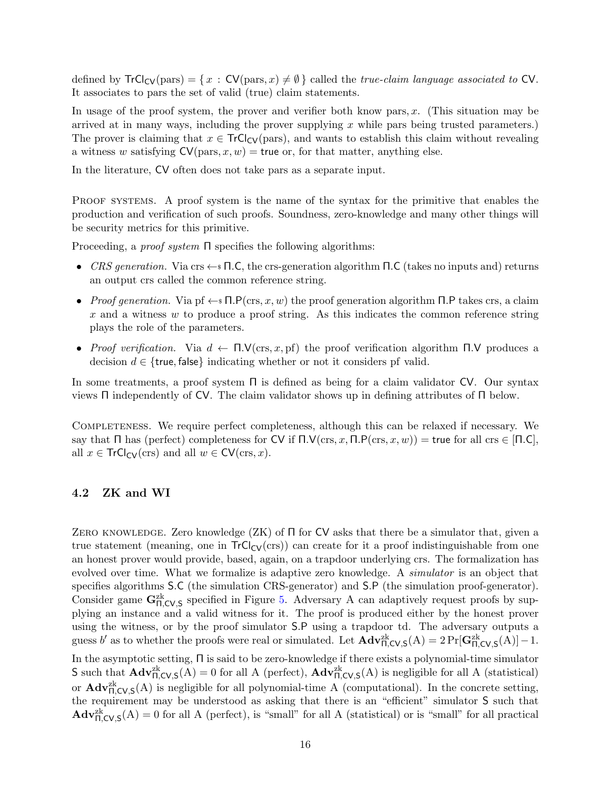defined by  $TrCl_{CV}(pars) = \{x : CV(pars, x) \neq \emptyset\}$  called the *true-claim language associated to* CV. It associates to pars the set of valid (true) claim statements.

In usage of the proof system, the prover and verifier both know pars,  $x$ . (This situation may be arrived at in many ways, including the prover supplying  $x$  while pars being trusted parameters.) The prover is claiming that  $x \in TrCl_{CV}(pars)$ , and wants to establish this claim without revealing a witness w satisfying  $CV(\text{pars}, x, w) = \text{true}$  or, for that matter, anything else.

In the literature, CV often does not take pars as a separate input.

PROOF SYSTEMS. A proof system is the name of the syntax for the primitive that enables the production and verification of such proofs. Soundness, zero-knowledge and many other things will be security metrics for this primitive.

Proceeding, a proof system Π specifies the following algorithms:

- CRS generation. Via crs  $\leftarrow$  s  $\Pi$ .C, the crs-generation algorithm  $\Pi$ .C (takes no inputs and) returns an output crs called the common reference string.
- Proof generation. Via pf  $\leftarrow$   $\mathsf{F}(\text{crs}, x, w)$  the proof generation algorithm Π.P takes crs, a claim  $x$  and a witness  $w$  to produce a proof string. As this indicates the common reference string plays the role of the parameters.
- Proof verification. Via  $d \leftarrow \Pi.\mathsf{V}(\text{crs},x,\text{pf})$  the proof verification algorithm  $\Pi.\mathsf{V}$  produces a decision  $d \in \{$ true, false $\}$  indicating whether or not it considers pf valid.

In some treatments, a proof system  $\Pi$  is defined as being for a claim validator CV. Our syntax views Π independently of CV. The claim validator shows up in defining attributes of Π below.

Completeness. We require perfect completeness, although this can be relaxed if necessary. We say that  $\Pi$  has (perfect) completeness for CV if  $\Pi.V(\text{crs}, x, \Pi.P(\text{crs}, x, w)) = \text{true}$  for all crs  $\in \Pi.C$ , all  $x \in \text{TrCl}_{CV}(ers)$  and all  $w \in CV(crs, x)$ .

#### <span id="page-15-0"></span>4.2 ZK and WI

ZERO KNOWLEDGE. Zero knowledge (ZK) of  $\Pi$  for CV asks that there be a simulator that, given a true statement (meaning, one in  $TrCl_{CV}(crs)$ ) can create for it a proof indistinguishable from one an honest prover would provide, based, again, on a trapdoor underlying crs. The formalization has evolved over time. What we formalize is adaptive zero knowledge. A *simulator* is an object that specifies algorithms S.C (the simulation CRS-generator) and S.P (the simulation proof-generator). Consider game  $G_{\Pi,CV,S}^{zk}$  specified in Figure [5.](#page-16-0) Adversary A can adaptively request proofs by supplying an instance and a valid witness for it. The proof is produced either by the honest prover using the witness, or by the proof simulator S.P using a trapdoor td. The adversary outputs a guess b' as to whether the proofs were real or simulated. Let  $\mathbf{Adv}_{\Pi,\mathsf{CV},\mathsf{S}}^{zk}(\mathsf{A}) = 2 \Pr[\mathbf{G}_{\Pi,\mathsf{CV},\mathsf{S}}^{zk}(\mathsf{A})] - 1.$ In the asymptotic setting, Π is said to be zero-knowledge if there exists a polynomial-time simulator S such that  $\mathbf{Adv}_{\Pi,CV,S}^{2k}(\mathbf{A})=0$  for all A (perfect),  $\mathbf{Adv}_{\Pi,CV,S}^{2k}(\mathbf{A})$  is negligible for all A (statistical)

or  $\mathbf{Adv}_{\Pi,\text{CV},\mathsf{S}}^{2k}(\mathsf{A})$  is negligible for all polynomial-time A (computational). In the concrete setting, the requirement may be understood as asking that there is an "efficient" simulator S such that  $\mathbf{Adv}_{\Pi,CV,S}^{zk}$ (A) = 0 for all A (perfect), is "small" for all A (statistical) or is "small" for all practical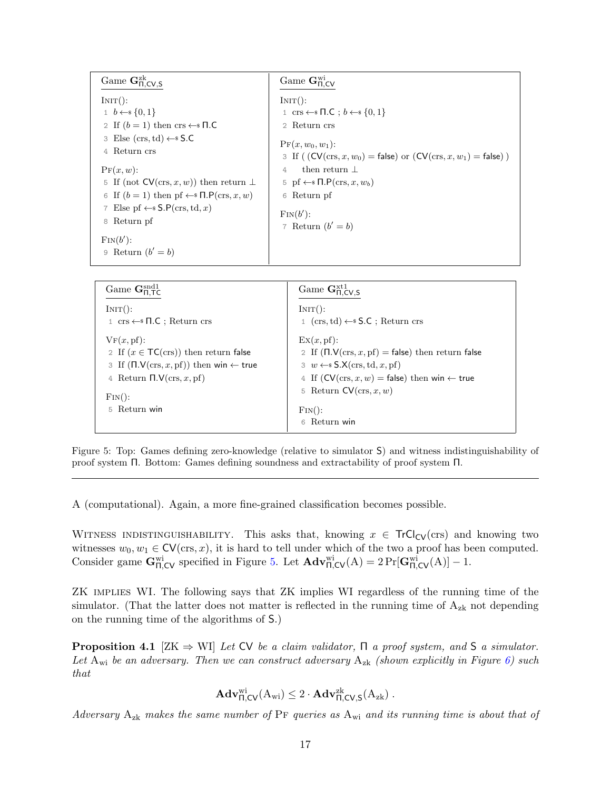<span id="page-16-0"></span>Game  $\mathbf{G}_{\Pi,\mathsf{CV},\mathsf{S}}^{\text{zk}}$  $INT():$ 1  $b \leftarrow s \{0, 1\}$ 2 If  $(b = 1)$  then crs  $\leftarrow$  T.C 3 Else  $(crs, td) \leftarrow$ \$ S.C 4 Return crs  $Pr(x, w)$ : 5 If (not  $CV(crs, x, w)$ ) then return  $\perp$ 6 If  $(b = 1)$  then pf  $\leftarrow$   $\Pi$ .  $P(crs, x, w)$ 7 Else pf  $\leftarrow$ \$ S.P(crs, td, x) 8 Return pf  $\text{Fin}(b')$ :  $\mathfrak{p}$  Return  $(b' = b)$  $\rm{Game}\ G_{\Pi,\mathsf{CV}}^{\rm wi}$  $INT():$ 1 crs  $\leftarrow$   $\mathsf{R.C}$ ;  $b \leftarrow \mathsf{s} \{0,1\}$ 2 Return crs  ${\rm Pr}(x, w_0, w_1)$ : 3 If (  $(CV(crs, x, w_0) = false$ ) or  $(CV(crs, x, w_1) = false)$ ) 4 then return ⊥ 5 pf  $\leftarrow$   $\mathsf{N.P}(\text{crs}, x, w_b)$ 6 Return pf  $\text{Fin}(b')$ : 7 Return  $(b' = b)$ 

| Game $\mathbf{G}_{\mathsf{H}}^{\text{snd}1}$                                                    | Game $\mathbf{G}_{\Pi.CV.S}^{xt1}$                        |
|-------------------------------------------------------------------------------------------------|-----------------------------------------------------------|
| INT():                                                                                          | INT():                                                    |
| $\texttt{1}~\operatorname{crs} \leftarrow\!\! \texttt{s}~\Pi . C$ ; Return $\operatorname{crs}$ | $1$ (crs, td) $\leftarrow$ S.C; Return crs                |
| $VF(x,pf)$ :                                                                                    | $\mathbb{E}X(x, \text{pf})$ :                             |
| 2 If $(x \in \mathsf{TC}(\text{crs}))$ then return false                                        | 2 If $(\Pi.V(crs, x, pf) = false)$ then return false      |
| 3 If $(\Pi.V(\text{crs}, x, \text{pf}))$ then win $\leftarrow$ true                             | $\exists w \leftarrow \$S.X(crs, td, x, pf)$              |
| 4 Return $\Pi.V(\text{crs}, x, \text{pf})$                                                      | 4 If $(CV(crs, x, w) = false)$ then win $\leftarrow$ true |
| $\text{Fin}()$ :                                                                                | 5 Return $CV(crs, x, w)$                                  |
| Return win                                                                                      | $\text{Fin}()$ :                                          |
| 5                                                                                               | Return win                                                |

Figure 5: Top: Games defining zero-knowledge (relative to simulator S) and witness indistinguishability of proof system Π. Bottom: Games defining soundness and extractability of proof system Π.

A (computational). Again, a more fine-grained classification becomes possible.

WITNESS INDISTINGUISHABILITY. This asks that, knowing  $x \in \text{TrCl}_{CV}(crs)$  and knowing two witnesses  $w_0, w_1 \in \text{CV}(\text{crs}, x)$ , it is hard to tell under which of the two a proof has been computed. Consider game  $\mathbf{G}_{\Pi,\mathsf{CV}}^{\text{wi}}$  specified in Figure [5.](#page-16-0) Let  $\mathbf{Adv}_{\Pi,\mathsf{CV}}^{\text{wi}}(A) = 2 \Pr[\mathbf{G}_{\Pi,\mathsf{CV}}^{\text{wi}}(A)] - 1$ .

ZK implies WI. The following says that ZK implies WI regardless of the running time of the simulator. (That the latter does not matter is reflected in the running time of  $A_{z_k}$  not depending on the running time of the algorithms of S.)

<span id="page-16-1"></span>**Proposition 4.1** [ZK  $\Rightarrow$  WI] Let CV be a claim validator,  $\Pi$  a proof system, and S a simulator. Let  $A_{wi}$  be an adversary. Then we can construct adversary  $A_{zk}$  (shown explicitly in Figure [6\)](#page-17-1) such that

$$
\mathbf{Adv}_{\Pi,\mathsf{CV}}^{wi}(\mathrm{A}_{wi}) \leq 2 \cdot \mathbf{Adv}_{\Pi,\mathsf{CV},\mathsf{S}}^{zk}(\mathrm{A}_{zk})\ .
$$

Adversary  $A_{z_k}$  makes the same number of PF queries as  $A_{wi}$  and its running time is about that of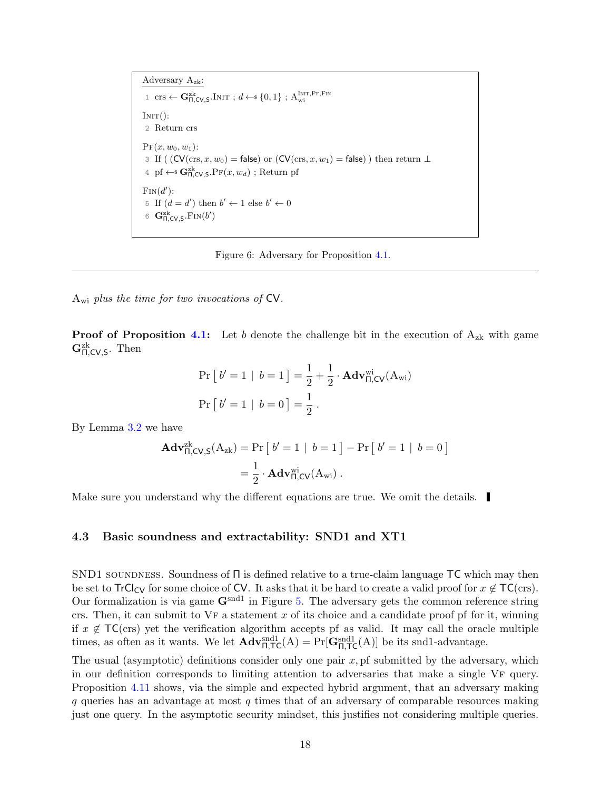<span id="page-17-1"></span>Adversary Azk: 1 crs  $\leftarrow$   $\mathbf{G}_{\Pi,\text{CV},\text{S}}^{\text{zk}}$ . Init ;  $d \leftarrow \{0,1\}$  ;  $\mathbf{A}_{\text{wi}}^{\text{Init},\text{Pr},\text{Fin}}$  $INT():$ 2 Return crs  ${\rm Pr}(x, w_0, w_1)$ : 3 If (  $(CV(crs, x, w_0) = false$ ) or  $(CV(crs, x, w_1) = false)$ ) then return  $\perp$ 4 pf  $\leftarrow$   $\mathbf{G}_{\Pi,\text{CV},\mathsf{S}}^{z\mathsf{k}}$ . P $\text{F}(x,w_d)$ ; Return pf  $\text{Fin}(d')$ : 5 If  $(d = d')$  then  $b' \leftarrow 1$  else  $b' \leftarrow 0$ 6  $\mathbf{G}_{\Pi,\text{CV},\text{S}}^{\text{zk}}$ .  $\text{Fin}(b')$ 



 $A_{wi}$  plus the time for two invocations of  $CV$ .

**Proof of Proposition [4.1:](#page-16-1)** Let b denote the challenge bit in the execution of  $A_{z_k}$  with game  $\mathbf{G}_{\Pi,\mathsf{CV},\mathsf{S}}^{\text{zk}}$ . Then

$$
\Pr\left[b'=1 \mid b=1\right] = \frac{1}{2} + \frac{1}{2} \cdot \mathbf{Adv}_{\Pi,CV}^{\text{wi}}(A_{\text{wi}})
$$

$$
\Pr\left[b'=1 \mid b=0\right] = \frac{1}{2} \ .
$$

By Lemma [3.2](#page-10-0) we have

$$
\mathbf{Adv}_{\Pi,CV,S}^{\text{zk}}(A_{\text{zk}}) = \Pr\left[\begin{array}{c|c} b' = 1 & b = 1 \end{array}\right] - \Pr\left[\begin{array}{c|c} b' = 1 & b = 0 \end{array}\right]
$$

$$
= \frac{1}{2} \cdot \mathbf{Adv}_{\Pi,CV}^{\text{wi}}(A_{\text{wi}}) .
$$

Make sure you understand why the different equations are true. We omit the details.

### <span id="page-17-0"></span>4.3 Basic soundness and extractability: SND1 and XT1

SND1 soundness. Soundness of Π is defined relative to a true-claim language TC which may then be set to  $TrCl_{CV}$  for some choice of CV. It asks that it be hard to create a valid proof for  $x \notin TC(crs)$ . Our formalization is via game  $\mathbf{G}^{\text{snd1}}$  in Figure [5.](#page-16-0) The adversary gets the common reference string crs. Then, it can submit to  $VF$  a statement x of its choice and a candidate proof pf for it, winning if  $x \notin \mathsf{TC}(\text{crs})$  yet the verification algorithm accepts pf as valid. It may call the oracle multiple times, as often as it wants. We let  $\mathbf{Adv}_{\Pi,\mathsf{TC}}^{\text{snd1}}(A) = \Pr[\mathbf{G}_{\Pi,\mathsf{TC}}^{\text{snd1}}(A)]$  be its snd1-advantage.

The usual (asymptotic) definitions consider only one pair  $x$ , pf submitted by the adversary, which in our definition corresponds to limiting attention to adversaries that make a single VF query. Proposition [4.11](#page-24-1) shows, via the simple and expected hybrid argument, that an adversary making  $q$  queries has an advantage at most  $q$  times that of an adversary of comparable resources making just one query. In the asymptotic security mindset, this justifies not considering multiple queries.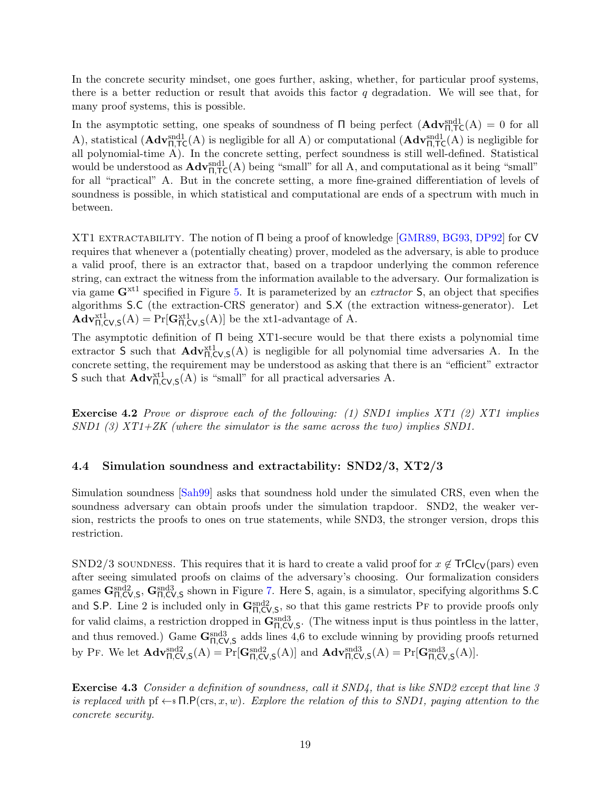<span id="page-18-1"></span>In the concrete security mindset, one goes further, asking, whether, for particular proof systems, there is a better reduction or result that avoids this factor  $q$  degradation. We will see that, for many proof systems, this is possible.

In the asymptotic setting, one speaks of soundness of  $\Pi$  being perfect  $(\mathbf{Adv}_{\Pi,\mathsf{TC}}^{\text{snd}}(A) = 0$  for all A), statistical  $(\mathbf{Adv}_{\Pi,\mathsf{TC}}^{\text{snd1}}(A)$  is negligible for all A) or computational  $(\mathbf{Adv}_{\Pi,\mathsf{TC}}^{\text{snd1}}(A)$  is negligible for all polynomial-time A). In the concrete setting, perfect soundness is still well-defined. Statistical would be understood as  $\mathbf{Adv}_{\Pi,\mathsf{TC}}^{\text{snd1}}(A)$  being "small" for all A, and computational as it being "small" for all "practical" A. But in the concrete setting, a more fine-grained differentiation of levels of soundness is possible, in which statistical and computational are ends of a spectrum with much in between.

XT1 extractability. The notion of Π being a proof of knowledge [\[GMR89,](#page-70-0) [BG93,](#page-68-7) [DP92\]](#page-69-8) for CV requires that whenever a (potentially cheating) prover, modeled as the adversary, is able to produce a valid proof, there is an extractor that, based on a trapdoor underlying the common reference string, can extract the witness from the information available to the adversary. Our formalization is via game  $\mathbf{G}^{\text{xt1}}$  specified in Figure [5.](#page-16-0) It is parameterized by an *extractor* S, an object that specifies algorithms S.C (the extraction-CRS generator) and S.X (the extraction witness-generator). Let  $\mathbf{Adv}_{\Pi,\mathsf{CV},\mathsf{S}}^{\mathrm{xt1}}(\mathsf{A}) = \Pr[\mathbf{G}_{\Pi,\mathsf{CV},\mathsf{S}}^{\mathrm{xt1}}(\mathsf{A})]$  be the xt1-advantage of A.

The asymptotic definition of Π being XT1-secure would be that there exists a polynomial time extractor S such that  $\mathbf{Adv}_{\Pi,\mathcal{CV},\mathcal{S}}^{xt1}(\mathcal{A})$  is negligible for all polynomial time adversaries A. In the concrete setting, the requirement may be understood as asking that there is an "efficient" extractor S such that  $\mathbf{Adv}_{\Pi,\mathsf{CV},\mathsf{S}}^{xt1}$  is "small" for all practical adversaries A.

Exercise 4.2 Prove or disprove each of the following: (1) SND1 implies XT1 (2) XT1 implies  $SND1$  (3)  $XT1+ZK$  (where the simulator is the same across the two) implies  $SND1$ .

#### <span id="page-18-0"></span>4.4 Simulation soundness and extractability: SND2/3, XT2/3

Simulation soundness [\[Sah99\]](#page-70-6) asks that soundness hold under the simulated CRS, even when the soundness adversary can obtain proofs under the simulation trapdoor. SND2, the weaker version, restricts the proofs to ones on true statements, while SND3, the stronger version, drops this restriction.

SND2/3 soundness. This requires that it is hard to create a valid proof for  $x \notin \text{TrCl}_{CV}(\text{pars})$  even after seeing simulated proofs on claims of the adversary's choosing. Our formalization considers games  $G_{\Pi,CV,S}^{\text{snd2}}$ ,  $G_{\Pi,CV,S}^{\text{snd3}}$  shown in Figure [7.](#page-19-0) Here S, again, is a simulator, specifying algorithms S.C and S.P. Line 2 is included only in  $G_{\Pi,CV,S}^{snd2}$ , so that this game restricts PF to provide proofs only for valid claims, a restriction dropped in  $\mathbf{G}_{\Pi,\text{CV},\text{S}}^{\text{snd3}}$ . (The witness input is thus pointless in the latter, and thus removed.) Game  $G_{\Pi,CV,S}^{\text{snd3}}$  adds lines 4,6 to exclude winning by providing proofs returned by PF. We let  $\mathbf{Adv}_{\Pi,\text{CV},\text{S}}^{\text{snd2}}(A) = \Pr[\mathbf{G}_{\Pi,\text{CV},\text{S}}^{\text{snd2}}(A)]$  and  $\mathbf{Adv}_{\Pi,\text{CV},\text{S}}^{\text{snd3}}(A) = \Pr[\mathbf{G}_{\Pi,\text{CV},\text{S}}^{\text{snd3}}(A)].$ 

Exercise 4.3 Consider a definition of soundness, call it SND4, that is like SND2 except that line 3 is replaced with pf  $\leftarrow$   $\mathsf{S} \mathsf{R} \mathsf{P}(\text{crs}, x, w)$ . Explore the relation of this to SND1, paying attention to the concrete security.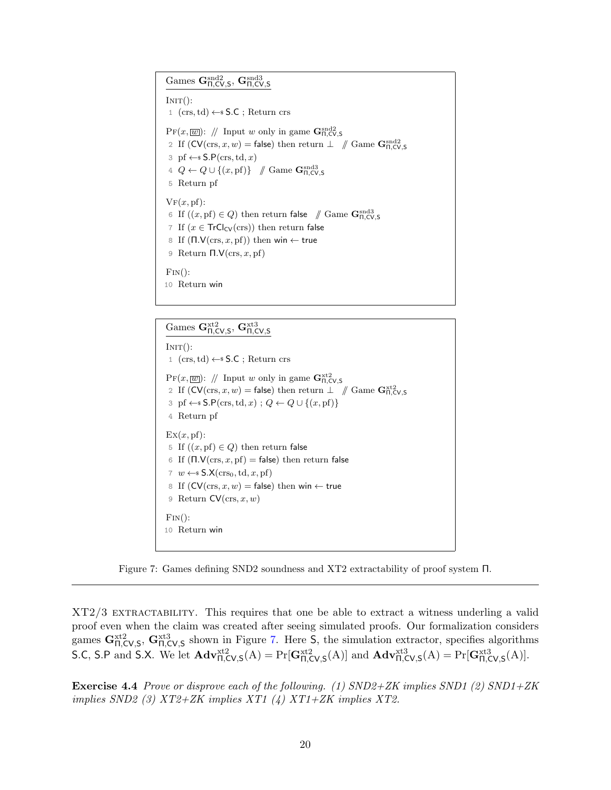<span id="page-19-0"></span>Games  $\mathbf{G}_{\Pi,\mathsf{CV},\mathsf{S}}^{\text{snd2}}, \mathbf{G}_{\Pi,\mathsf{CV},\mathsf{S}}^{\text{snd3}}$ 

 $INT():$ 1 (crs,td) ←\$ S.C ; Return crs  $Pr(x, \boxed{w})$ : // Input w only in game  $\mathbf{G}_{\Pi,\mathsf{CV},\mathsf{S}}^{\text{snd2}}$ 2 If  $(CV(crs, x, w) = false)$  then return  $\perp \quad N$  Game  $\mathbf{G}_{\Pi, CV, S}^{\text{snd2}}$ 3 pf  $\leftarrow$ \$ S.P(crs, td, x) 4  $Q \leftarrow Q \cup \{(x, \text{pf})\}$  // Game  $\mathbf{G}_{\Pi, \text{CV}, \text{S}}^{\text{snd3}}$ 5 Return pf  $VF(x, pf)$ : 6 If  $((x, \text{pf}) \in Q)$  then return false  $\mathcal{N}$  Game  $\mathbf{G}_{\Pi,\text{CV},\text{S}}^{\text{snd3}}$ 7 If  $(x \in \mathsf{Tr} \mathsf{Cl}_{\mathsf{CV}}(\mathsf{crs}))$  then return false 8 If  $(Π.V(crs, x, pf))$  then win ← true 9 Return  $\Pi.V(crs, x, pf)$  $\text{Fin}()$ : 10 Return win

Games  $\mathbf{G}_{\Pi,\mathsf{CV},\mathsf{S}}^{\text{xt2}}, \mathbf{G}_{\Pi,\mathsf{CV},\mathsf{S}}^{\text{xt3}}$  $INT():$ 1 (crs, td)  $\leftarrow$  \$ S.C ; Return crs  $\Pr(x,\overline{w})$ : // Input w only in game  $\mathbf{G}_{\Pi,\mathsf{CV},\mathsf{S}}^{\text{xt2}}$ 2 If  $(CV(\text{crs}, x, w) = \text{false})$  then return  $\perp \quad \text{\textit{if} \space Game}$  Game  $G_{\Pi, CV, S}^{xt2}$ 3 pf  $\leftarrow$ \$ S.P(crs, td, x);  $Q \leftarrow Q \cup \{(x, \text{pf})\}$ 4 Return pf  $\mathrm{Ex}(x, \mathrm{pf})$ : 5 If  $((x, \text{pf}) \in Q)$  then return false 6 If  $(\Pi.V(crs, x, pf) = false)$  then return false 7  $w \leftarrow$  S.X(crs<sub>0</sub>, td, x, pf) 8 If  $(CV(crs, x, w) = false)$  then win  $\leftarrow$  true 9 Return  $CV(crs, x, w)$  $\text{Fin}()$ : 10 Return win

Figure 7: Games defining SND2 soundness and XT2 extractability of proof system Π.

XT2/3 extractability. This requires that one be able to extract a witness underling a valid proof even when the claim was created after seeing simulated proofs. Our formalization considers games  $G_{\Pi,CV,S}^{xt2}$ ,  $G_{\Pi,CV,S}^{xt3}$  shown in Figure [7.](#page-19-0) Here S, the simulation extractor, specifies algorithms S.C, S.P and S.X. We let  $\mathbf{Adv}_{\Pi,\mathsf{CV},\mathsf{S}}^{\text{xt2}}(A) = \Pr[\mathbf{G}_{\Pi,\mathsf{CV},\mathsf{S}}^{\text{xt2}}(A)]$  and  $\mathbf{Adv}_{\Pi,\mathsf{CV},\mathsf{S}}^{\text{xt3}}(A) = \Pr[\mathbf{G}_{\Pi,\mathsf{CV},\mathsf{S}}^{\text{xt3}}(A)].$ 

**Exercise 4.4** Prove or disprove each of the following. (1)  $SND2+ZK$  implies  $SND1$  (2)  $SND1+ZK$ implies SND2 (3) XT2+ZK implies XT1 (4) XT1+ZK implies XT2.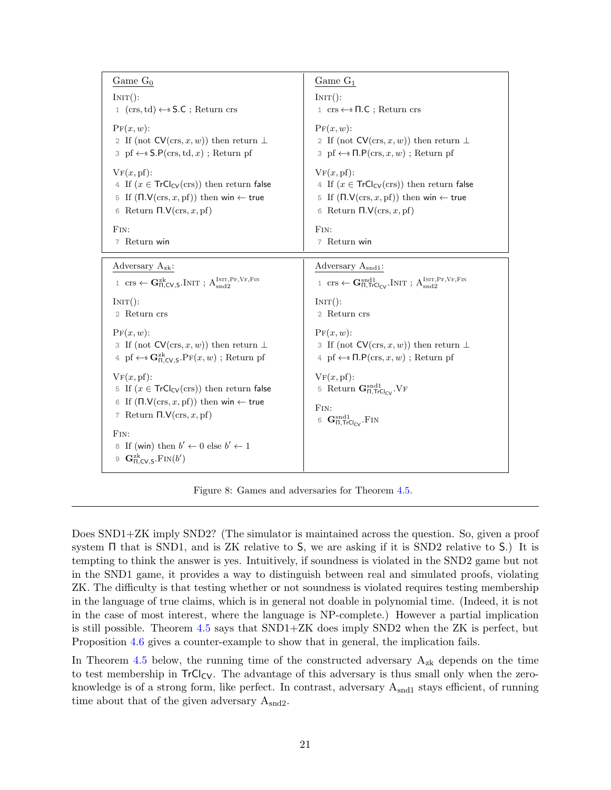<span id="page-20-1"></span>

| INT():<br>$INT()$ :                                                                                                                                                                                                                                                                                                                                                                                                                                                                                                                                                                                                                                                                                                                                                                                                                      |                                                                                                                                                                                                                                                                                                                                                                                                                                          |
|------------------------------------------------------------------------------------------------------------------------------------------------------------------------------------------------------------------------------------------------------------------------------------------------------------------------------------------------------------------------------------------------------------------------------------------------------------------------------------------------------------------------------------------------------------------------------------------------------------------------------------------------------------------------------------------------------------------------------------------------------------------------------------------------------------------------------------------|------------------------------------------------------------------------------------------------------------------------------------------------------------------------------------------------------------------------------------------------------------------------------------------------------------------------------------------------------------------------------------------------------------------------------------------|
| $1$ (crs, td) $\leftarrow$ S.C; Return crs                                                                                                                                                                                                                                                                                                                                                                                                                                                                                                                                                                                                                                                                                                                                                                                               | $1 \text{ crs} \leftarrow \$ \Pi.\mathsf{C}$ ; Return crs                                                                                                                                                                                                                                                                                                                                                                                |
| $\Pr(x, w)$ :<br>2 If (not $CV(crs, x, w)$ ) then return $\perp$<br>$\beta$ pf $\leftarrow$ \$ S.P(crs, td, x); Return pf                                                                                                                                                                                                                                                                                                                                                                                                                                                                                                                                                                                                                                                                                                                | $\Pr(x, w)$ :<br>2 If (not $CV(crs, x, w)$ ) then return $\perp$<br>$\exists$ pf $\leftarrow$ $\P$ . $P(crs, x, w)$ ; Return pf                                                                                                                                                                                                                                                                                                          |
| $V_F(x, pf)$ :<br>4 If $(x \in \text{TrCl}_{CV}(ers))$ then return false<br>5 If $(\Pi.V(\text{crs}, x, pf))$ then win $\leftarrow$ true<br>Return $\Pi.V(\text{crs}, x, \text{pf})$<br>6<br>FIN:<br>FIN:                                                                                                                                                                                                                                                                                                                                                                                                                                                                                                                                                                                                                                | $VF(x, pf)$ :<br>4 If $(x \in \text{TrCl}_{CV}(ers))$ then return false<br>5 If $(\Pi.V(\text{crs}, x, pf))$ then win $\leftarrow$ true<br>6 Return $\Pi.V(\text{crs}, x, \text{pf})$                                                                                                                                                                                                                                                    |
| 7 Return win                                                                                                                                                                                                                                                                                                                                                                                                                                                                                                                                                                                                                                                                                                                                                                                                                             | 7 Return win                                                                                                                                                                                                                                                                                                                                                                                                                             |
| Adversary $A_{zk}$ :<br>1 $\operatorname{crs} \leftarrow \mathbf{G}_{\Pi,\mathsf{CV},\mathsf{S}}^{\operatorname{zk}}$ . Init ; $\mathrm{A}_{\operatorname{snd2}}^{\operatorname{Inir},\operatorname{Pr},\operatorname{VF},\operatorname{Fin}}$<br>INT():<br>$INT()$ :<br>2 Return crs<br>$\Pr(x, w)$ :<br>3 If (not $CV(crs, x, w)$ ) then return $\perp$<br>4 pf $\leftarrow$ <b>G</b> <sup>zk</sup> <sub>D</sub> .C <sub>V</sub> , s <sup>D</sup> F( <i>x</i> , <i>w</i> ); Return pf<br>$V_F(x, pf)$ :<br>5 If $(x \in \mathsf{Tr}Cl_{CV}(ers))$ then return false<br>If $(\Pi.V(\text{crs}, x, pf))$ then win $\leftarrow$ true<br>6<br>FIN:<br>7 Return $\Pi.V(\text{crs}, x, \text{pf})$<br>$\text{Fin}$ :<br>If (win) then $b' \leftarrow 0$ else $b' \leftarrow 1$<br>8<br>$\mathbf{G}_{\Pi,CV,S}^{\text{zk}}$ . FIN $(b')$<br>9 | Adversary Asnd1:<br>1 Crs $\leftarrow$ G <sub><math>\Pi</math></sub> , T <sub>rClcy</sub> , INIT; A <sub>snd2</sub><br>2 Return crs<br>$\Pr(x, w)$ :<br>3 If (not $CV(crs, x, w)$ ) then return $\perp$<br>$4 \text{ pf} \leftarrow \text{F} \Pi \cdot P(\text{crs}, x, w)$ ; Return pf<br>$VF(x, pf)$ :<br>5 Return $\mathbf{G}_{\Pi,\text{TrCl}_{CV}}^{\text{snd1}}$ . VF<br>6 $\mathbf{G}_{\Pi,\text{TrCl}_{CV}}^{\text{snd1}}$ . FIN |

Figure 8: Games and adversaries for Theorem [4.5.](#page-20-0)

Does SND1+ZK imply SND2? (The simulator is maintained across the question. So, given a proof system Π that is SND1, and is ZK relative to S, we are asking if it is SND2 relative to S.) It is tempting to think the answer is yes. Intuitively, if soundness is violated in the SND2 game but not in the SND1 game, it provides a way to distinguish between real and simulated proofs, violating ZK. The difficulty is that testing whether or not soundness is violated requires testing membership in the language of true claims, which is in general not doable in polynomial time. (Indeed, it is not in the case of most interest, where the language is NP-complete.) However a partial implication is still possible. Theorem [4.5](#page-20-0) says that SND1+ZK does imply SND2 when the ZK is perfect, but Proposition [4.6](#page-21-0) gives a counter-example to show that in general, the implication fails.

<span id="page-20-0"></span>In Theorem [4.5](#page-20-0) below, the running time of the constructed adversary  $A_{zk}$  depends on the time to test membership in  $TrCl_{CV}$ . The advantage of this adversary is thus small only when the zeroknowledge is of a strong form, like perfect. In contrast, adversary  $A_{\text{snd}}$  stays efficient, of running time about that of the given adversary  $A_{\text{snd2}}$ .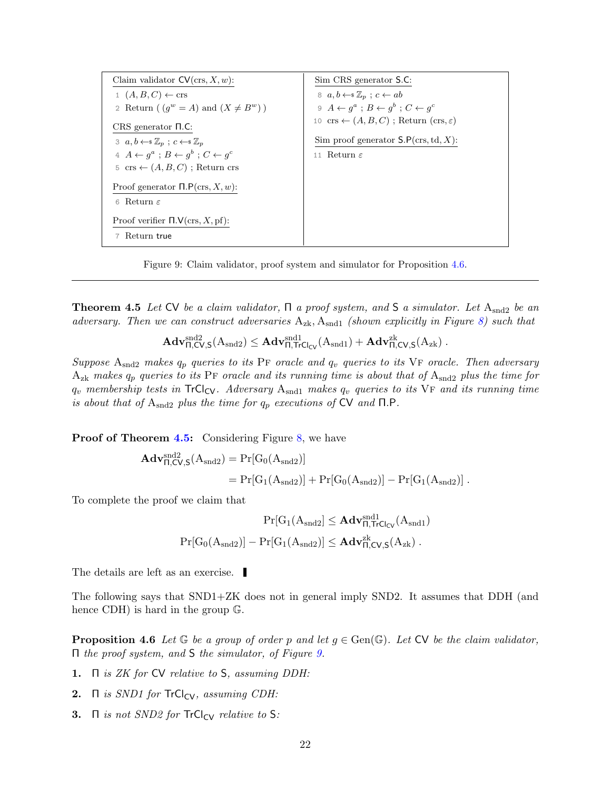<span id="page-21-1"></span>



**Theorem 4.5** Let CV be a claim validator,  $\Pi$  a proof system, and S a simulator. Let  $A_{\text{snd2}}$  be an adversary. Then we can construct adversaries  $A_{zk}$ ,  $A_{snd1}$  (shown explicitly in Figure [8\)](#page-20-1) such that

$$
\mathbf{Adv}_{\Pi,\mathsf{CV},\mathsf{S}}^{\mathrm{snd2}}(A_{\mathrm{snd2}}) \leq \mathbf{Adv}_{\Pi,\mathsf{TrCl}_{\mathsf{CV}}}^{\mathrm{snd1}}(A_{\mathrm{snd1}}) + \mathbf{Adv}_{\Pi,\mathsf{CV},\mathsf{S}}^{\mathrm{zk}}(A_{\mathrm{zk}})\ .
$$

Suppose  $A_{\text{snd2}}$  makes  $q_p$  queries to its PF oracle and  $q_v$  queries to its VF oracle. Then adversary  $A_{\rm zk}$  makes  $q_p$  queries to its PF oracle and its running time is about that of  $A_{\rm smd2}$  plus the time for  $q_v$  membership tests in TrCl<sub>CV</sub>. Adversary  $A_{\text{snd1}}$  makes  $q_v$  queries to its VF and its running time is about that of  $A_{\text{snd2}}$  plus the time for  $q_p$  executions of CV and  $\Pi$ .P.

**Proof of Theorem [4.5:](#page-20-0)** Considering Figure [8,](#page-20-1) we have

$$
\begin{aligned} \mathbf{Adv}_{\Pi,\text{CV},\text{S}}^{\text{snd2}}(A_{\text{snd2}}) &= \Pr[G_0(A_{\text{snd2}})] \\ &= \Pr[G_1(A_{\text{snd2}})] + \Pr[G_0(A_{\text{snd2}})] - \Pr[G_1(A_{\text{snd2}})] \; . \end{aligned}
$$

To complete the proof we claim that

$$
\Pr[G_1(A_{\text{snd2}}] \leq \mathbf{Adv}_{\Pi,\text{TrCl}_{CV}}^{\text{snd1}}(A_{\text{snd1}})
$$
  

$$
\Pr[G_0(A_{\text{snd2}})] - \Pr[G_1(A_{\text{snd2}})] \leq \mathbf{Adv}_{\Pi,CV,S}^{\text{zk}}(A_{\text{zk}}) .
$$

The details are left as an exercise.

The following says that SND1+ZK does not in general imply SND2. It assumes that DDH (and hence CDH) is hard in the group G.

<span id="page-21-0"></span>**Proposition 4.6** Let  $\mathbb{G}$  be a group of order p and let  $g \in \text{Gen}(\mathbb{G})$ . Let  $\mathbb{C}V$  be the claim validator, Π the proof system, and S the simulator, of Figure [9.](#page-21-1)

- 1. Π is ZK for CV relative to S, assuming DDH:
- 2.  $\Pi$  is SND1 for  $TrCl_{CV}$ , assuming CDH:
- 3.  $\Pi$  is not SND2 for  $TrCl_{CV}$  relative to S: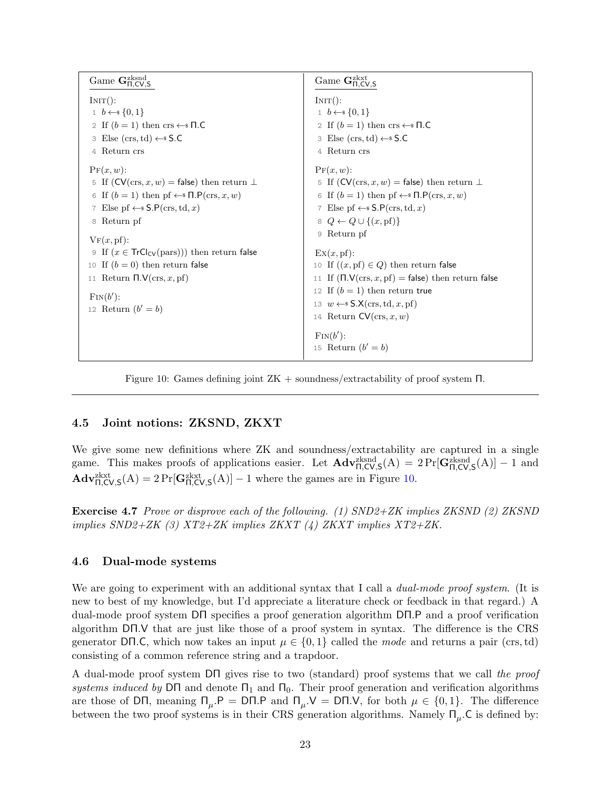<span id="page-22-2"></span>

| Game $\mathbf{G}_{\Pi,CV,S}^{zksnd}$                                                                                                                                                                                             | Game $\mathbf{G}^\mathrm{zkxt}_\Pi,\mathsf{CV},\mathsf{S}$                                                                                                                                                                                                               |
|----------------------------------------------------------------------------------------------------------------------------------------------------------------------------------------------------------------------------------|--------------------------------------------------------------------------------------------------------------------------------------------------------------------------------------------------------------------------------------------------------------------------|
| INT():<br>$1, b \leftarrow s \{0, 1\}$<br>2 If $(b = 1)$ then crs $\leftarrow$ T.C<br>3 Else (crs, td) $\leftarrow$ \$ S.C<br>4 Return crs                                                                                       | $INT()$ :<br>$1, b \leftarrow s \{0,1\}$<br>2 If $(b = 1)$ then crs $\leftarrow$ T.C<br>3 Else (crs, td) $\leftarrow$ S.C<br>4 Return crs                                                                                                                                |
| $\Pr(x, w)$ :<br>5 If $(CV(crs, x, w) = false)$ then return $\perp$<br>6 If $(b = 1)$ then pf $\leftarrow$ $\mathsf{N}.\mathsf{P}(\text{crs},x,w)$<br>7 Else pf $\leftarrow$ \$ S.P(crs, td, x)<br>8 Return pf<br>$V_F(x, pf)$ : | $\Pr(x, w)$ :<br>5 If $(CV(crs, x, w) = false)$ then return $\perp$<br>6 If $(b = 1)$ then pf $\leftarrow$ $\Pi$ . $P(crs, x, w)$<br>7 Else pf $\leftarrow$ \$ S.P(crs, td, x)<br>$8 \ Q \leftarrow Q \cup \{(x, \text{pf})\}$<br>9 Return pf                            |
| 9 If $(x \in TrCl_{CV}(pars))$ then return false<br>10 If $(b = 0)$ then return false<br>11 Return $\Pi.V(\text{crs}, x, \text{pf})$<br>$\text{Fin}(b')$ :<br>12 Return $(b'=b)$                                                 | $\mathbb{E} \mathbf{x}(x, \mathbf{p} \mathbf{f})$ :<br>10 If $((x, pf) \in Q)$ then return false<br>11 If $(\Pi.V(crs, x, pf) = false)$ then return false<br>12 If $(b = 1)$ then return true<br>13 $w \leftarrow$ \$ $S.X(crs, td, x, pf)$<br>14 Return $CV(crs, x, w)$ |
|                                                                                                                                                                                                                                  | $\text{Fin}(b')$ :<br>15 Return $(b'=b)$                                                                                                                                                                                                                                 |

Figure 10: Games defining joint ZK + soundness/extractability of proof system Π.

### <span id="page-22-0"></span>4.5 Joint notions: ZKSND, ZKXT

We give some new definitions where  $ZK$  and soundness/extractability are captured in a single game. This makes proofs of applications easier. Let  $\mathbf{Adv}_{\Pi,CV,S}^{\text{zksnd}}(A) = 2 \Pr[\mathbf{G}_{\Pi,CV,S}^{\text{zksnd}}(A)] - 1$  and  $\mathbf{Adv}_{\Pi,\mathsf{CV},\mathsf{S}}^{\text{zkxt}}(A) = 2 \Pr[\mathbf{G}_{\Pi,\mathsf{CV},\mathsf{S}}^{\text{zkxt}}(A)] - 1$  where the games are in Figure [10.](#page-22-2)

Exercise 4.7 Prove or disprove each of the following. (1) SND2+ZK implies ZKSND (2) ZKSND implies  $SND2+ZK$  (3)  $XT2+ZK$  implies  $ZKXT$  (4)  $ZKXT$  implies  $XT2+ZK$ .

### <span id="page-22-1"></span>4.6 Dual-mode systems

We are going to experiment with an additional syntax that I call a *dual-mode proof system*. (It is new to best of my knowledge, but I'd appreciate a literature check or feedback in that regard.) A dual-mode proof system DΠ specifies a proof generation algorithm DΠ.P and a proof verification algorithm DΠ.V that are just like those of a proof system in syntax. The difference is the CRS generator DΠ.C, which now takes an input  $\mu \in \{0,1\}$  called the mode and returns a pair (crs, td) consisting of a common reference string and a trapdoor.

A dual-mode proof system DΠ gives rise to two (standard) proof systems that we call the proof systems induced by DΠ and denote  $\Pi_1$  and  $\Pi_0$ . Their proof generation and verification algorithms are those of DΠ, meaning  $\Pi_{\mu} P = \text{D} \Pi \Psi$  and  $\Pi_{\mu} V = \text{D} \Pi \Psi$ , for both  $\mu \in \{0, 1\}$ . The difference between the two proof systems is in their CRS generation algorithms. Namely  $\Pi_{\mu}$ . C is defined by: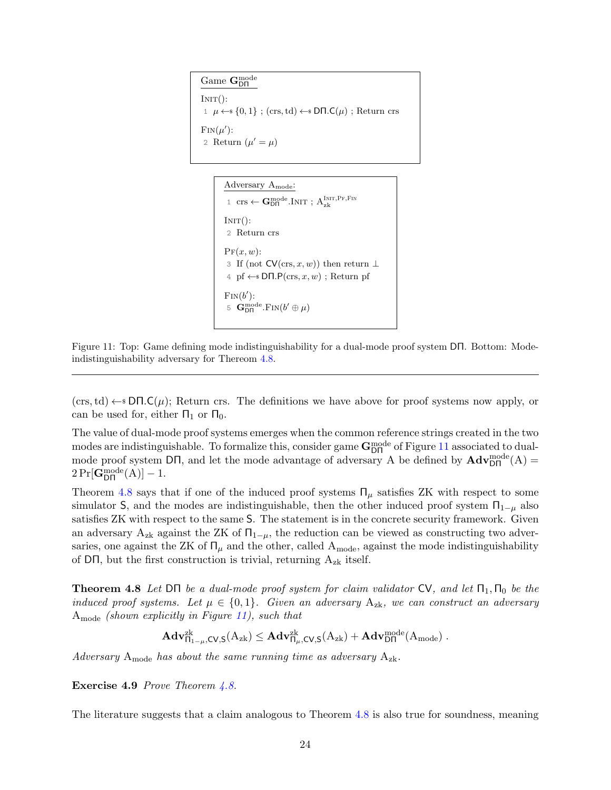<span id="page-23-1"></span>Game G<sub>DΠ</sub>  $INT():$  $1 \mu \leftarrow \{0, 1\}$ ; (crs, td)  $\leftarrow \{5}$  D $\Pi$ .C( $\mu$ ); Return crs  $\text{Fin}(\mu')$ : 2 Return  $(\mu' = \mu)$ 

> Adversary  $A_{\text{mode}}$ : 1 crs  $\leftarrow \mathbf{G}_\text{D\Pi}^\text{mode}.\text{INIT};\,\mathrm{A}_\text{zk}^\text{INIT,PF,FIN}$  $INT():$ 2 Return crs  $Pr(x, w)$ : 3 If (not  $CV(crs, x, w)$ ) then return  $\perp$ 4 pf ← **DΠ.P**(crs,  $x, w$ ); Return pf  $\text{Fin}(b)$  $\overline{a}$ ): 5  $G_{\text{D}\Pi}^{\text{mode}}$  $_{\text{D}\Pi}^{\text{mode}}$ . $\text{FIN}(b$  $\theta' \oplus \mu$

Figure 11: Top: Game defining mode indistinguishability for a dual-mode proof system DΠ. Bottom: Modeindistinguishability adversary for Thereom [4.8.](#page-23-0)

 $(crs, td) \leftarrow s$  DΠ.C( $\mu$ ); Return crs. The definitions we have above for proof systems now apply, or can be used for, either  $\Pi_1$  or  $\Pi_0$ .

The value of dual-mode proof systems emerges when the common reference strings created in the two modes are indistinguishable. To formalize this, consider game  $G_{DT}^{mode}$  of Figure [11](#page-23-1) associated to dualmode proof system DΠ, and let the mode advantage of adversary A be defined by  $\mathbf{Adv}_{\text{DH}}^{\text{mode}}(A)$  =  $2\Pr[\mathbf{G}_{\text{D}\Pi}^{\text{mode}}(A)] - 1.$ 

Theorem [4.8](#page-23-0) says that if one of the induced proof systems  $\Pi_{\mu}$  satisfies ZK with respect to some simulator S, and the modes are indistinguishable, then the other induced proof system  $\Pi_{1-\mu}$  also satisfies ZK with respect to the same S. The statement is in the concrete security framework. Given an adversary A<sub>zk</sub> against the ZK of  $\Pi_{1-\mu}$ , the reduction can be viewed as constructing two adversaries, one against the ZK of  $\Pi_{\mu}$  and the other, called A<sub>mode</sub>, against the mode indistinguishability of DΠ, but the first construction is trivial, returning  $A_{zk}$  itself.

<span id="page-23-0"></span>**Theorem 4.8** Let DΠ be a dual-mode proof system for claim validator CV, and let  $\Pi_1$ ,  $\Pi_0$  be the induced proof systems. Let  $\mu \in \{0,1\}$ . Given an adversary  $A_{zk}$ , we can construct an adversary  $A_{\text{mode}}$  (shown explicitly in Figure [11\)](#page-23-1), such that

$$
\mathbf{Adv}_{\Pi_{1-\mu},\mathsf{CV},\mathsf{S}}^{\mathrm{zk}}(\mathrm{A}_{\mathrm{zk}})\leq \mathbf{Adv}_{\Pi_{\mu},\mathsf{CV},\mathsf{S}}^{\mathrm{zk}}(\mathrm{A}_{\mathrm{zk}})+\mathbf{Adv}_{\mathsf{DT}}^{\mathrm{mode}}(\mathrm{A}_{\mathrm{mode}})\ .
$$

Adversary  $A_{\text{mode}}$  has about the same running time as adversary  $A_{\text{zk}}$ .

Exercise 4.9 Prove Theorem [4.8.](#page-23-0)

The literature suggests that a claim analogous to Theorem [4.8](#page-23-0) is also true for soundness, meaning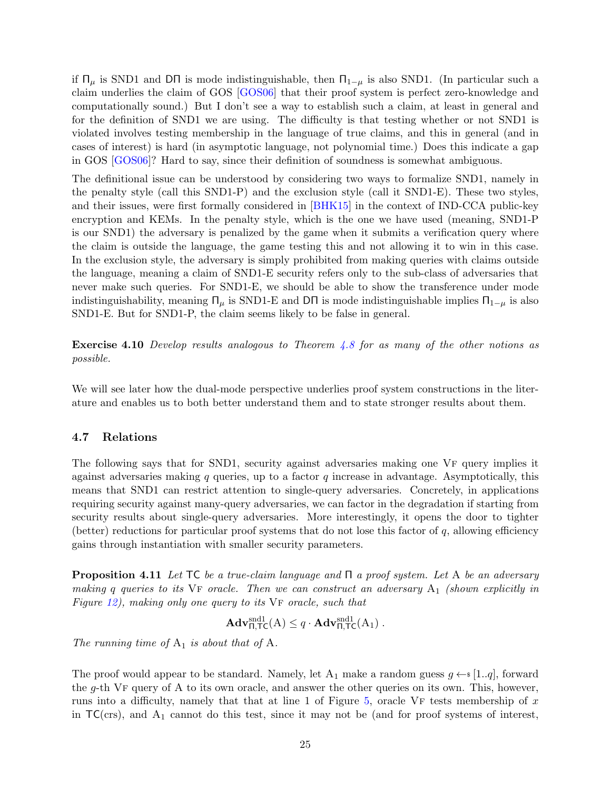<span id="page-24-2"></span>if  $\Pi_{\mu}$  is SND1 and DΠ is mode indistinguishable, then  $\Pi_{1-\mu}$  is also SND1. (In particular such a claim underlies the claim of GOS [\[GOS06\]](#page-70-7) that their proof system is perfect zero-knowledge and computationally sound.) But I don't see a way to establish such a claim, at least in general and for the definition of SND1 we are using. The difficulty is that testing whether or not SND1 is violated involves testing membership in the language of true claims, and this in general (and in cases of interest) is hard (in asymptotic language, not polynomial time.) Does this indicate a gap in GOS [\[GOS06\]](#page-70-7)? Hard to say, since their definition of soundness is somewhat ambiguous.

The definitional issue can be understood by considering two ways to formalize SND1, namely in the penalty style (call this SND1-P) and the exclusion style (call it SND1-E). These two styles, and their issues, were first formally considered in [\[BHK15\]](#page-69-9) in the context of IND-CCA public-key encryption and KEMs. In the penalty style, which is the one we have used (meaning, SND1-P is our SND1) the adversary is penalized by the game when it submits a verification query where the claim is outside the language, the game testing this and not allowing it to win in this case. In the exclusion style, the adversary is simply prohibited from making queries with claims outside the language, meaning a claim of SND1-E security refers only to the sub-class of adversaries that never make such queries. For SND1-E, we should be able to show the transference under mode indistinguishability, meaning  $\Pi_{\mu}$  is SND1-E and D $\Pi$  is mode indistinguishable implies  $\Pi_{1-\mu}$  is also SND1-E. But for SND1-P, the claim seems likely to be false in general.

**Exercise 4.10** Develop results analogous to Theorem  $4.8$  for as many of the other notions as possible.

We will see later how the dual-mode perspective underlies proof system constructions in the literature and enables us to both better understand them and to state stronger results about them.

#### <span id="page-24-0"></span>4.7 Relations

The following says that for SND1, security against adversaries making one VF query implies it against adversaries making q queries, up to a factor q increase in advantage. Asymptotically, this means that SND1 can restrict attention to single-query adversaries. Concretely, in applications requiring security against many-query adversaries, we can factor in the degradation if starting from security results about single-query adversaries. More interestingly, it opens the door to tighter (better) reductions for particular proof systems that do not lose this factor of  $q$ , allowing efficiency gains through instantiation with smaller security parameters.

<span id="page-24-1"></span>**Proposition 4.11** Let TC be a true-claim language and  $\Pi$  a proof system. Let A be an adversary making q queries to its VF oracle. Then we can construct an adversary  $A_1$  (shown explicitly in Figure  $12$ ), making only one query to its  $VF$  oracle, such that

$$
\mathbf{Adv}_{\Pi,\mathsf{TC}}^{\text{snd1}}(A) \leq q \cdot \mathbf{Adv}_{\Pi,\mathsf{TC}}^{\text{snd1}}(A_1) .
$$

The running time of  $A_1$  is about that of  $A$ .

The proof would appear to be standard. Namely, let  $A_1$  make a random guess  $g \leftarrow s [1..q]$ , forward the g-th VF query of A to its own oracle, and answer the other queries on its own. This, however, runs into a difficulty, namely that that at line 1 of Figure [5,](#page-16-0) oracle VF tests membership of  $x$ in  $TC(crs)$ , and  $A_1$  cannot do this test, since it may not be (and for proof systems of interest,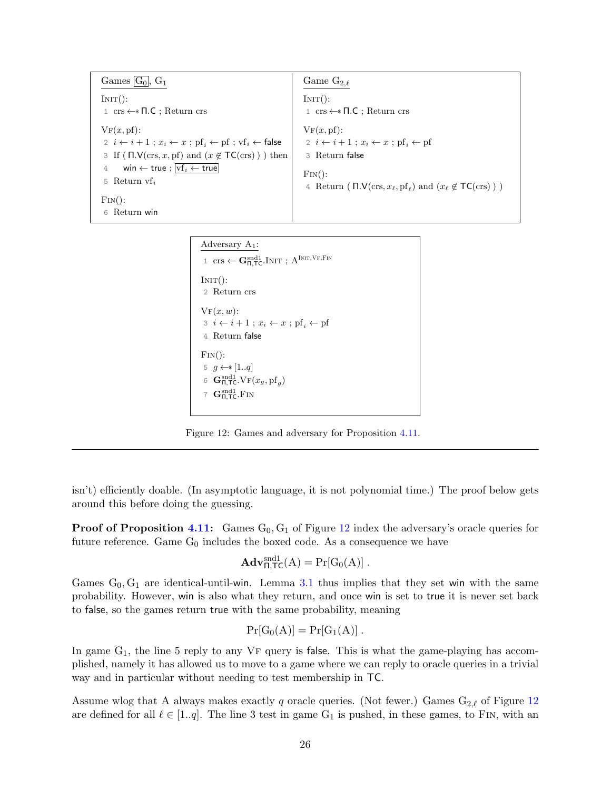<span id="page-25-0"></span>Games  $\boxed{G_0}$ ,  $G_1$  $INT():$ 1 crs ←\$ Π.C ; Return crs  $VF(x, pf)$ : 2  $i \leftarrow i + 1$ ;  $x_i \leftarrow x$ ;  $\text{pf}_i \leftarrow \text{pf}$ ;  $\text{vf}_i \leftarrow \text{false}$ 3 If ( $\Pi$ .V(crs, x, pf) and  $(x \notin \mathsf{TC}(\text{crs})$ ) then 4 win ← true ;  $\overline{vf_i}$  ← true 5 Return  $\mathbf{v} \mathbf{f}_i$  $\text{Fin}()$ : 6 Return win Game  $G_{2,\ell}$  $INT():$ 1 crs ←\$ Π.C ; Return crs  $VF(x, pf)$ : 2  $i \leftarrow i + 1$ ;  $x_i \leftarrow x$ ; pf<sub>i</sub> $\leftarrow$  pf 3 Return false  $FIN():$ 4 Return (Π. $V(\text{crs}, x_\ell, \text{pf}_\ell)$  and  $(x_\ell \notin \mathsf{TC}(\text{crs}) )$ )

```
Adversary A_1:
  1 \text{ crs} \leftarrow \mathbf{G}_{\Pi, \mathsf{T}\mathsf{C}}^{\text{snd}1}.\text{INIT}; \ \mathbf{A}^{\text{INIT}, \text{VF}, \text{FIN}}INT():2 Return crs
\mathrm{VF}(x, w):
 3 \ i \leftarrow i + 1 ; x_i \leftarrow x ; \text{pf}_i \leftarrow \text{pf}_i4 Return false
\text{FIN}():
 5 g \leftarrow s [1..q]6 \mathbf{G}_{\Pi,\mathsf{T}\mathsf{C}}^{\text{snd}1}. \mathrm{VF}(x_g, \mathrm{pf}_g)7 \mathbf{G}_{\Pi,\mathsf{TC}}^{\text{snd}1}. Fin
```
Figure 12: Games and adversary for Proposition [4.11.](#page-24-1)

isn't) efficiently doable. (In asymptotic language, it is not polynomial time.) The proof below gets around this before doing the guessing.

**Proof of Proposition [4.11:](#page-24-1)** Games  $G_0, G_1$  of Figure [12](#page-25-0) index the adversary's oracle queries for future reference. Game  $G_0$  includes the boxed code. As a consequence we have

$$
\mathbf{Adv}_{\Pi,\mathsf{TC}}^{\text{snd1}}(A) = \Pr[G_0(A)] .
$$

Games  $G_0, G_1$  are identical-until-win. Lemma [3.1](#page-9-0) thus implies that they set win with the same probability. However, win is also what they return, and once win is set to true it is never set back to false, so the games return true with the same probability, meaning

$$
\Pr[G_0(A)] = \Pr[G_1(A)] .
$$

In game  $G_1$ , the line 5 reply to any  $VF$  query is false. This is what the game-playing has accomplished, namely it has allowed us to move to a game where we can reply to oracle queries in a trivial way and in particular without needing to test membership in TC.

Assume wlog that A always makes exactly q oracle queries. (Not fewer.) Games  $G_{2,\ell}$  of Figure [12](#page-25-0) are defined for all  $\ell \in [1..q]$ . The line 3 test in game G<sub>1</sub> is pushed, in these games, to FIN, with an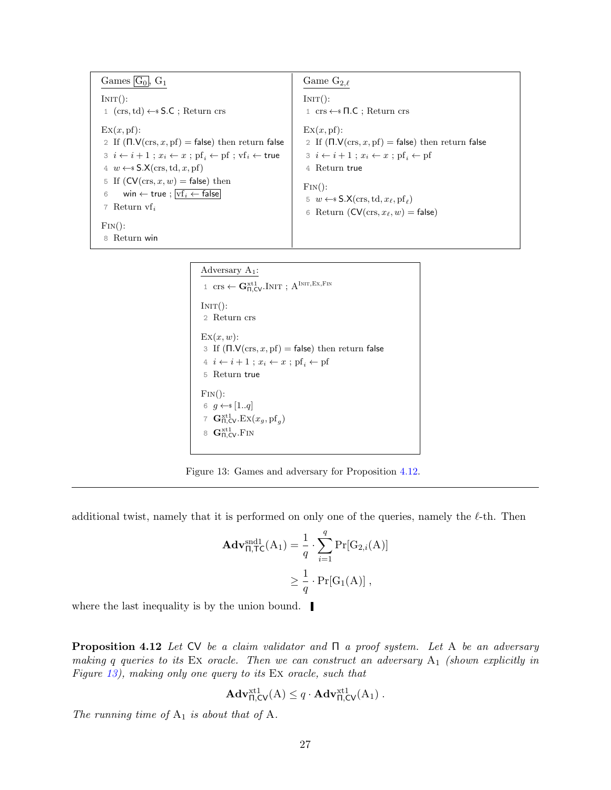<span id="page-26-1"></span>Games  $\boxed{G_0}$ ,  $G_1$  $INT():$ 1 (crs, td)  $\leftarrow$  \$ S.C ; Return crs  $\operatorname{Ex}(x, \operatorname{pf})$ : 2 If  $(\Pi.V(\text{crs}, x, pf) = false)$  then return false  $3 \ i \leftarrow i + 1; x_i \leftarrow x; \text{pf}_i \leftarrow \text{pf}_i \leftarrow \text{true}$ 4  $w \leftarrow$  S.X(crs, td, x, pf) 5 If  $(CV(crs, x, w) = false)$  then 6 win  $\leftarrow$  true ;  $\overline{vf_i \leftarrow false}$ 7 Return vf $_i$  $\text{Fin}()$ : 8 Return win Game  $G_{2,\ell}$  $INT():$ 1 crs ←\$ Π.C ; Return crs  $\mathrm{Ex}(x, \mathrm{pf})$ : 2 If  $(\Pi.V(crs, x, pf) = false)$  then return false 3  $i \leftarrow i + 1$ ;  $x_i \leftarrow x$ ;  $\text{pf}_i \leftarrow \text{pf}_i$ 4 Return true  $FIN()$ : 5  $w \leftarrow$  \$  $\mathsf{S}.\mathsf{X}(\text{crs},\text{td},x_\ell,\text{pf}_\ell)$ 6 Return ( $CV(crs, x_\ell, w) =$  false)

### Adversary A1:

 $1 \text{ crs} \leftarrow \mathbf{G}_{\Pi,\mathsf{CV}}^{\text{xt1}}.\text{Init}; \ \mathbf{A}^{\text{Init},\text{Ex},\text{Fin}}$  $INT():$ 2 Return crs  $\mathrm{Ex}(x,w)$ : 3 If  $(\Pi.V(\text{crs}, x, \text{pf}) = \text{false})$  then return false  $4\ i \leftarrow i + 1$ ;  $x_i \leftarrow x$ ;  $\text{pf}_i \leftarrow \text{pf}_i$ 5 Return true  $\text{Fin}()$ : 6  $g \leftarrow s [1..q]$ 7  $\mathbf{G}_{\Pi,\text{CV}}^{\text{xt1}}$ .  $\text{Ex}(x_g, \text{pf}_g)$ 8  $\mathbf{G}_{\Pi,\mathsf{CV}}^{\text{xt1}}$ . Fin

Figure 13: Games and adversary for Proposition [4.12.](#page-26-0)

additional twist, namely that it is performed on only one of the queries, namely the  $\ell$ -th. Then

$$
\mathbf{Adv}_{\Pi, \mathsf{TC}}^{\text{snd1}}(A_1) = \frac{1}{q} \cdot \sum_{i=1}^{q} \Pr[G_{2,i}(A)]
$$

$$
\geq \frac{1}{q} \cdot \Pr[G_1(A)],
$$

<span id="page-26-0"></span>where the last inequality is by the union bound.

**Proposition 4.12** Let CV be a claim validator and  $\Pi$  a proof system. Let A be an adversary making q queries to its Ex oracle. Then we can construct an adversary  $A_1$  (shown explicitly in Figure [13\)](#page-26-1), making only one query to its Ex oracle, such that

$$
\mathbf{Adv}_{\Pi,\mathsf{CV}}^{\mathrm{xt}1}(\mathsf{A}) \leq q \cdot \mathbf{Adv}_{\Pi,\mathsf{CV}}^{\mathrm{xt}1}(\mathsf{A}_1) .
$$

The running time of  $A_1$  is about that of A.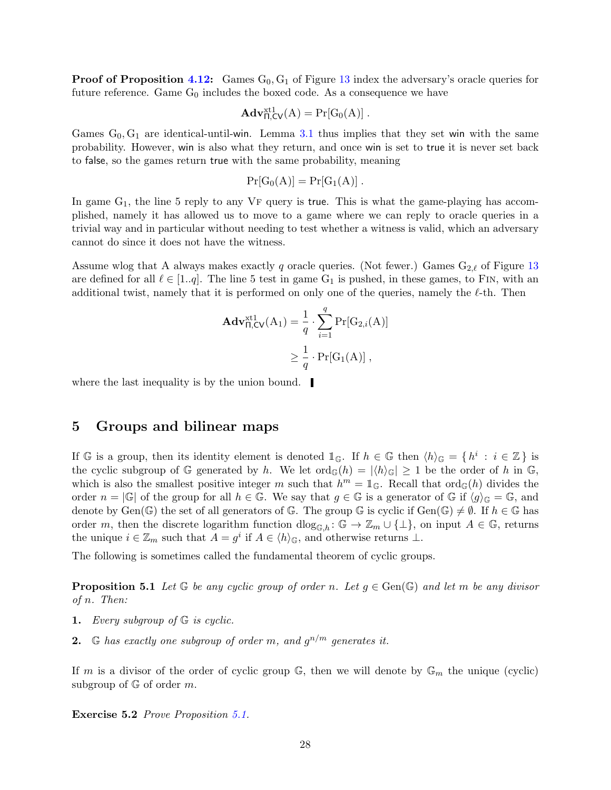**Proof of Proposition [4.12:](#page-26-0)** Games  $G_0, G_1$  of Figure [13](#page-26-1) index the adversary's oracle queries for future reference. Game  $G_0$  includes the boxed code. As a consequence we have

$$
\mathbf{Adv}_{\Pi,\mathsf{CV}}^{\mathrm{xt1}}(\mathrm{A}) = \Pr[\mathrm{G}_0(\mathrm{A})] .
$$

Games  $G_0, G_1$  are identical-until-win. Lemma [3.1](#page-9-0) thus implies that they set win with the same probability. However, win is also what they return, and once win is set to true it is never set back to false, so the games return true with the same probability, meaning

$$
Pr[G_0(A)] = Pr[G_1(A)] .
$$

In game  $G_1$ , the line 5 reply to any VF query is true. This is what the game-playing has accomplished, namely it has allowed us to move to a game where we can reply to oracle queries in a trivial way and in particular without needing to test whether a witness is valid, which an adversary cannot do since it does not have the witness.

Assume wlog that A always makes exactly q oracle queries. (Not fewer.) Games  $G_{2,\ell}$  of Figure [13](#page-26-1) are defined for all  $\ell \in [1..q]$ . The line 5 test in game G<sub>1</sub> is pushed, in these games, to FIN, with an additional twist, namely that it is performed on only one of the queries, namely the  $\ell$ -th. Then

$$
\mathbf{Adv}_{\Pi,\mathsf{CV}}^{\text{xt1}}(\mathsf{A}_1) = \frac{1}{q} \cdot \sum_{i=1}^{q} \Pr[\mathsf{G}_{2,i}(\mathsf{A})]
$$

$$
\geq \frac{1}{q} \cdot \Pr[\mathsf{G}_1(\mathsf{A})],
$$

where the last inequality is by the union bound.

### <span id="page-27-0"></span>5 Groups and bilinear maps

If G is a group, then its identity element is denoted  $\mathbb{1}_{\mathbb{G}}$ . If  $h \in \mathbb{G}$  then  $\langle h \rangle_{\mathbb{G}} = \{ h^i : i \in \mathbb{Z} \}$  is the cyclic subgroup of G generated by h. We let  $\text{ord}_{\mathbb{G}}(h) = |\langle h \rangle_{\mathbb{G}}| \geq 1$  be the order of h in G, which is also the smallest positive integer m such that  $h^m = \mathbb{1}_{\mathbb{G}}$ . Recall that  $\text{ord}_{\mathbb{G}}(h)$  divides the order  $n = |\mathbb{G}|$  of the group for all  $h \in \mathbb{G}$ . We say that  $q \in \mathbb{G}$  is a generator of  $\mathbb{G}$  if  $\langle q \rangle_{\mathbb{G}} = \mathbb{G}$ , and denote by Gen( $\mathbb{G}$ ) the set of all generators of  $\mathbb{G}$ . The group  $\mathbb{G}$  is cyclic if  $Gen(\mathbb{G}) \neq \emptyset$ . If  $h \in \mathbb{G}$  has order m, then the discrete logarithm function  $\text{dlog}_{\mathbb{G},h}$ :  $\mathbb{G} \to \mathbb{Z}_m \cup \{\perp\}$ , on input  $A \in \mathbb{G}$ , returns the unique  $i \in \mathbb{Z}_m$  such that  $A = g^i$  if  $A \in \langle h \rangle_{\mathbb{G}}$ , and otherwise returns  $\bot$ .

<span id="page-27-1"></span>The following is sometimes called the fundamental theorem of cyclic groups.

**Proposition 5.1** Let G be any cyclic group of order n. Let  $g \in Gen(\mathbb{G})$  and let m be any divisor of n. Then:

- 1. Every subgroup of  $G$  is cyclic.
- **2.**  $\mathbb{G}$  has exactly one subgroup of order m, and  $g^{n/m}$  generates it.

If m is a divisor of the order of cyclic group  $\mathbb{G}$ , then we will denote by  $\mathbb{G}_m$  the unique (cyclic) subgroup of  $\mathbb{G}$  of order  $m$ .

Exercise 5.2 Prove Proposition [5.1.](#page-27-1)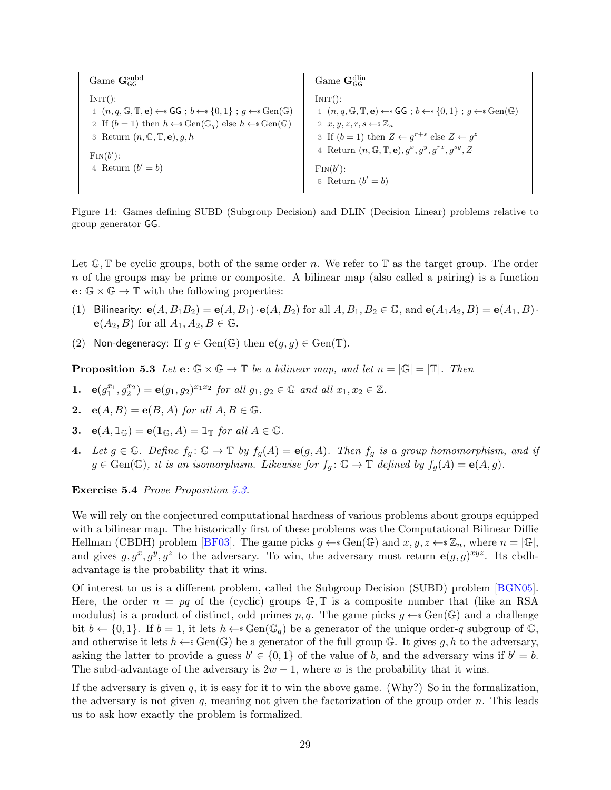<span id="page-28-2"></span><span id="page-28-1"></span>

| Game $\mathbf{G}_{\text{GC}}^{\text{subd}}$                                                                                                  | Game $\mathbf{G}_{\text{GC}}^{\text{dlin}}$                                                                                                           |
|----------------------------------------------------------------------------------------------------------------------------------------------|-------------------------------------------------------------------------------------------------------------------------------------------------------|
| INT():                                                                                                                                       | INT():                                                                                                                                                |
| 1 $(n, q, \mathbb{G}, \mathbb{T}, e) \leftarrow s \mathsf{GG}$ ; $b \leftarrow s \{0, 1\}$ ; $q \leftarrow s \operatorname{Gen}(\mathbb{G})$ | 1 $(n, q, \mathbb{G}, \mathbb{T}, \mathbf{e}) \leftarrow s \mathsf{GG}$ ; $b \leftarrow s \{0, 1\}$ ; $q \leftarrow s \operatorname{Gen}(\mathbb{G})$ |
| 2 If $(b = 1)$ then $h \leftarrow s \text{Gen}(\mathbb{G}_q)$ else $h \leftarrow s \text{Gen}(\mathbb{G})$                                   | 2 $x, y, z, r, s \leftarrow \mathcal{Z}_n$                                                                                                            |
| 3 Return $(n, \mathbb{G}, \mathbb{T}, e), q, h$                                                                                              | 3 If $(b = 1)$ then $Z \leftarrow q^{r+s}$ else $Z \leftarrow q^z$                                                                                    |
| $\text{Fin}(b')$ :                                                                                                                           | 4 Return $(n, \mathbb{G}, \mathbb{T}, e), q^x, q^y, q^{rx}, q^{sy}, Z$                                                                                |
| 4 Return $(b'=b)$                                                                                                                            | $\text{Fin}(b')$ :                                                                                                                                    |
|                                                                                                                                              | 5 Return $(b' = b)$                                                                                                                                   |

Figure 14: Games defining SUBD (Subgroup Decision) and DLIN (Decision Linear) problems relative to group generator GG.

Let  $\mathbb{G}, \mathbb{T}$  be cyclic groups, both of the same order n. We refer to  $\mathbb{T}$  as the target group. The order  $n$  of the groups may be prime or composite. A bilinear map (also called a pairing) is a function  $\mathbf{e} \colon \mathbb{G} \times \mathbb{G} \to \mathbb{T}$  with the following properties:

- (1) Bilinearity:  $e(A, B_1B_2) = e(A, B_1) \cdot e(A, B_2)$  for all  $A, B_1, B_2 \in \mathbb{G}$ , and  $e(A_1A_2, B) = e(A_1, B) \cdot e(B_1B_2)$  $e(A_2, B)$  for all  $A_1, A_2, B \in \mathbb{G}$ .
- <span id="page-28-0"></span>(2) Non-degeneracy: If  $g \in \text{Gen}(\mathbb{G})$  then  $e(g, g) \in \text{Gen}(\mathbb{T})$ .

**Proposition 5.3** Let  $\mathbf{e}: \mathbb{G} \times \mathbb{G} \to \mathbb{T}$  be a bilinear map, and let  $n = |\mathbb{G}| = |\mathbb{T}|$ . Then

- **1.**  $e(g_1^{x_1}, g_2^{x_2}) = e(g_1, g_2)^{x_1x_2}$  for all  $g_1, g_2 \in \mathbb{G}$  and all  $x_1, x_2 \in \mathbb{Z}$ .
- 2.  $e(A, B) = e(B, A)$  for all  $A, B \in \mathbb{G}$ .
- 3.  $e(A, \mathbb{1}_{\mathbb{G}}) = e(\mathbb{1}_{\mathbb{G}}, A) = \mathbb{1}_{\mathbb{T}}$  for all  $A \in \mathbb{G}$ .
- 4. Let  $g \in \mathbb{G}$ . Define  $f_g : \mathbb{G} \to \mathbb{T}$  by  $f_g(A) = e(g, A)$ . Then  $f_g$  is a group homomorphism, and if  $g \in Gen(\mathbb{G})$ , it is an isomorphism. Likewise for  $f_g : \mathbb{G} \to \mathbb{T}$  defined by  $f_g(A) = e(A, g)$ .

#### Exercise 5.4 Prove Proposition [5.3.](#page-28-0)

We will rely on the conjectured computational hardness of various problems about groups equipped with a bilinear map. The historically first of these problems was the Computational Bilinear Diffie Hellman (CBDH) problem [\[BF03\]](#page-68-8). The game picks  $g \leftarrow s \text{Gen}(\mathbb{G})$  and  $x, y, z \leftarrow s \mathbb{Z}_n$ , where  $n = |\mathbb{G}|$ , and gives  $g, g^x, g^y, g^z$  to the adversary. To win, the adversary must return  $e(g, g)^{xyz}$ . Its cbdhadvantage is the probability that it wins.

Of interest to us is a different problem, called the Subgroup Decision (SUBD) problem [\[BGN05\]](#page-68-9). Here, the order  $n = pq$  of the (cyclic) groups  $\mathbb{G}, \mathbb{T}$  is a composite number that (like an RSA modulus) is a product of distinct, odd primes  $p, q$ . The game picks  $g \leftarrow s$  Gen(G) and a challenge bit  $b \leftarrow \{0, 1\}$ . If  $b = 1$ , it lets  $h \leftarrow s \text{Gen}(\mathbb{G}_q)$  be a generator of the unique order-q subgroup of G. and otherwise it lets  $h \leftarrow s \text{Gen}(\mathbb{G})$  be a generator of the full group G. It gives g, h to the adversary, asking the latter to provide a guess  $b' \in \{0,1\}$  of the value of b, and the adversary wins if  $b' = b$ . The subd-advantage of the adversary is  $2w - 1$ , where w is the probability that it wins.

If the adversary is given q, it is easy for it to win the above game. (Why?) So in the formalization, the adversary is not given  $q$ , meaning not given the factorization of the group order  $n$ . This leads us to ask how exactly the problem is formalized.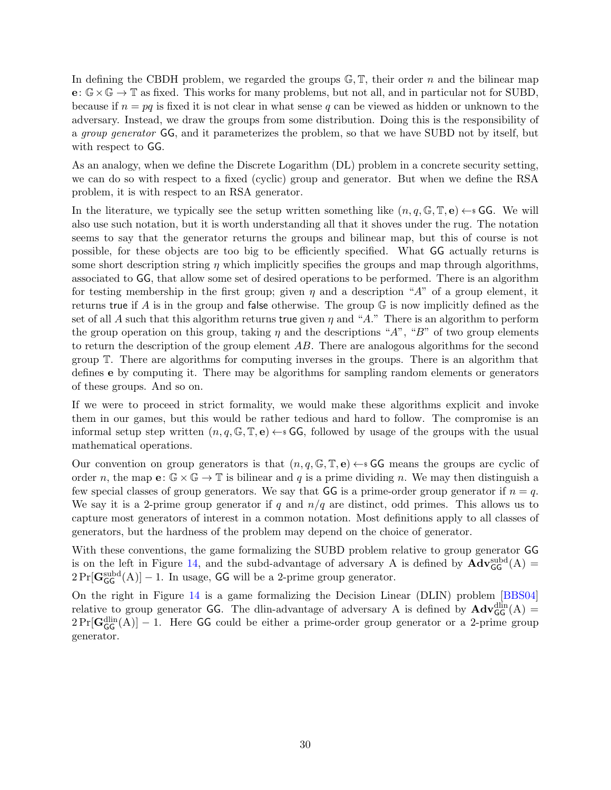<span id="page-29-0"></span>In defining the CBDH problem, we regarded the groups  $\mathbb{G}, \mathbb{T}$ , their order n and the bilinear map  $e: \mathbb{G} \times \mathbb{G} \to \mathbb{T}$  as fixed. This works for many problems, but not all, and in particular not for SUBD, because if  $n = pq$  is fixed it is not clear in what sense q can be viewed as hidden or unknown to the adversary. Instead, we draw the groups from some distribution. Doing this is the responsibility of a group generator GG, and it parameterizes the problem, so that we have SUBD not by itself, but with respect to GG.

As an analogy, when we define the Discrete Logarithm (DL) problem in a concrete security setting, we can do so with respect to a fixed (cyclic) group and generator. But when we define the RSA problem, it is with respect to an RSA generator.

In the literature, we typically see the setup written something like  $(n, q, \mathbb{G}, \mathbb{T}, e) \leftarrow s \mathsf{GG}$ . We will also use such notation, but it is worth understanding all that it shoves under the rug. The notation seems to say that the generator returns the groups and bilinear map, but this of course is not possible, for these objects are too big to be efficiently specified. What GG actually returns is some short description string  $\eta$  which implicitly specifies the groups and map through algorithms, associated to GG, that allow some set of desired operations to be performed. There is an algorithm for testing membership in the first group; given  $\eta$  and a description "A" of a group element, it returns true if A is in the group and false otherwise. The group  $\mathbb G$  is now implicitly defined as the set of all A such that this algorithm returns true given  $\eta$  and "A." There is an algorithm to perform the group operation on this group, taking  $\eta$  and the descriptions "A", "B" of two group elements to return the description of the group element AB. There are analogous algorithms for the second group T. There are algorithms for computing inverses in the groups. There is an algorithm that defines e by computing it. There may be algorithms for sampling random elements or generators of these groups. And so on.

If we were to proceed in strict formality, we would make these algorithms explicit and invoke them in our games, but this would be rather tedious and hard to follow. The compromise is an informal setup step written  $(n, q, \mathbb{G}, \mathbb{T}, e) \leftarrow s$  GG, followed by usage of the groups with the usual mathematical operations.

Our convention on group generators is that  $(n, q, \mathbb{G}, \mathbb{T}, e) \leftarrow$  GG means the groups are cyclic of order n, the map  $e: \mathbb{G} \times \mathbb{G} \to \mathbb{T}$  is bilinear and q is a prime dividing n. We may then distinguish a few special classes of group generators. We say that GG is a prime-order group generator if  $n = q$ . We say it is a 2-prime group generator if q and  $n/q$  are distinct, odd primes. This allows us to capture most generators of interest in a common notation. Most definitions apply to all classes of generators, but the hardness of the problem may depend on the choice of generator.

With these conventions, the game formalizing the SUBD problem relative to group generator GG is on the left in Figure [14,](#page-28-1) and the subd-advantage of adversary A is defined by  $\mathbf{Adv}_{\mathsf{GG}}^{\text{subd}}(A)$  =  $2\Pr[\mathbf{G}_{\mathsf{GG}}^{\text{subd}}(A)] - 1$ . In usage, GG will be a 2-prime group generator.

On the right in Figure [14](#page-28-1) is a game formalizing the Decision Linear (DLIN) problem [\[BBS04\]](#page-68-10) relative to group generator **GG**. The dlin-advantage of adversary A is defined by  $\mathbf{Adv}_{GG}^{\text{dlin}}(A)$  =  $2\Pr[\mathbf{G}_{\mathsf{GG}}^{\text{dim}}(A)] - 1$ . Here GG could be either a prime-order group generator or a 2-prime group generator.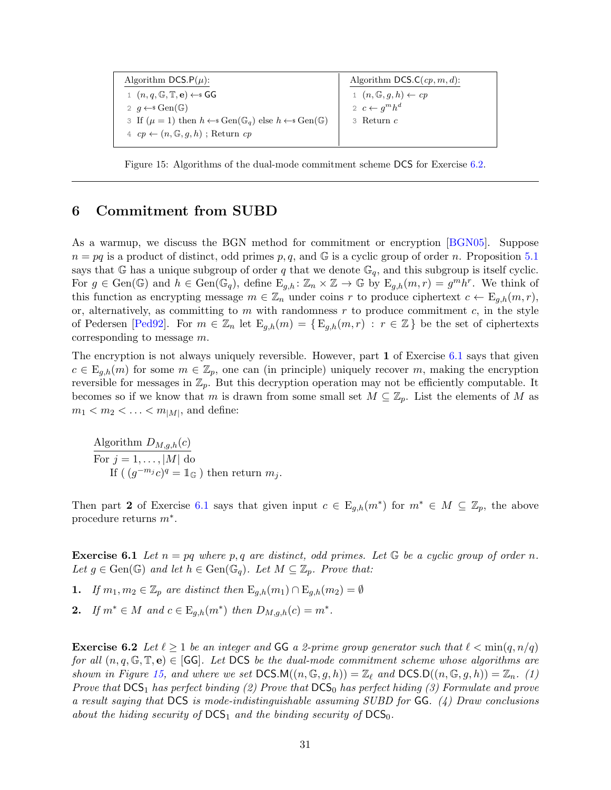<span id="page-30-4"></span><span id="page-30-3"></span>

| Algorithm DCS. $P(\mu)$ :                                                                                    | Algorithm DCS.C $(cp, m, d)$ :          |
|--------------------------------------------------------------------------------------------------------------|-----------------------------------------|
| 1 $(n, q, \mathbb{G}, \mathbb{T}, e) \leftarrow s \mathsf{GG}$                                               | $1 (n, \mathbb{G}, q, h) \leftarrow cp$ |
| 2 $q \leftarrow s$ Gen( $\mathbb{G}$ )                                                                       | 2 $c \leftarrow q^m h^d$                |
| 3 If $(\mu = 1)$ then $h \leftarrow s \text{Gen}(\mathbb{G}_q)$ else $h \leftarrow s \text{Gen}(\mathbb{G})$ | $3$ Return $c$                          |
| $4 \, cp \leftarrow (n, \mathbb{G}, q, h)$ ; Return cp                                                       |                                         |

Figure 15: Algorithms of the dual-mode commitment scheme DCS for Exercise [6.2.](#page-30-1)

### <span id="page-30-0"></span>6 Commitment from SUBD

As a warmup, we discuss the BGN method for commitment or encryption [\[BGN05\]](#page-68-9). Suppose  $n = pq$  is a product of distinct, odd primes p, q, and  $\mathbb{G}$  is a cyclic group of order n. Proposition [5.1](#page-27-1) says that G has a unique subgroup of order q that we denote  $\mathbb{G}_q$ , and this subgroup is itself cyclic. For  $g \in \text{Gen}(\mathbb{G})$  and  $h \in \text{Gen}(\mathbb{G}_q)$ , define  $E_{g,h} \colon \mathbb{Z}_n \times \mathbb{Z} \to \mathbb{G}$  by  $E_{g,h}(m,r) = g^m h^r$ . We think of this function as encrypting message  $m \in \mathbb{Z}_n$  under coins r to produce ciphertext  $c \leftarrow E_{g,h}(m,r)$ , or, alternatively, as committing to  $m$  with randomness  $r$  to produce commitment  $c$ , in the style of Pedersen [\[Ped92\]](#page-70-8). For  $m \in \mathbb{Z}_n$  let  $E_{q,h}(m) = \{E_{q,h}(m,r) : r \in \mathbb{Z}\}\$  be the set of ciphertexts corresponding to message m.

The encryption is not always uniquely reversible. However, part 1 of Exercise [6.1](#page-30-2) says that given  $c \in \mathrm{E}_{q,h}(m)$  for some  $m \in \mathbb{Z}_p$ , one can (in principle) uniquely recover m, making the encryption reversible for messages in  $\mathbb{Z}_p$ . But this decryption operation may not be efficiently computable. It becomes so if we know that m is drawn from some small set  $M \subseteq \mathbb{Z}_p$ . List the elements of M as  $m_1 < m_2 < \ldots < m_{|M|}$ , and define:

Algorithm  $D_{M,g,h}(c)$ For  $j = 1, \ldots, |M|$  do If  $((g^{-m_j}c)^q = \mathbb{1}_{\mathbb{G}})$  then return  $m_j$ .

<span id="page-30-2"></span>Then part 2 of Exercise [6.1](#page-30-2) says that given input  $c \in E_{g,h}(m^*)$  for  $m^* \in M \subseteq \mathbb{Z}_p$ , the above procedure returns  $m^*$ .

**Exercise 6.1** Let  $n = pq$  where p, q are distinct, odd primes. Let  $\mathbb{G}$  be a cyclic group of order n. Let  $g \in \text{Gen}(\mathbb{G})$  and let  $h \in \text{Gen}(\mathbb{G}_q)$ . Let  $M \subseteq \mathbb{Z}_p$ . Prove that:

1. If  $m_1, m_2 \in \mathbb{Z}_p$  are distinct then  $\mathbb{E}_{q,h}(m_1) \cap \mathbb{E}_{q,h}(m_2) = \emptyset$ 

2. If  $m^* \in M$  and  $c \in E_{g,h}(m^*)$  then  $D_{M,g,h}(c) = m^*$ .

<span id="page-30-1"></span>**Exercise 6.2** Let  $\ell \geq 1$  be an integer and GG a 2-prime group generator such that  $\ell < \min(q, n/q)$ for all  $(n, q, \mathbb{G}, \mathbb{T}, e) \in |GG|$ . Let DCS be the dual-mode commitment scheme whose algorithms are shown in Figure [15,](#page-30-3) and where we set  $DCSM((n, \mathbb{G}, g, h)) = \mathbb{Z}_{\ell}$  and  $DCSD((n, \mathbb{G}, g, h)) = \mathbb{Z}_{n}$ . (1) Prove that  $DCS<sub>1</sub>$  has perfect binding (2) Prove that  $DCS<sub>0</sub>$  has perfect hiding (3) Formulate and prove a result saying that DCS is mode-indistinguishable assuming SUBD for  $GG$ . (4) Draw conclusions about the hiding security of  $DCS_1$  and the binding security of  $DCS_0$ .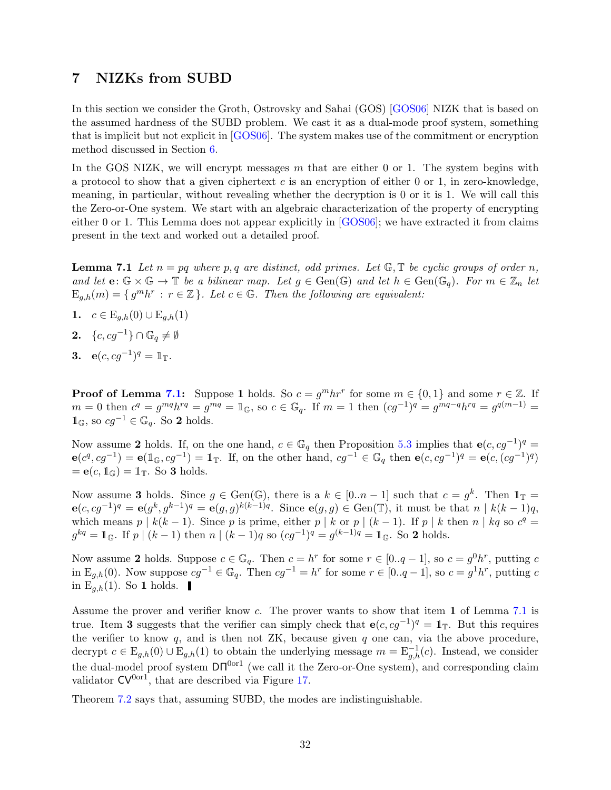## <span id="page-31-3"></span><span id="page-31-0"></span>7 NIZKs from SUBD

In this section we consider the Groth, Ostrovsky and Sahai (GOS) [\[GOS06\]](#page-70-7) NIZK that is based on the assumed hardness of the SUBD problem. We cast it as a dual-mode proof system, something that is implicit but not explicit in [\[GOS06\]](#page-70-7). The system makes use of the commitment or encryption method discussed in Section [6.](#page-30-0)

In the GOS NIZK, we will encrypt messages m that are either 0 or 1. The system begins with a protocol to show that a given ciphertext  $c$  is an encryption of either 0 or 1, in zero-knowledge, meaning, in particular, without revealing whether the decryption is 0 or it is 1. We will call this the Zero-or-One system. We start with an algebraic characterization of the property of encrypting either 0 or 1. This Lemma does not appear explicitly in [\[GOS06\]](#page-70-7); we have extracted it from claims present in the text and worked out a detailed proof.

<span id="page-31-1"></span>**Lemma 7.1** Let  $n = pq$  where p, q are distinct, odd primes. Let  $\mathbb{G}, \mathbb{T}$  be cyclic groups of order n, and let  $\mathbf{e}: \mathbb{G} \times \mathbb{G} \to \mathbb{T}$  be a bilinear map. Let  $g \in \text{Gen}(\mathbb{G})$  and let  $h \in \text{Gen}(\mathbb{G}_q)$ . For  $m \in \mathbb{Z}_n$  let  $\mathbf{E}_{g,h}(m) = \{ g^m h^r : r \in \mathbb{Z} \}.$  Let  $c \in \mathbb{G}$ . Then the following are equivalent:

- 1.  $c \in E_{a,h}(0) \cup E_{a,h}(1)$
- 2.  $\{c, cq^{-1}\} \cap \mathbb{G}_q \neq \emptyset$
- 3.  $e(c, cg^{-1})^q = \mathbb{1}_\mathbb{T}$ .

**Proof of Lemma [7.1:](#page-31-1)** Suppose 1 holds. So  $c = g^m h r^r$  for some  $m \in \{0, 1\}$  and some  $r \in \mathbb{Z}$ . If  $m = 0$  then  $c^q = g^{mq}h^{rq} = g^{mq} = \mathbb{1}_{\mathbb{G}}$ , so  $c \in \mathbb{G}_q$ . If  $m = 1$  then  $(cg^{-1})^q = g^{mq-q}h^{rq} = g^{q(m-1)} =$  $\mathbb{1}_{\mathbb{G}}$ , so  $cg^{-1} \in \mathbb{G}_q$ . So 2 holds.

Now assume 2 holds. If, on the one hand,  $c \in \mathbb{G}_q$  then Proposition [5.3](#page-28-0) implies that  $e(c, cg^{-1})^q =$  $e(c^q, cg^{-1}) = e(\mathbb{1}_{\mathbb{G}}, cg^{-1}) = \mathbb{1}_{\mathbb{T}}$ . If, on the other hand,  $cg^{-1} \in \mathbb{G}_q$  then  $e(c, cg^{-1})^q = e(c, (cg^{-1})^q)$  $= \mathbf{e}(c, \mathbb{1}_{\mathbb{G}}) = \mathbb{1}_{\mathbb{T}}$ . So 3 holds.

Now assume 3 holds. Since  $g \in Gen(\mathbb{G})$ , there is a  $k \in [0..n-1]$  such that  $c = g^k$ . Then  $\mathbb{1}_{\mathbb{T}} =$  $e(c, cg^{-1})^q = e(g^k, g^{k-1})^q = e(g, g)^{k(k-1)q}$ . Since  $e(g, g) \in \text{Gen}(\mathbb{T})$ , it must be that  $n \mid k(k-1)q$ , which means  $p \mid k(k-1)$ . Since p is prime, either  $p \mid k$  or  $p \mid (k-1)$ . If  $p \mid k$  then  $n \mid kq$  so  $c^q =$  $g^{kq} = \mathbb{1}_{\mathbb{G}}$ . If  $p \mid (k-1)$  then  $n \mid (k-1)q$  so  $(cg^{-1})^q = g^{(k-1)q} = \mathbb{1}_{\mathbb{G}}$ . So 2 holds.

Now assume 2 holds. Suppose  $c \in \mathbb{G}_q$ . Then  $c = h^r$  for some  $r \in [0..q-1]$ , so  $c = g^0 h^r$ , putting c in  $E_{g,h}(0)$ . Now suppose  $cg^{-1} \in \mathbb{G}_q$ . Then  $cg^{-1} = h^r$  for some  $r \in [0..q-1]$ , so  $c = g^1 h^r$ , putting c in E<sub>g,h</sub>(1). So **1** holds.

Assume the prover and verifier know c. The prover wants to show that item 1 of Lemma [7.1](#page-31-1) is true. Item 3 suggests that the verifier can simply check that  $e(c, cg^{-1})^q = \mathbb{1}_{\mathbb{T}}$ . But this requires the verifier to know  $q$ , and is then not ZK, because given  $q$  one can, via the above procedure, decrypt  $c \in \mathcal{E}_{g,h}(0) \cup \mathcal{E}_{g,h}(1)$  to obtain the underlying message  $m = \mathcal{E}_{g,h}^{-1}(c)$ . Instead, we consider the dual-model proof system  $DT^{0or1}$  (we call it the Zero-or-One system), and corresponding claim validator  $CV^{0or1}$ , that are described via Figure [17.](#page-33-0)

<span id="page-31-2"></span>Theorem [7.2](#page-31-2) says that, assuming SUBD, the modes are indistinguishable.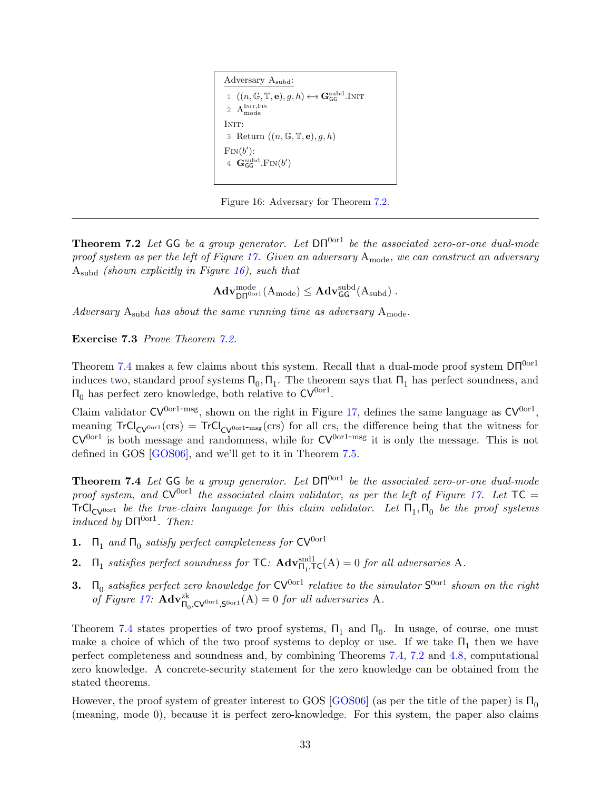<span id="page-32-2"></span><span id="page-32-0"></span>Adversary Asubd: 1  $((n, \mathbb{G}, \mathbb{T}, \mathbf{e}), g, h) \leftarrow \mathbb{S} \mathbf{G}_\mathsf{GG}^{\text{subd}}$ .Init 2  $A_{\text{mode}}^{\text{InIT,FIN}}$ INIT: 3 Return  $((n, \mathbb{G}, \mathbb{T}, \mathbf{e}), g, h)$  $\text{Fin}(b')$ : 4  $\mathbf{G}^{\rm subd}_{\mathsf{GG}}$  $_{\text{GG}}^{\text{subd}}$ .Fin $(b$  $\prime$ )

Figure 16: Adversary for Theorem [7.2.](#page-31-2)

**Theorem 7.2** Let GG be a group generator. Let  $DT^{0or1}$  be the associated zero-or-one dual-mode proof system as per the left of Figure [17.](#page-33-0) Given an adversary  $A_{\text{mode}}$ , we can construct an adversary  $A_{subd}$  (shown explicitly in Figure [16\)](#page-32-0), such that

 $\mathbf{Adv}_{\mathsf{D}\mathsf{\Pi}^{\rm{0or1}}}^{\rm{mode}}(\rm{A}_{\rm{mode}})\leq \mathbf{Adv}_{\mathsf{GG}}^{\rm{subd}}(\rm{A}_{\rm{subd}})\ .$ 

Adversary  $A_{subd}$  has about the same running time as adversary  $A_{\text{mode}}$ .

Exercise 7.3 Prove Theorem [7.2.](#page-31-2)

Theorem [7.4](#page-32-1) makes a few claims about this system. Recall that a dual-mode proof system  $DT^{0or1}$ induces two, standard proof systems  $\Pi_0$ ,  $\Pi_1$ . The theorem says that  $\Pi_1$  has perfect soundness, and  $\Pi_0$  has perfect zero knowledge, both relative to  $CV^{0or1}$ .

Claim validator  $CV^{0or1-msg}$ , shown on the right in Figure [17,](#page-33-0) defines the same language as  $CV^{0or1}$ , meaning  $TrCl_{CV^{0or1}}(crs) = TrCl_{CV^{0or1-msg}}(crs)$  for all crs, the difference being that the witness for  $CV<sup>0</sup>or<sup>1</sup>$  is both message and randomness, while for  $CV<sup>0</sup>or<sup>1-msg</sup>$  it is only the message. This is not defined in GOS [\[GOS06\]](#page-70-7), and we'll get to it in Theorem [7.5.](#page-35-0)

<span id="page-32-1"></span>**Theorem 7.4** Let GG be a group generator. Let  $DT^{0or1}$  be the associated zero-or-one dual-mode proof system, and  $CV^{0or1}$  the associated claim validator, as per the left of Figure [17.](#page-33-0) Let  $TC =$  $TrCl_{CV^{0\text{or}1}}$  be the true-claim language for this claim validator. Let  $\Pi_1, \Pi_0$  be the proof systems induced by  $DT^{0or1}$ . Then:

- **1.**  $\Pi_1$  and  $\Pi_0$  satisfy perfect completeness for  $CV^{0 \text{or} 1}$
- **2.**  $\Pi_1$  satisfies perfect soundness for TC:  $\mathbf{Adv}_{\Pi_1, \mathsf{TC}}^{\text{snd}}(A) = 0$  for all adversaries A.
- **3.**  $\Pi_0$  satisfies perfect zero knowledge for  $CV^{0 \text{or} 1}$  relative to the simulator  $S^{0 \text{or} 1}$  shown on the right of Figure [17:](#page-33-0)  $\mathbf{Adv}_{\Pi_0,\mathbf{CV}^{0 \text{or}1},\mathbf{S}^{0 \text{or}1}}^{2k}(\mathbf{A}) = 0$  for all adversaries A.

Theorem [7.4](#page-32-1) states properties of two proof systems,  $\Pi_1$  and  $\Pi_0$ . In usage, of course, one must make a choice of which of the two proof systems to deploy or use. If we take  $\Pi_1$  then we have perfect completeness and soundness and, by combining Theorems [7.4,](#page-32-1) [7.2](#page-31-2) and [4.8,](#page-23-0) computational zero knowledge. A concrete-security statement for the zero knowledge can be obtained from the stated theorems.

However, the proof system of greater interest to GOS [\[GOS06\]](#page-70-7) (as per the title of the paper) is  $\Pi_0$ (meaning, mode 0), because it is perfect zero-knowledge. For this system, the paper also claims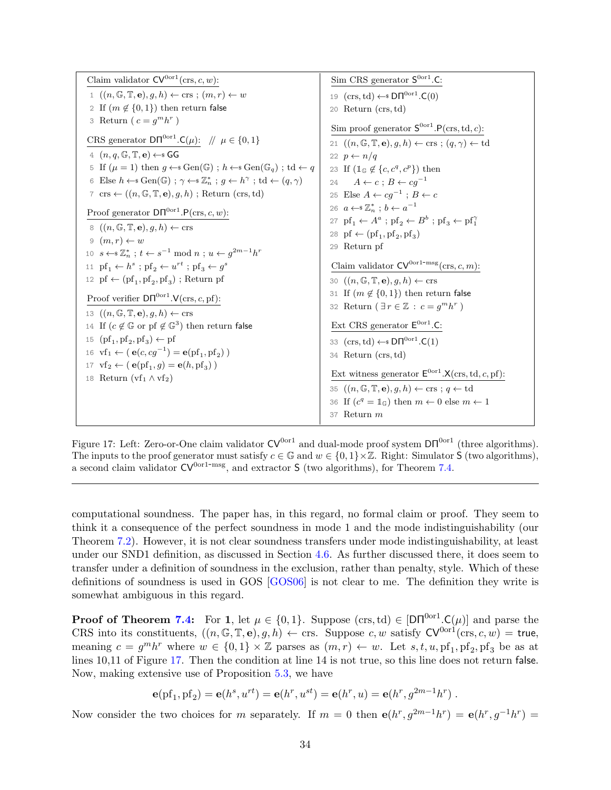<span id="page-33-1"></span><span id="page-33-0"></span>Claim validator  $CV^{0 \text{or} 1}(\text{crs}, c, w)$ : 1  $((n, \mathbb{G}, \mathbb{T}, \mathbf{e}), g, h) \leftarrow \text{crs} ; (m, r) \leftarrow w$ 2 If  $(m \notin \{0, 1\})$  then return false 3 Return  $(c = g^m h^r)$ CRS generator  $DT^{0or1}$ . $C(\mu)$ :  $\|\mu \in \{0, 1\}$ 4  $(n, q, \mathbb{G}, \mathbb{T}, e) \leftarrow s \mathsf{GG}$ 5 If  $(\mu = 1)$  then  $g \leftarrow s \text{Gen}(\mathbb{G})$ ;  $h \leftarrow s \text{Gen}(\mathbb{G}_q)$ ; td  $\leftarrow q$ 6 Else  $h \leftarrow s \text{Gen}(\mathbb{G})$ ;  $\gamma \leftarrow s \mathbb{Z}_n^*$ ;  $g \leftarrow h^{\gamma}$ ;  $\text{td} \leftarrow (q, \gamma)$ 7 crs  $\leftarrow ((n, \mathbb{G}, \mathbb{T}, \mathbf{e}), q, h)$ ; Return (crs, td) Proof generator  $DT^{0or1}.P(crs, c, w)$ : 8  $((n, \mathbb{G}, \mathbb{T}, \mathbf{e}), g, h) \leftarrow \text{crs}$  $9(m,r) \leftarrow w$ 10  $s \leftarrow \mathbb{Z}_n^*$ ;  $t \leftarrow s^{-1} \mod n$ ;  $u \leftarrow g^{2m-1}h^r$ 11  $\text{pf}_1 \leftarrow h^s$ ;  $\text{pf}_2 \leftarrow u^{rt}$ ;  $\text{pf}_3 \leftarrow g^s$ 12 pf  $\leftarrow$  (pf<sub>1</sub>, pf<sub>2</sub>, pf<sub>3</sub>); Return pf Proof verifier  $DT^{0or1}$ .  $V(crs, c, pf)$ : 13  $((n, \mathbb{G}, \mathbb{T}, \mathbf{e}), g, h) \leftarrow \text{crs}$ 14 If  $(c \notin \mathbb{G}$  or pf  $\notin \mathbb{G}^3$ ) then return false 15  $(\text{pf}_1, \text{pf}_2, \text{pf}_3) \leftarrow \text{pf}$ 16  $\text{vf}_1 \leftarrow (\mathbf{e}(c, cg^{-1}) = \mathbf{e}(\text{pf}_1, \text{pf}_2))$ 17  $\text{vf}_2 \leftarrow (\mathbf{e}(\text{pf}_1, g) = \mathbf{e}(h, \text{pf}_3))$ 18 Return  $(vf_1 \wedge vf_2)$ Sim CRS generator  $S^{0 \text{or} 1}$ .C: 19  $(\text{crs}, \text{td}) \leftarrow \text{D}\Pi^{\text{0or1}}$ .C(0) 20 Return (crs,td) Sim proof generator  $S^{0 \text{or} 1}$ .  $P(\text{crs}, \text{td}, c)$ : 21  $((n, \mathbb{G}, \mathbb{T}, \mathbf{e}), g, h) \leftarrow \text{crs}$ ;  $(q, \gamma) \leftarrow \text{td}$ 22  $p \leftarrow n/q$ 23 If  $(\mathbb{1}_{\mathbb{G}}\notin{\{c,c^q,c^p\}})$  then 24  $A \leftarrow c$ ;  $B \leftarrow cq^{-1}$ 25 Else  $A \leftarrow cg^{-1}$ ;  $B \leftarrow c$ 26  $a \leftarrow \mathscr{Z}_n^*$ ;  $b \leftarrow a^{-1}$ 27  $pf_1 \leftarrow A^a$ ;  $pf_2 \leftarrow B^b$ ;  $pf_3 \leftarrow pf_1^{\gamma}$ 28  $\text{pf} \leftarrow (\text{pf}_1, \text{pf}_2, \text{pf}_3)$ 29 Return pf Claim validator  $CV^{0 \text{or} 1-\text{msg}}(\text{crs}, c, m)$ : 30  $((n, \mathbb{G}, \mathbb{T}, \mathbf{e}), g, h) \leftarrow \text{crs}$ 31 If  $(m \notin \{0,1\})$  then return false 32 Return  $(\exists r \in \mathbb{Z} : c = g^m h^r)$ Ext CRS generator  $E^{0 \text{or} 1}$ .C: 33  $(cxs, td) \leftarrow s \textsf{DT}^{0or1}$ .C(1) 34 Return (crs,td) Ext witness generator  $\mathsf{E}^{\text{0or1}}$ . $\mathsf{X}(\text{crs},\text{td},c,\text{pf})$ : 35  $((n, \mathbb{G}, \mathbb{T}, \mathbf{e}), g, h) \leftarrow \text{crs}$ ;  $q \leftarrow \text{td}$ 36 If  $(c^q = \mathbb{1}_{\mathbb{G}})$  then  $m \leftarrow 0$  else  $m \leftarrow 1$ 37 Return m

Figure 17: Left: Zero-or-One claim validator  $CV^{0 \text{or} 1}$  and dual-mode proof system  $DT^{0 \text{or} 1}$  (three algorithms). The inputs to the proof generator must satisfy  $c \in \mathbb{G}$  and  $w \in \{0,1\} \times \mathbb{Z}$ . Right: Simulator S (two algorithms), a second claim validator  $CV^{0or1-msg}$ , and extractor S (two algorithms), for Theorem [7.4.](#page-32-1)

computational soundness. The paper has, in this regard, no formal claim or proof. They seem to think it a consequence of the perfect soundness in mode 1 and the mode indistinguishability (our Theorem [7.2\)](#page-31-2). However, it is not clear soundness transfers under mode indistinguishability, at least under our SND1 definition, as discussed in Section [4.6.](#page-22-1) As further discussed there, it does seem to transfer under a definition of soundness in the exclusion, rather than penalty, style. Which of these definitions of soundness is used in GOS [\[GOS06\]](#page-70-7) is not clear to me. The definition they write is somewhat ambiguous in this regard.

**Proof of Theorem [7.4:](#page-32-1)** For 1, let  $\mu \in \{0,1\}$ . Suppose (crs, td)  $\in$   $[DT^{0or1}.C(\mu)]$  and parse the CRS into its constituents,  $((n, \mathbb{G}, \mathbb{T}, e), g, h) \leftarrow \text{crs.}$  Suppose c, w satisfy  $CV^{0 \text{or} 1}(\text{crs}, c, w) = \text{true}$ , meaning  $c = g^m h^r$  where  $w \in \{0,1\} \times \mathbb{Z}$  parses as  $(m,r) \leftarrow w$ . Let  $s, t, u, \text{pf}_1, \text{pf}_2, \text{pf}_3$  be as at lines 10,11 of Figure [17.](#page-33-0) Then the condition at line 14 is not true, so this line does not return false. Now, making extensive use of Proposition [5.3,](#page-28-0) we have

$$
\mathbf{e}(\text{pf}_1, \text{pf}_2) = \mathbf{e}(h^s, u^{rt}) = \mathbf{e}(h^r, u^{st}) = \mathbf{e}(h^r, u) = \mathbf{e}(h^r, g^{2m-1}h^r) .
$$

Now consider the two choices for m separately. If  $m = 0$  then  $e(h^r, g^{2m-1}h^r) = e(h^r, g^{-1}h^r) =$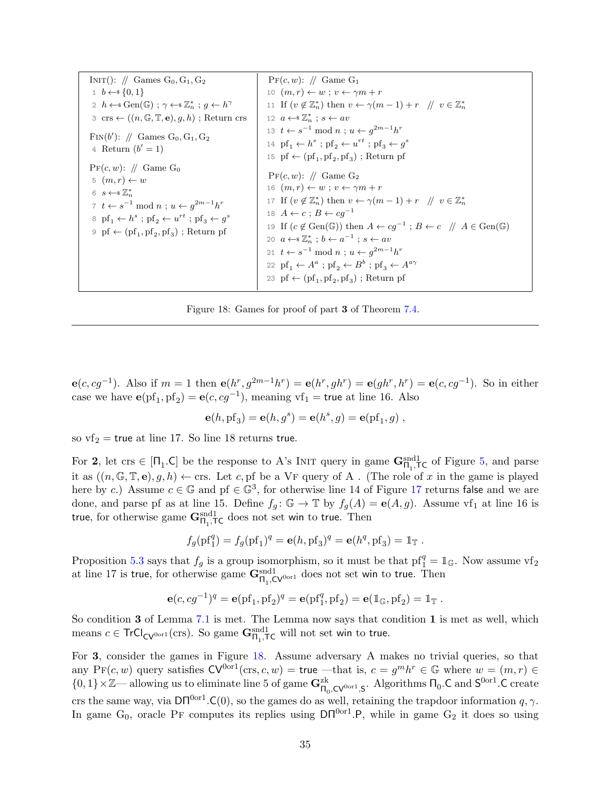<span id="page-34-0"></span>INIT():  $\#$  Games G<sub>0</sub>, G<sub>1</sub>, G<sub>2</sub> 1  $b \leftarrow s \{0, 1\}$ 2  $h \leftarrow s \text{Gen}(\mathbb{G})$ ;  $\gamma \leftarrow s \mathbb{Z}_n^*$ ;  $g \leftarrow h^{\gamma}$  $3 \text{ crs} \leftarrow ((n, \mathbb{G}, \mathbb{T}, \mathbf{e}), g, h)$ ; Return crs FIN $(b')$ : // Games G<sub>0</sub>, G<sub>1</sub>, G<sub>2</sub> 4 Return  $(b' = 1)$  $Pr(c, w)$ : // Game G<sub>0</sub> 5  $(m, r) \leftarrow w$ 6  $s \leftarrow s \mathbb{Z}_n^*$ 7  $t \leftarrow s^{-1} \mod n$ ;  $u \leftarrow g^{2m-1}h^r$  $\delta$  pf<sub>1</sub>  $\leftarrow$   $h^s$ ; pf<sub>2</sub>  $\leftarrow$   $u^{rt}$ ; pf<sub>3</sub>  $\leftarrow$   $g^s$  $9 \text{ pf} \leftarrow (\text{pf}_1, \text{pf}_2, \text{pf}_3)$ ; Return pf  $Pr(c, w)$ : // Game G<sub>1</sub> 10  $(m, r) \leftarrow w$ ;  $v \leftarrow \gamma m + r$ 11 If  $(v \notin \mathbb{Z}_n^*)$  then  $v \leftarrow \gamma(m-1) + r \quad \text{if} \quad v \in \mathbb{Z}_n^*$ 12  $a \leftarrow^* \mathbb{Z}_n^*$ ;  $s \leftarrow av$ 13  $t \leftarrow s^{-1} \mod n$ ;  $u \leftarrow g^{2m-1}h^r$ 14  $\text{pf}_1 \leftarrow h^s$ ;  $\text{pf}_2 \leftarrow u^{rt}$ ;  $\text{pf}_3 \leftarrow g^s$ 15 pf  $\leftarrow$  (pf<sub>1</sub>, pf<sub>2</sub>, pf<sub>3</sub>); Return pf  $Pr(c, w)$ : // Game G<sub>2</sub> 16  $(m, r) \leftarrow w$ ;  $v \leftarrow \gamma m + r$ 17 If  $(v \notin \mathbb{Z}_n^*)$  then  $v \leftarrow \gamma(m-1) + r \quad \text{if} \quad v \in \mathbb{Z}_n^*$ 18  $A \leftarrow c$ ;  $B \leftarrow cg^{-1}$ 19 If  $(c \notin Gen(\mathbb{G}))$  then  $A \leftarrow cg^{-1}$ ;  $B \leftarrow c$  //  $A \in Gen(\mathbb{G})$ 20  $a \leftarrow \mathscr{Z}_n^*$ ;  $b \leftarrow a^{-1}$ ;  $s \leftarrow av$ 21  $t \leftarrow s^{-1} \mod n$ ;  $u \leftarrow g^{2m-1}h^r$ 22  $\text{pf}_1 \leftarrow A^a$ ;  $\text{pf}_2 \leftarrow B^b$ ;  $\text{pf}_3 \leftarrow A^{a\gamma}$ 23 pf  $\leftarrow$  (pf<sub>1</sub>, pf<sub>2</sub>, pf<sub>3</sub>); Return pf

Figure 18: Games for proof of part 3 of Theorem [7.4.](#page-32-1)

 $e(c, cg^{-1})$ . Also if  $m = 1$  then  $e(h^r, g^{2m-1}h^r) = e(h^r, gh^r) = e(gh^r, h^r) = e(c, cg^{-1})$ . So in either case we have  $\mathbf{e}(\text{pf}_1, \text{pf}_2) = \mathbf{e}(c, cg^{-1})$ , meaning vf<sub>1</sub> = true at line 16. Also

$$
\mathbf{e}(h, \mathrm{pf}_3) = \mathbf{e}(h, g^s) = \mathbf{e}(h^s, g) = \mathbf{e}(\mathrm{pf}_1, g) ,
$$

so  $\text{vf}_2$  = true at line 17. So line 18 returns true.

For 2, let crs  $\in$  [ $\Pi_1$ .C] be the response to A's INIT query in game  $\mathbf{G}_{\Pi_1,\mathsf{T}\mathsf{C}}^{\text{snd1}}$  of Figure [5,](#page-16-0) and parse it as  $((n, \mathbb{G}, \mathbb{T}, e), g, h) \leftarrow \text{crs.}$  Let c, pf be a VF query of A. (The role of x in the game is played here by c.) Assume  $c \in \mathbb{G}$  and pf  $\in \mathbb{G}^3$ , for otherwise line 14 of Figure [17](#page-33-0) returns false and we are done, and parse pf as at line 15. Define  $f_g: \mathbb{G} \to \mathbb{T}$  by  $f_g(A) = e(A, g)$ . Assume vf<sub>1</sub> at line 16 is true, for otherwise game  $G_{\Pi_1,\textsf{TC}}^{\text{snd}1}$  does not set win to true. Then

$$
f_g(\text{pf}_1^q) = f_g(\text{pf}_1)^q = e(h, \text{pf}_3)^q = e(h^q, \text{pf}_3) = \mathbb{1}_{\mathbb{T}}.
$$

Proposition [5.3](#page-28-0) says that  $f_g$  is a group isomorphism, so it must be that  $pf_1^q = 1$ <sub>G</sub>. Now assume  $vf_2$ at line 17 is true, for otherwise game  $G_{\Pi_1, \text{CV}^{0 \text{or}1}}^{\text{snd}}$  does not set win to true. Then

$$
\mathbf{e}(c, cg^{-1})^q = \mathbf{e}(\text{pf}_1, \text{pf}_2)^q = \mathbf{e}(\text{pf}_1^q, \text{pf}_2) = \mathbf{e}(\mathbb{1}_{\mathbb{G}}, \text{pf}_2) = \mathbb{1}_{\mathbb{T}}.
$$

So condition 3 of Lemma [7.1](#page-31-1) is met. The Lemma now says that condition 1 is met as well, which means  $c \in \text{TrCl}_{\text{CV}^{0 \text{or} 1}}(\text{crs})$ . So game  $\mathbf{G}_{\Pi_1, \mathsf{TC}}^{\text{snd} 1}$  will not set win to true.

For 3, consider the games in Figure [18.](#page-34-0) Assume adversary A makes no trivial queries, so that any  $Pr(c, w)$  query satisfies  $CV^{0or1}(ers, c, w) = true$  —that is,  $c = g^m h^r \in \mathbb{G}$  where  $w = (m, r) \in$  $\{0,1\}\times\mathbb{Z}$ — allowing us to eliminate line 5 of game  $\mathbf{G}_{\Pi_0,\mathsf{CV}^{0\text{or}1},\mathsf{S}}^{\text{zk}}$ . Algorithms  $\Pi_0.\mathsf{C}$  and  $\mathsf{S}^{0\text{or}1}.\mathsf{C}$  create crs the same way, via  $DT^{0or1}$ . C(0), so the games do as well, retaining the trapdoor information q,  $\gamma$ . In game  $G_0$ , oracle PF computes its replies using  $DT^{0or1}$ . P, while in game  $G_2$  it does so using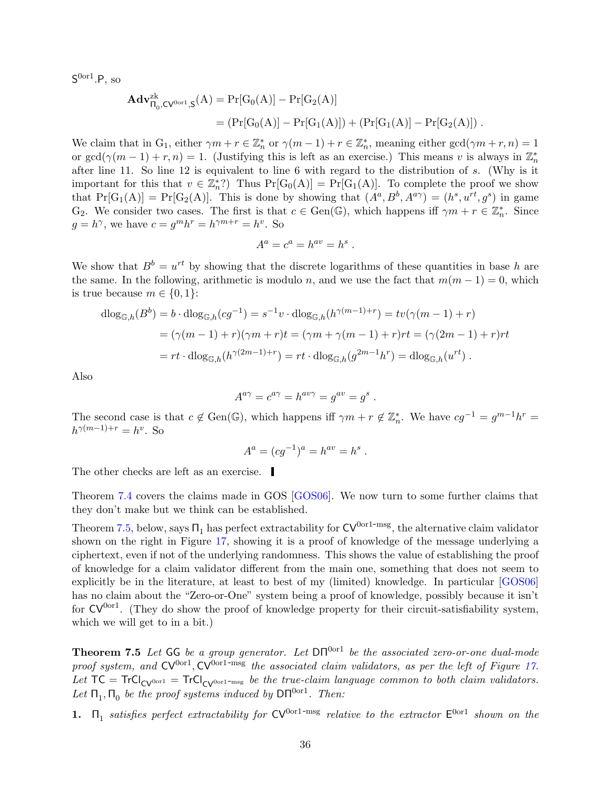<span id="page-35-1"></span> $\mathsf{S}^\mathrm{0or1}$ .P, so

$$
\begin{aligned} \mathbf{Adv}_{\Pi_0,CV^{0or1},S}^{2k}(A) &= \Pr[G_0(A)] - \Pr[G_2(A)] \\ &= (\Pr[G_0(A)] - \Pr[G_1(A)]) + (\Pr[G_1(A)] - \Pr[G_2(A)]) \; . \end{aligned}
$$

We claim that in  $G_1$ , either  $\gamma m + r \in \mathbb{Z}_n^*$  or  $\gamma (m-1) + r \in \mathbb{Z}_n^*$ , meaning either  $gcd(\gamma m + r, n) = 1$ or  $gcd(\gamma(m-1) + r, n) = 1$ . (Justifying this is left as an exercise.) This means v is always in  $\mathbb{Z}_n^*$ after line 11. So line 12 is equivalent to line 6 with regard to the distribution of s. (Why is it important for this that  $v \in \mathbb{Z}_n^*$ ? Thus  $Pr[G_0(A)] = Pr[G_1(A)]$ . To complete the proof we show that  $Pr[G_1(A)] = Pr[G_2(A)]$ . This is done by showing that  $(A^a, B^b, A^{a\gamma}) = (h^s, u^{rt}, g^s)$  in game G<sub>2</sub>. We consider two cases. The first is that  $c \in Gen(\mathbb{G})$ , which happens iff  $\gamma m + r \in \mathbb{Z}_n^*$ . Since  $g = h^{\gamma}$ , we have  $c = g^m h^r = h^{\gamma m+r} = h^v$ . So

$$
A^a = c^a = h^{av} = h^s.
$$

We show that  $B^b = u^{rt}$  by showing that the discrete logarithms of these quantities in base h are the same. In the following, arithmetic is modulo n, and we use the fact that  $m(m - 1) = 0$ , which is true because  $m \in \{0, 1\}$ :

$$
\begin{aligned} \mathrm{dlog}_{\mathbb{G},h}(B^b) &= b \cdot \mathrm{dlog}_{\mathbb{G},h}(cg^{-1}) = s^{-1}v \cdot \mathrm{dlog}_{\mathbb{G},h}(h^{\gamma(m-1)+r}) = tv(\gamma(m-1)+r) \\ &= (\gamma(m-1)+r)(\gamma m + r)t = (\gamma m + \gamma(m-1) + r)rt = (\gamma(2m-1)+r)rt \\ &= rt \cdot \mathrm{dlog}_{\mathbb{G},h}(h^{\gamma(2m-1)+r}) = rt \cdot \mathrm{dlog}_{\mathbb{G},h}(g^{2m-1}h^r) = \mathrm{dlog}_{\mathbb{G},h}(u^{rt}) \ .\end{aligned}
$$

Also

$$
A^{a\gamma} = c^{a\gamma} = h^{av\gamma} = g^{av} = g^s.
$$

The second case is that  $c \notin Gen(\mathbb{G})$ , which happens iff  $\gamma m + r \notin \mathbb{Z}_n^*$ . We have  $cg^{-1} = g^{m-1}h^r =$  $h^{\gamma(m-1)+r} = h^v$ . So

$$
A^a = (cg^{-1})^a = h^{av} = h^s.
$$

The other checks are left as an exercise.

Theorem [7.4](#page-32-1) covers the claims made in GOS [\[GOS06\]](#page-70-7). We now turn to some further claims that they don't make but we think can be established.

Theorem [7.5,](#page-35-0) below, says  $\Pi_1$  has perfect extractability for  $CV^{0or1-msg}$ , the alternative claim validator shown on the right in Figure [17,](#page-33-0) showing it is a proof of knowledge of the message underlying a ciphertext, even if not of the underlying randomness. This shows the value of establishing the proof of knowledge for a claim validator different from the main one, something that does not seem to explicitly be in the literature, at least to best of my (limited) knowledge. In particular [\[GOS06\]](#page-70-7) has no claim about the "Zero-or-One" system being a proof of knowledge, possibly because it isn't for  $CV^{0or1}$ . (They do show the proof of knowledge property for their circuit-satisfiability system, which we will get to in a bit.)

<span id="page-35-0"></span>**Theorem 7.5** Let GG be a group generator. Let  $DT^{0or1}$  be the associated zero-or-one dual-mode proof system, and  $CV^{0 \text{or} 1}$ ,  $CV^{0 \text{or} 1-\text{msg}}$  the associated claim validators, as per the left of Figure [17.](#page-33-0) Let  $TC = TrCl_{CV^{0or1}} = TrCl_{CV^{0or1-msg}}$  be the true-claim language common to both claim validators. Let  $\Pi_1, \Pi_0$  be the proof systems induced by  $\mathsf{D}\Pi^{0\text{or}1}$ . Then:

1.  $\Pi_1$  satisfies perfect extractability for  $CV^{0 \text{or} 1-\text{msg}}$  relative to the extractor  $E^{0 \text{or} 1}$  shown on the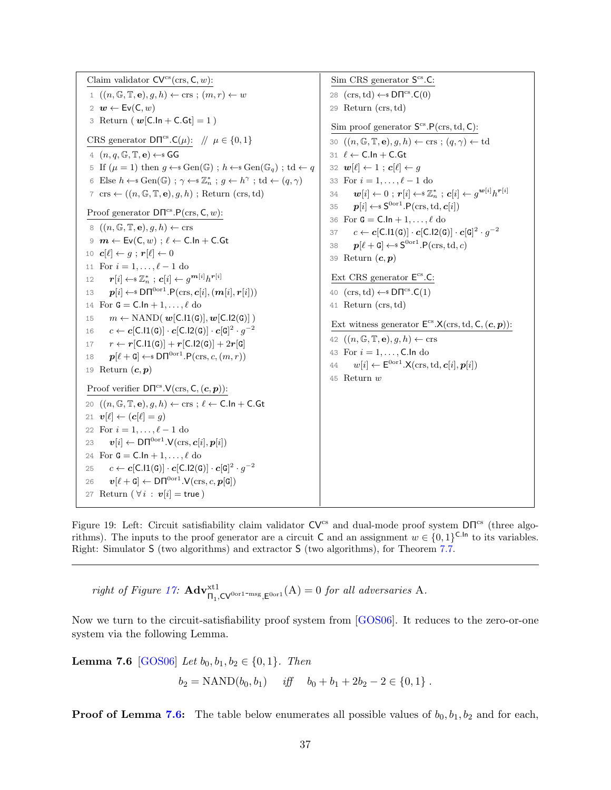<span id="page-36-2"></span><span id="page-36-1"></span>Claim validator  $CV^{cs}(ers, C, w)$ : 1  $((n, \mathbb{G}, \mathbb{T}, \mathbf{e}), g, h) \leftarrow \text{crs} ; (m, r) \leftarrow w$ 2  $w \leftarrow Ev(C, w)$ 3 Return ( $w[ C. \ln + C. G t ] = 1$ ) CRS generator  $DT^{cs}.C(\mu)$ :  $\pi \in \{0, 1\}$ 4  $(n, q, \mathbb{G}, \mathbb{T}, e) \leftarrow$  GG 5 If  $(\mu = 1)$  then  $g \leftarrow s \text{Gen}(\mathbb{G})$ ;  $h \leftarrow s \text{Gen}(\mathbb{G}_q)$ ; td  $\leftarrow q$ 6 Else  $h \leftarrow s \text{Gen}(\mathbb{G})$ ;  $\gamma \leftarrow s \mathbb{Z}_n^*$ ;  $g \leftarrow h^{\gamma}$ ;  $\text{td} \leftarrow (q, \gamma)$ 7 crs  $\leftarrow ((n, \mathbb{G}, \mathbb{T}, \mathbf{e}), q, h)$ ; Return (crs, td) Proof generator  $DT^{cs}.P(crs, C, w)$ : 8  $((n, \mathbb{G}, \mathbb{T}, \mathbf{e}), g, h) \leftarrow \text{crs}$  $9 \text{ } m \leftarrow \text{Ev}(\textsf{C},w)$ ;  $\ell \leftarrow \textsf{C}.\textsf{In} + \textsf{C}.\textsf{Gt}$ 10  $c[\ell] \leftarrow g : r[\ell] \leftarrow 0$ 11 For  $i = 1, ..., \ell - 1$  do 12  $\boldsymbol{r}[i] \leftarrow \mathbb{\scriptstyle{S}} \ \mathbb{Z}_{n}^* \ ; \ \boldsymbol{c}[i] \leftarrow g^{\boldsymbol{m}[i]} h^{\boldsymbol{r}[i]}$ 13  $\boldsymbol{p}[i] \leftarrow \text{\$D\Pi}^{0 \text{or} 1} . \text{P}(\text{crs}, c[i], (\boldsymbol{m}[i], \boldsymbol{r}[i]))$ 14 For  $G = C \cdot \ln{1 + 1, \ldots, \ell}$  do 15  $m \leftarrow \text{NAND}(\boldsymbol{w}[\textsf{C}.11(\textsf{G})], \boldsymbol{w}[\textsf{C}.12(\textsf{G})]$ 16  $c \leftarrow c[\textsf{C}.11(\textsf{G})] \cdot c[\textsf{C}.12(\textsf{G})] \cdot c[\textsf{G}]^2 \cdot g^{-2}$ 17  $r \leftarrow r[\text{C}.11(\text{G})] + r[\text{C}.12(\text{G})] + 2r[\text{G}]$ 18  $\mathbf{p}[\ell + \mathbf{G}] \leftarrow \text{SD}\Pi^{0 \text{or}1}.\mathsf{P}(\text{crs}, c, (m, r))$ 19 Return  $(c, p)$ Proof verifier  $DT^{cs}.V(\text{crs}, \mathsf{C}, (\mathbf{c}, \mathbf{p}))$ : 20  $((n, \mathbb{G}, \mathbb{T}, \mathbf{e}), g, h) \leftarrow \text{crs}$ ;  $\ell \leftarrow \text{C}.\text{In} + \text{C}.\text{Gt}$ 21  $\mathbf{v}[\ell] \leftarrow (\mathbf{c}[\ell] = g)$ 22 For  $i = 1, ..., \ell - 1$  do 23  $\mathbf{v}[i] \leftarrow \mathsf{D}\mathsf{\Pi}^{\mathrm{0or1}}.\mathsf{V}(\mathrm{crs},\mathbf{c}[i],\mathbf{p}[i])$ 24 For  $\mathtt{G} = \mathtt{C}.\mathtt{In} + 1,\ldots,\ell$  do 25  $c \leftarrow c[\mathsf{C}.11(\mathsf{G})] \cdot c[\mathsf{C}.12(\mathsf{G})] \cdot c[\mathsf{G}]^2 \cdot g^{-2}$ 26  $\boldsymbol{v}[\ell + \mathsf{G}] \leftarrow \mathsf{D}\mathsf{\Pi}^{\mathrm{Oor1}}.\mathsf{V}(\mathrm{crs}, c, \boldsymbol{p}[\mathsf{G}])$ 27 Return ( $\forall i : v[i] = \text{true}$ ) Sim CRS generator  $S^{cs}$ .C: 28  $(crs, td) \leftarrow SDT^{cs}.C(0)$ 29 Return (crs,td) Sim proof generator  $S^{cs}.P(\text{crs},\text{td},\text{C})$ : 30  $((n, \mathbb{G}, \mathbb{T}, \mathbf{e}), g, h) \leftarrow \text{crs}$ ;  $(q, \gamma) \leftarrow \text{td}$ 31  $\ell \leftarrow C.\ln + C.Gt$ 32  $\mathbf{w}[\ell] \leftarrow 1$ ;  $\mathbf{c}[\ell] \leftarrow g$ 33 For  $i = 1, ..., \ell - 1$  do 34  $\bm{w}[i] \leftarrow 0~;~\bm{r}[i] \leftarrow$ s $\mathbb{Z}_n^*~;~\bm{c}[i] \leftarrow g^{\bm{w}[i]}h^{\bm{r}[i]}$ 35  $\boldsymbol{p}[i] \leftarrow \$ \mathsf{S}^{\mathrm{Oor1}}.\mathsf{P}(\mathrm{crs},\mathrm{td},\boldsymbol{c}[i])$ 36 For  $G = C \cdot \ln{1 + 1, \ldots, \ell}$  do 37  $c \leftarrow c[\textsf{C}.11(\textsf{G})] \cdot c[\textsf{C}.12(\textsf{G})] \cdot c[\textsf{G}]^2 \cdot g^{-2}$ 38  $p[\ell + G] \leftarrow s \mathsf{S}^{0 \text{or} 1} . \mathsf{P}(\text{crs}, \text{td}, c)$ 39 Return  $(c, p)$ Ext CRS generator  $E^{cs}$ .C: 40  $(crs, td) \leftarrow SDT^{cs}.C(1)$ 41 Return (crs,td) Ext witness generator  $E^{cs}.X(crs, td, C, (c, p))$ : 42  $((n, \mathbb{G}, \mathbb{T}, \mathbf{e}), g, h) \leftarrow \text{crs}$ 43 For  $i = 1, ..., C$ . In do 44  $w[i] \leftarrow \mathsf{E}^{0 \text{or} 1} . \mathsf{X}(\text{crs}, \text{td}, \mathbf{c}[i], \mathbf{p}[i])$ 45 Return w

Figure 19: Left: Circuit satisfiability claim validator CV<sup>cs</sup> and dual-mode proof system DΠ<sup>cs</sup> (three algorithms). The inputs to the proof generator are a circuit C and an assignment  $w \in \{0,1\}^{\mathsf{C}.\mathsf{In}}$  to its variables. Right: Simulator S (two algorithms) and extractor S (two algorithms), for Theorem [7.7.](#page-37-0)

right of Figure [17:](#page-33-0)  $\mathbf{Adv}^{\text{xt1}}_{\Pi_1,\mathsf{CV}^{\text{0or1-msg}},\mathsf{E}^{\text{0or1}}}(A) = 0$  for all adversaries A.

Now we turn to the circuit-satisfiability proof system from [\[GOS06\]](#page-70-7). It reduces to the zero-or-one system via the following Lemma.

<span id="page-36-0"></span>**Lemma 7.6** [\[GOS06\]](#page-70-7) Let  $b_0, b_1, b_2 \in \{0, 1\}$ . Then

$$
b_2 = \text{NAND}(b_0, b_1)
$$
 iff  $b_0 + b_1 + 2b_2 - 2 \in \{0, 1\}$ .

**Proof of Lemma [7.6:](#page-36-0)** The table below enumerates all possible values of  $b_0, b_1, b_2$  and for each,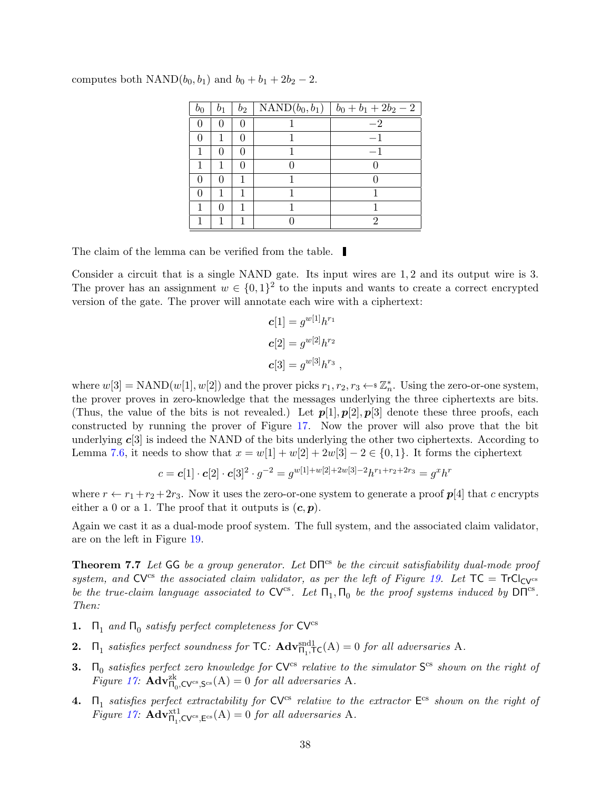| $b_0$ | b <sub>1</sub> | $b_2$ | NAND $(b_0, b_1)$   $b_0 + b_1 + 2b_2 - 2$ |
|-------|----------------|-------|--------------------------------------------|
|       |                |       | $-2$                                       |
|       |                |       |                                            |
|       |                |       |                                            |
|       |                |       |                                            |
|       |                |       |                                            |
|       |                |       |                                            |
|       |                |       |                                            |
|       |                |       | າ                                          |

computes both NAND( $b_0$ ,  $b_1$ ) and  $b_0 + b_1 + 2b_2 - 2$ .

The claim of the lemma can be verified from the table.

Consider a circuit that is a single NAND gate. Its input wires are 1, 2 and its output wire is 3. The prover has an assignment  $w \in \{0,1\}^2$  to the inputs and wants to create a correct encrypted version of the gate. The prover will annotate each wire with a ciphertext:

$$
c[1] = g^{w[1]}h^{r_1}
$$
  

$$
c[2] = g^{w[2]}h^{r_2}
$$
  

$$
c[3] = g^{w[3]}h^{r_3}
$$
,

where  $w[3] = \text{NAND}(w[1], w[2])$  and the prover picks  $r_1, r_2, r_3 \leftarrow \mathbb{Z}_n^*$ . Using the zero-or-one system, the prover proves in zero-knowledge that the messages underlying the three ciphertexts are bits. (Thus, the value of the bits is not revealed.) Let  $p[1], p[2], p[3]$  denote these three proofs, each constructed by running the prover of Figure [17.](#page-33-0) Now the prover will also prove that the bit underlying  $c[3]$  is indeed the NAND of the bits underlying the other two ciphertexts. According to Lemma [7.6,](#page-36-0) it needs to show that  $x = w[1] + w[2] + 2w[3] - 2 \in \{0, 1\}$ . It forms the ciphertext

$$
c = \mathbf{c}[1] \cdot \mathbf{c}[2] \cdot \mathbf{c}[3]^2 \cdot g^{-2} = g^{w[1] + w[2] + 2w[3] - 2} h^{r_1 + r_2 + 2r_3} = g^x h^r
$$

where  $r \leftarrow r_1 + r_2 + 2r_3$ . Now it uses the zero-or-one system to generate a proof  $p[4]$  that c encrypts either a 0 or a 1. The proof that it outputs is  $(c, p)$ .

Again we cast it as a dual-mode proof system. The full system, and the associated claim validator, are on the left in Figure [19.](#page-36-1)

<span id="page-37-0"></span>**Theorem 7.7** Let GG be a group generator. Let  $DT^{cs}$  be the circuit satisfiability dual-mode proof system, and CV<sup>cs</sup> the associated claim validator, as per the left of Figure [19.](#page-36-1) Let  $TC = TrCl_{CV}$ <sup>cs</sup> be the true-claim language associated to  $CV^{cs}$ . Let  $\Pi_1, \Pi_0$  be the proof systems induced by  $DT^{cs}$ . Then:

- **1.**  $\Pi_1$  and  $\Pi_0$  satisfy perfect completeness for  $CV^{cs}$
- **2.**  $\Pi_1$  satisfies perfect soundness for  $TC: \text{Adv}_{\Pi_1,TC}^{\text{snd}}(A) = 0$  for all adversaries A.
- **3.**  $\Pi_0$  satisfies perfect zero knowledge for  $CV^{cs}$  relative to the simulator  $S^{cs}$  shown on the right of Figure [17:](#page-33-0)  $\mathbf{Adv}_{\Pi_0,\mathbf{CV}^{\text{cs}},\mathbf{S}^{\text{cs}}}(A) = 0$  for all adversaries A.
- **4.**  $\Pi_1$  satisfies perfect extractability for  $CV^{cs}$  relative to the extractor  $E^{cs}$  shown on the right of Figure [17:](#page-33-0)  $\mathbf{Adv}_{\Pi_1,\mathbf{CV}^{\mathrm{cs}},\mathbf{E}^{\mathrm{cs}}}(A) = 0$  for all adversaries A.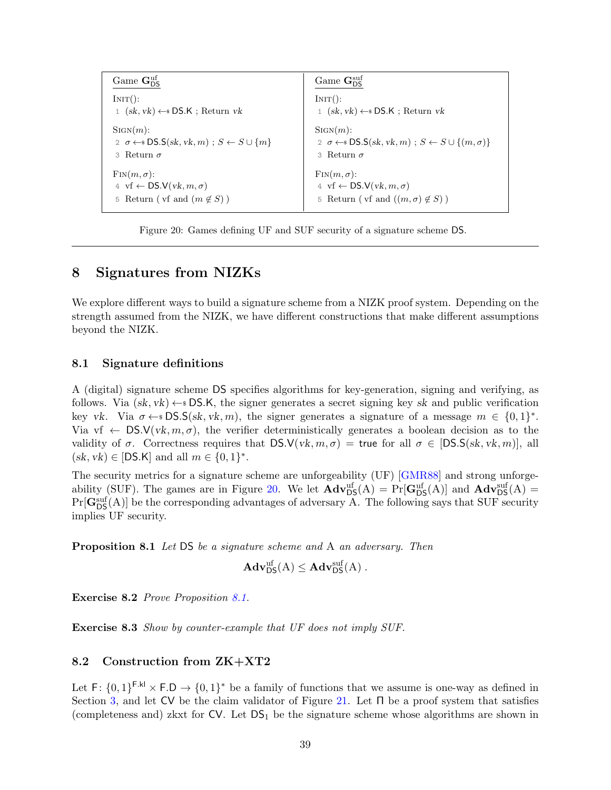<span id="page-38-5"></span><span id="page-38-3"></span>

| Game $G_{\text{DC}}^{\text{uf}}$                                   | Game $\mathbf{G}_{\text{DS}}^{\text{suf}}$                                    |
|--------------------------------------------------------------------|-------------------------------------------------------------------------------|
| $INT()$ :                                                          | INT():                                                                        |
| $(sk, vk) \leftarrow$ DS.K; Return vk                              | $1$ $(sk, vk) \leftarrow$ DS.K; Return vk                                     |
| $SIGN(m)$ :                                                        | $SIGN(m)$ :                                                                   |
| 2 $\sigma \leftarrow$ DS.S(sk, vk, m); $S \leftarrow S \cup \{m\}$ | 2 $\sigma \leftarrow$ DS.S(sk, vk, m); $S \leftarrow S \cup \{(m, \sigma)\}\$ |
| 3 Return $\sigma$                                                  | 3 Return $\sigma$                                                             |
| $\text{Fin}(m, \sigma)$ :                                          | $\text{Fin}(m, \sigma)$ :                                                     |
| 4 vf $\leftarrow$ DS.V(vk, $m, \sigma$ )                           | 4 vf $\leftarrow$ DS.V(vk, $m, \sigma$ )                                      |
| Return ( vf and $(m \notin S)$ )                                   | Return ( vf and $((m, \sigma) \notin S)$ )                                    |
| 5                                                                  | 5                                                                             |

Figure 20: Games defining UF and SUF security of a signature scheme DS.

### <span id="page-38-0"></span>8 Signatures from NIZKs

We explore different ways to build a signature scheme from a NIZK proof system. Depending on the strength assumed from the NIZK, we have different constructions that make different assumptions beyond the NIZK.

#### <span id="page-38-1"></span>8.1 Signature definitions

A (digital) signature scheme DS specifies algorithms for key-generation, signing and verifying, as follows. Via  $(s_k, vk) \leftarrow$  DS.K, the signer generates a secret signing key sk and public verification key vk. Via  $\sigma \leftarrow sDS.S(\mathrm{sk}, \mathrm{vk}, m)$ , the signer generates a signature of a message  $m \in \{0, 1\}^*$ . Via vf  $\leftarrow$  DS.V(vk,  $m, \sigma$ ), the verifier deterministically generates a boolean decision as to the validity of  $\sigma$ . Correctness requires that  $DS.V(vk, m, \sigma) =$  true for all  $\sigma \in [DS.S(sk, vk, m)]$ , all  $(sk, vk) \in [DS.K]$  and all  $m \in \{0,1\}^*$ .

The security metrics for a signature scheme are unforgeability (UF) [\[GMR88\]](#page-70-9) and strong unforge-ability (SUF). The games are in Figure [20.](#page-38-3) We let  $\mathbf{Adv}_{\mathsf{DS}}^{\text{uf}}(A) = \Pr[\mathbf{G}_{\mathsf{DS}}^{\text{uf}}(A)]$  and  $\mathbf{Adv}_{\mathsf{DS}}^{\text{suf}}(A) =$  $Pr[\mathbf{G}_{\text{DS}}^{\text{suf}}(A)]$  be the corresponding advantages of adversary A. The following says that SUF security implies UF security.

<span id="page-38-4"></span>Proposition 8.1 Let DS be a signature scheme and A an adversary. Then

$$
\mathbf{Adv}_{\mathsf{DS}}^{\text{uf}}(A) \leq \mathbf{Adv}_{\mathsf{DS}}^{\text{suf}}(A) .
$$

Exercise 8.2 Prove Proposition [8.1.](#page-38-4)

Exercise 8.3 Show by counter-example that UF does not imply SUF.

### <span id="page-38-2"></span>8.2 Construction from ZK+XT2

Let  $F: \{0,1\}^{F,kl} \times F.D \rightarrow \{0,1\}^*$  be a family of functions that we assume is one-way as defined in Section [3,](#page-8-0) and let CV be the claim validator of Figure [21.](#page-39-0) Let  $\Pi$  be a proof system that satisfies (completeness and) zkxt for  $CV$ . Let  $DS_1$  be the signature scheme whose algorithms are shown in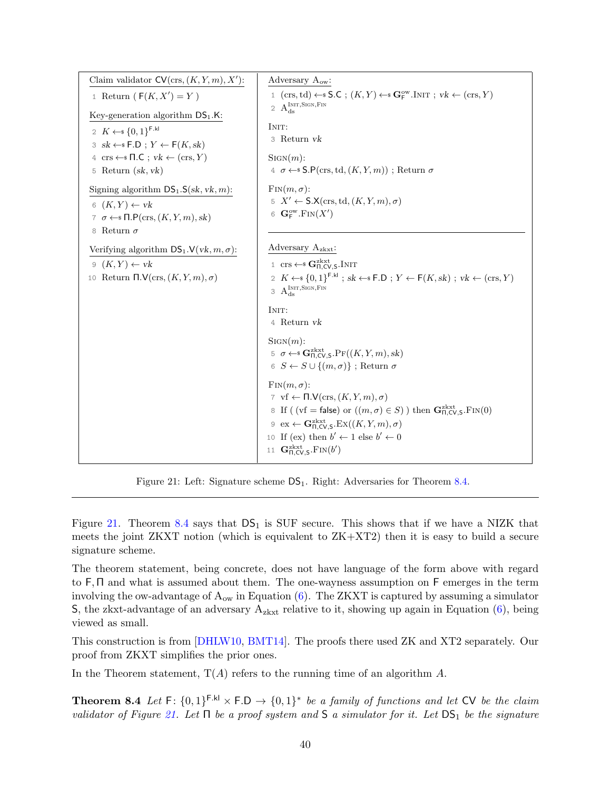<span id="page-39-2"></span><span id="page-39-0"></span>

| Claim validator $CV(crs, (K, Y, m), X')$ :                                                                                                                                                                                                                                                                                                                                                                       | Adversary $A_{ow}$ :                                                                                                                                                                                                                                                                                                                                                                                                                                                                    |  |  |
|------------------------------------------------------------------------------------------------------------------------------------------------------------------------------------------------------------------------------------------------------------------------------------------------------------------------------------------------------------------------------------------------------------------|-----------------------------------------------------------------------------------------------------------------------------------------------------------------------------------------------------------------------------------------------------------------------------------------------------------------------------------------------------------------------------------------------------------------------------------------------------------------------------------------|--|--|
| 1 Return $(F(K, X') = Y)$                                                                                                                                                                                                                                                                                                                                                                                        | 1 $(cxs, td) \leftarrow$ S.C; $(K, Y) \leftarrow$ G <sub>F</sub> <sup>ow</sup> .INIT; $vk \leftarrow (crs, Y)$<br>2 $\,A_{ds}^{\rm INT, SIGN,FIN}\,$                                                                                                                                                                                                                                                                                                                                    |  |  |
| Key-generation algorithm $DS_1.K$ :<br>2 $K \leftarrow \{0,1\}^{\text{F.kl}}$<br>$3 \text{ } sk \leftarrow * F.D ; Y \leftarrow F(K, sk)$<br>$4 \text{ crs} \leftarrow \text{*} \Pi \cdot C; vk \leftarrow (crs, Y)$<br>5 Return $(sk, vk)$<br>Signing algorithm $DS_1.S(sk, vk, m)$ :<br>$6(K,Y) \leftarrow vk$<br>7 $\sigma \leftarrow \in \mathsf{fl}.\mathsf{P}(\text{crs},(K,Y,m),sk)$<br>8 Return $\sigma$ | INIT:<br>3 Return vk<br>$SIGN(m)$ :<br>$\leq \sigma \leftarrow$ S.P(crs, td, $(K, Y, m)$ ); Return $\sigma$<br>$\text{Fin}(m, \sigma)$ :<br>$5\ X' \leftarrow \mathsf{S}.\mathsf{X}(\text{crs},\text{td},(K,Y,m),\sigma)$<br>6 $\mathbf{G}_{\mathsf{F}}^{\mathrm{ow}}$ . $\mathrm{Fin}(X')$                                                                                                                                                                                             |  |  |
| Verifying algorithm $DS_1.V(vk, m, \sigma)$ :<br>$9(K,Y) \leftarrow vk$<br>10 Return $\Pi.\mathsf{V}(\text{crs},(K,Y,m),\sigma)$                                                                                                                                                                                                                                                                                 | Adversary $A_{z k x t}$ :<br>1 crs $\leftarrow$ $\mathbf{G}_{\Pi,CVS}^{zkxt}$ . INIT<br>2 $K \leftarrow \{0,1\}^{\mathsf{F}.\mathsf{kl}}$ ; sk $\leftarrow \mathsf{F}.\mathsf{D}$ ; $Y \leftarrow \mathsf{F}(K,\mathrm{sk})$ ; vk $\leftarrow$ (crs, Y)<br>3 $A_{ds}^{Init,Sign,Fin}$<br>INIT:<br>4 Return vk<br>$SIGN(m)$ :<br>5 $\sigma \leftarrow \mathbb{S}$ G <sub>ILCV.S</sub> .P <sub>F</sub> ( $(K, Y, m)$ , sk)<br>6 $S \leftarrow S \cup \{(m, \sigma)\}\;$ ; Return $\sigma$ |  |  |
|                                                                                                                                                                                                                                                                                                                                                                                                                  | $\text{Fin}(m, \sigma)$ :<br>7 vf $\leftarrow \Pi.\mathsf{V}(\text{crs},(K,Y,m),\sigma)$<br>8 If ((vf = false) or $((m, \sigma) \in S)$ ) then $\mathbf{G}_{\Pi,\mathsf{CV},\mathsf{S}}^{\text{zkxt}}$ . FIN(0)<br>$9 \text{ ex} \leftarrow \mathbf{G}_{\Pi, CV, S}^{\text{zkxt}}$ . $\text{Ex}((K, Y, m), \sigma)$<br>10 If (ex) then $b' \leftarrow 1$ else $b' \leftarrow 0$<br>11 $\mathbf{G}_{\Pi,\text{CV},\text{S}}^{\text{zkxt}}$ . $\text{FIN}(b')$                            |  |  |

Figure 21: Left: Signature scheme  $DS_1$ . Right: Adversaries for Theorem [8.4.](#page-39-1)

Figure [21.](#page-39-0) Theorem [8.4](#page-39-1) says that  $DS_1$  is SUF secure. This shows that if we have a NIZK that meets the joint ZKXT notion (which is equivalent to ZK+XT2) then it is easy to build a secure signature scheme.

The theorem statement, being concrete, does not have language of the form above with regard to F, Π and what is assumed about them. The one-wayness assumption on F emerges in the term involving the ow-advantage of  $A_{ow}$  in Equation [\(6\)](#page-40-0). The ZKXT is captured by assuming a simulator S, the zkxt-advantage of an adversary  $A_{z k x t}$  relative to it, showing up again in Equation  $(6)$ , being viewed as small.

This construction is from [\[DHLW10,](#page-69-10) [BMT14\]](#page-69-11). The proofs there used ZK and XT2 separately. Our proof from ZKXT simplifies the prior ones.

<span id="page-39-1"></span>In the Theorem statement,  $T(A)$  refers to the running time of an algorithm A.

**Theorem 8.4** Let  $F: \{0,1\}^{F,kl} \times F.D \rightarrow \{0,1\}^*$  be a family of functions and let CV be the claim validator of Figure [21.](#page-39-0) Let  $\Pi$  be a proof system and  $S$  a simulator for it. Let  $DS_1$  be the signature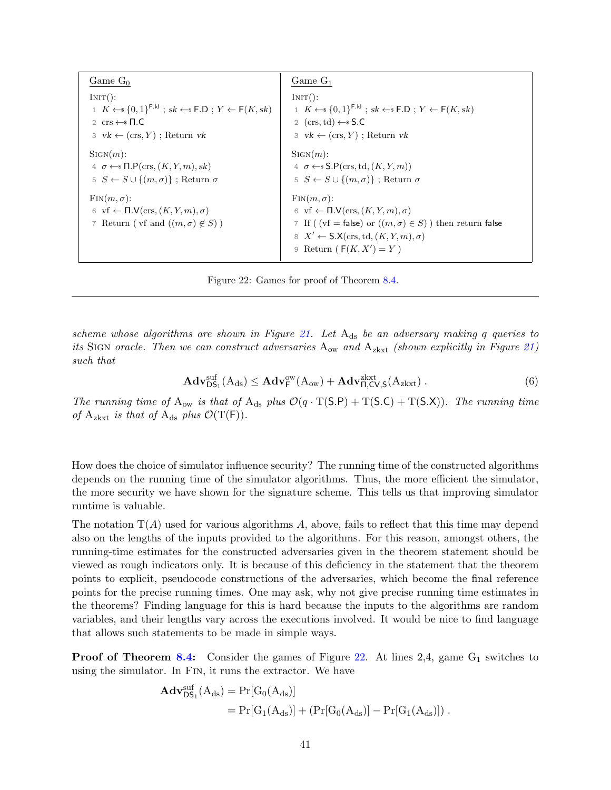<span id="page-40-1"></span>

| Game $G_0$                                                                                                                                   | $Game G_1$                                                                                                                                                                                                                                                                              |
|----------------------------------------------------------------------------------------------------------------------------------------------|-----------------------------------------------------------------------------------------------------------------------------------------------------------------------------------------------------------------------------------------------------------------------------------------|
| INT():                                                                                                                                       | INT():                                                                                                                                                                                                                                                                                  |
| $1 K \leftarrow \{0,1\}^{\mathsf{F.kl}}$ ; sk $\leftarrow \{F.D : Y \leftarrow \mathsf{F}(K, sk)$                                            | 1 $K \leftarrow \{0,1\}^{\mathsf{F}.\mathsf{kl}}$ ; sk $\leftarrow \{F.D : Y \leftarrow \mathsf{F}(K, sk)$                                                                                                                                                                              |
| 2 $\mathrm{crs} \leftarrow \mathrm{s} \Pi \cdot C$                                                                                           | 2 $(crs, td) \leftarrow$ S.C                                                                                                                                                                                                                                                            |
| $3 \, \text{vk} \leftarrow (\text{crs}, Y)$ ; Return vk                                                                                      | $3 \, \text{vk} \leftarrow (\text{crs}, Y)$ ; Return vk                                                                                                                                                                                                                                 |
| $SIGN(m)$ :                                                                                                                                  | $SIGN(m)$ :                                                                                                                                                                                                                                                                             |
| $\leq \sigma \leftarrow \mathcal{F} \Pi.\mathsf{P}(\text{crs},(K,Y,m),sk)$                                                                   | 4 $\sigma \leftarrow$ S.P(crs, td, $(K, Y, m)$ )                                                                                                                                                                                                                                        |
| $5 S \leftarrow S \cup \{(m, \sigma)\}\;$ ; Return $\sigma$                                                                                  | $5 S \leftarrow S \cup \{(m, \sigma)\}\;$ ; Return $\sigma$                                                                                                                                                                                                                             |
| $\text{Fin}(m, \sigma)$ :<br>6 vf $\leftarrow \Pi.\mathsf{V}(\text{crs}, (K, Y, m), \sigma)$<br>7 Return ( vf and $((m, \sigma) \notin S)$ ) | $\text{Fin}(m, \sigma)$ :<br>6 vf $\leftarrow \Pi.\mathsf{V}(\text{crs},(K,Y,m),\sigma)$<br>7 If ( $(vf = false)$ or $((m, \sigma) \in S)$ ) then return false<br>$\mathcal{S} \ X' \leftarrow \mathsf{S}.\mathsf{X}(\text{crs},\text{td},(K,Y,m),\sigma)$<br>9 Return $(F(K, X') = Y)$ |

<span id="page-40-0"></span>Figure 22: Games for proof of Theorem [8.4.](#page-39-1)

scheme whose algorithms are shown in Figure [21.](#page-39-0) Let  $A_{ds}$  be an adversary making q queries to its SIGN oracle. Then we can construct adversaries  $A_{ow}$  and  $A_{z k x t}$  (shown explicitly in Figure [21\)](#page-39-0) such that

$$
\mathbf{Adv}_{\mathsf{DS}_1}^{\text{suf}}(A_{\text{ds}}) \leq \mathbf{Adv}_{\mathsf{F}}^{\text{ow}}(A_{\text{ow}}) + \mathbf{Adv}_{\mathsf{\Pi},\mathsf{CV},\mathsf{S}}^{\text{zkxt}}(A_{\text{zkxt}}) . \tag{6}
$$

The running time of  $A_{ow}$  is that of  $A_{ds}$  plus  $\mathcal{O}(q \cdot T(S.P) + T(S.C) + T(S.X))$ . The running time of A<sub>zkxt</sub> is that of A<sub>ds</sub> plus  $\mathcal{O}(T(F)).$ 

How does the choice of simulator influence security? The running time of the constructed algorithms depends on the running time of the simulator algorithms. Thus, the more efficient the simulator, the more security we have shown for the signature scheme. This tells us that improving simulator runtime is valuable.

The notation  $T(A)$  used for various algorithms A, above, fails to reflect that this time may depend also on the lengths of the inputs provided to the algorithms. For this reason, amongst others, the running-time estimates for the constructed adversaries given in the theorem statement should be viewed as rough indicators only. It is because of this deficiency in the statement that the theorem points to explicit, pseudocode constructions of the adversaries, which become the final reference points for the precise running times. One may ask, why not give precise running time estimates in the theorems? Finding language for this is hard because the inputs to the algorithms are random variables, and their lengths vary across the executions involved. It would be nice to find language that allows such statements to be made in simple ways.

**Proof of Theorem [8.4:](#page-39-1)** Consider the games of Figure [22.](#page-40-1) At lines 2,4, game  $G_1$  switches to using the simulator. In Fin, it runs the extractor. We have

$$
\begin{aligned} \mathbf{Adv}_{\text{DS}_1}^{\text{suf}}(A_{\text{ds}}) & = \Pr[G_0(A_{\text{ds}})] \\ & = \Pr[G_1(A_{\text{ds}})] + (\Pr[G_0(A_{\text{ds}})] - \Pr[G_1(A_{\text{ds}})]) \ . \end{aligned}
$$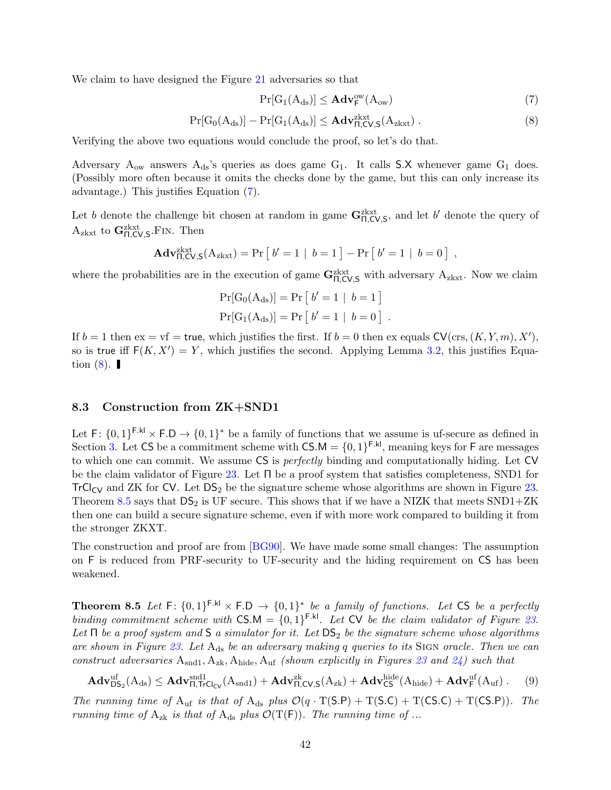<span id="page-41-4"></span>We claim to have designed the Figure [21](#page-39-0) adversaries so that

<span id="page-41-2"></span><span id="page-41-1"></span>
$$
Pr[G_1(A_{ds})] \leq \mathbf{Adv}_{\mathsf{F}}^{\text{ow}}(A_{\text{ow}})
$$
\n(7)

$$
\Pr[G_0(A_{ds})] - \Pr[G_1(A_{ds})] \le \mathbf{Adv}_{\Pi, CV, S}^{\text{zkxt}}(A_{\text{zkxt}}) . \tag{8}
$$

Verifying the above two equations would conclude the proof, so let's do that.

Adversary  $A_{ow}$  answers  $A_{ds}$ 's queries as does game  $G_1$ . It calls S.X whenever game  $G_1$  does. (Possibly more often because it omits the checks done by the game, but this can only increase its advantage.) This justifies Equation [\(7\)](#page-41-1).

Let b denote the challenge bit chosen at random in game  $\mathbf{G}_{\Pi,\mathsf{CV},\mathsf{S}}^{\text{zkxt}}$ , and let b' denote the query of  $A_{z k x t}$  to  $G_{\Pi,CV,S}^{z k x t}$ . Then

$$
Adv_{\Pi,CV,S}^{zkxt}(A_{zkxt}) = Pr [b' = 1 | b = 1] - Pr [b' = 1 | b = 0],
$$

where the probabilities are in the execution of game  $G_{\Pi,CV,S}^{z k x t}$  with adversary  $A_{z k x t}$ . Now we claim

$$
Pr[G_0(A_{ds})] = Pr [b' = 1 | b = 1]
$$
  

$$
Pr[G_1(A_{ds})] = Pr [b' = 1 | b = 0].
$$

If  $b = 1$  then  $ex = vf = true$ , which justifies the first. If  $b = 0$  then  $ex$  equals  $CV(cxs, (K, Y, m), X'),$ so is true iff  $F(K, X') = Y$ , which justifies the second. Applying Lemma [3.2,](#page-10-0) this justifies Equation  $(8)$ .

#### <span id="page-41-0"></span>8.3 Construction from ZK+SND1

Let  $F: \{0,1\}^{F,k} \times F.D \rightarrow \{0,1\}^*$  be a family of functions that we assume is uf-secure as defined in Section [3.](#page-8-0) Let CS be a commitment scheme with  $CS.M = \{0,1\}^{F.kl}$ , meaning keys for F are messages to which one can commit. We assume CS is perfectly binding and computationally hiding. Let CV be the claim validator of Figure [23.](#page-42-0) Let Π be a proof system that satisfies completeness, SND1 for TrCl<sub>CV</sub> and ZK for CV. Let  $DS_2$  be the signature scheme whose algorithms are shown in Figure [23.](#page-42-0) Theorem [8.5](#page-41-3) says that  $DS_2$  is UF secure. This shows that if we have a NIZK that meets  $SND1+ZK$ then one can build a secure signature scheme, even if with more work compared to building it from the stronger ZKXT.

The construction and proof are from [\[BG90\]](#page-68-3). We have made some small changes: The assumption on F is reduced from PRF-security to UF-security and the hiding requirement on CS has been weakened.

<span id="page-41-3"></span>**Theorem 8.5** Let  $F: \{0,1\}^{F,k} \times F.D \rightarrow \{0,1\}^*$  be a family of functions. Let CS be a perfectly binding commitment scheme with  $CS.M = \{0,1\}^{F.kl}$ . Let CV be the claim validator of Figure [23.](#page-42-0) Let  $\Pi$  be a proof system and  $S$  a simulator for it. Let  $DS_2$  be the signature scheme whose algorithms are shown in Figure [23.](#page-42-0) Let  $A_{ds}$  be an adversary making q queries to its SIGN oracle. Then we can construct adversaries  $A_{\text{snd1}}, A_{\text{zk}}, A_{\text{hide}}, A_{\text{uf}}$  (shown explicitly in Figures [23](#page-42-0) and [24\)](#page-43-1) such that

$$
\mathbf{Adv}_{\mathsf{DS}_2}^{\text{uf}}(A_{\text{ds}}) \leq \mathbf{Adv}_{\mathsf{\Pi},\mathsf{TrCl}_{\mathsf{CV}}}^{\text{snd1}}(A_{\text{snd1}}) + \mathbf{Adv}_{\mathsf{\Pi},\mathsf{CV},\mathsf{S}}^{\text{zk}}(A_{\text{zk}}) + \mathbf{Adv}_{\mathsf{CS}}^{\text{hide}}(A_{\text{hide}}) + \mathbf{Adv}_{\mathsf{F}}^{\text{uf}}(A_{\text{uf}}) . \tag{9}
$$

The running time of  $A_{uf}$  is that of  $A_{ds}$  plus  $\mathcal{O}(q \cdot T(S.P) + T(S.C) + T(CS.C) + T(CS.P))$ . The running time of  $A_{zk}$  is that of  $A_{ds}$  plus  $\mathcal{O}(T(F))$ . The running time of ...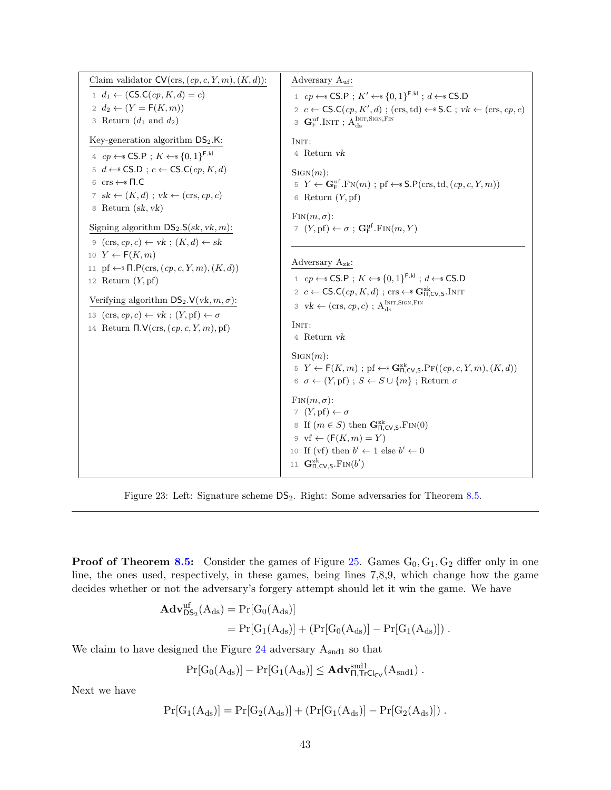<span id="page-42-0"></span>

| Claim validator $CV(crs, (cp, c, Y, m), (K, d))$ :<br>$1 d_1 \leftarrow (CS.C(cp, K, d) = c)$<br>2 $d_2 \leftarrow (Y = F(K, m))$                                                                                                                                                                                                                                                                                                                                                                                                                                                                                                                                                                                                                                      | Adversary $A_{\text{uf}}$ :<br>1 $cp \leftarrow$ CS.P; $K' \leftarrow$ {0, 1} <sup>F.kl</sup> ; $d \leftarrow$ CS.D<br>2 c $\leftarrow$ CS.C(cp, K', d); (crs, td) $\leftarrow$ S.C; vk $\leftarrow$ (crs, cp, c)                                                                                                                                                                                                                                                                                                                                 |
|------------------------------------------------------------------------------------------------------------------------------------------------------------------------------------------------------------------------------------------------------------------------------------------------------------------------------------------------------------------------------------------------------------------------------------------------------------------------------------------------------------------------------------------------------------------------------------------------------------------------------------------------------------------------------------------------------------------------------------------------------------------------|---------------------------------------------------------------------------------------------------------------------------------------------------------------------------------------------------------------------------------------------------------------------------------------------------------------------------------------------------------------------------------------------------------------------------------------------------------------------------------------------------------------------------------------------------|
| 3 Return $(d_1 \text{ and } d_2)$<br>Key-generation algorithm $DS_2.K$ :<br>4 $cp \leftarrow$ CS.P; $K \leftarrow$ {0,1} <sup>F.kl</sup><br>5 $d \leftarrow$ CS.D; $c \leftarrow \mathsf{CS.C}(cp, K, d)$<br>6 $\mathrm{crs} \leftarrow \mathrm{s} \Pi \cdot C$<br>7 sk $\leftarrow$ $(K, d)$ ; vk $\leftarrow$ (crs, cp, c)<br>8 Return $(sk, vk)$<br>Signing algorithm $DS_2.S(\sk, vk, m)$ :<br>$\varphi$ (crs, cp, c) $\leftarrow$ vk; $(K, d) \leftarrow$ sk<br>10 $Y \leftarrow F(K,m)$<br>11 pf $\leftarrow$ $\Pi$ .P(crs, $(cp, c, Y, m)$ , $(K, d)$ )<br>12 Return $(Y, pf)$<br>Verifying algorithm $DS_2.V(vk, m, \sigma)$ :<br>13 $(crs, cp, c) \leftarrow vk$ ; $(Y, pf) \leftarrow σ$<br>14 Return $\Pi.\mathsf{V}(\text{crs}, (cp, c, Y, m), \text{pf})$ | $\texttt{3}\ \ \mathbf{G}_{\texttt{F}}^{\text{uf}}.\text{INIT}$ ; $\textbf{A}^{\text{INIT},\text{SIGN},\text{FIN}}_\text{ds}$<br>INIT:<br>4 Return vk<br>$SIGN(m)$ :<br>$5 Y \leftarrow \mathbf{G}_{\mathsf{F}}^{\text{uf}}$ . $\text{FN}(m)$ ; pf $\leftarrow$ \$ $\text{S.P}(\text{crs}, \text{td}, (cp, c, Y, m))$<br>6 Return $(Y, pf)$<br>$\text{Fin}(m, \sigma)$ :<br>7 $(Y, \text{pf}) \leftarrow \sigma$ ; $\mathbf{G}_{\text{F}}^{\text{uf}}$ . $\text{Fin}(m, Y)$                                                                       |
|                                                                                                                                                                                                                                                                                                                                                                                                                                                                                                                                                                                                                                                                                                                                                                        | Adversary $A_{zk}$ :<br>1 $cp \leftarrow$ CS.P; $K \leftarrow$ {0, 1} <sup>F.kl</sup> ; $d \leftarrow$ CS.D<br>2 c $\leftarrow$ CS.C(cp, K, d); crs $\leftarrow$ G <sub><math>\overline{L}_{\text{C}}</math>Cv, S.INIT</sub><br>3 $vk \leftarrow (crs, cp, c)$ ; $A_{ds}^{INT, SIGN, Fin}$<br>INIT:<br>4 Return vk                                                                                                                                                                                                                                |
|                                                                                                                                                                                                                                                                                                                                                                                                                                                                                                                                                                                                                                                                                                                                                                        | $SIGN(m)$ :<br>$5 Y \leftarrow F(K, m)$ ; pf $\leftarrow$ $\mathbf{G}_{\Pi, CV, S}^{z k}$ . $\Pr((cp, c, Y, m), (K, d))$<br>$6 \sigma \leftarrow (Y, \text{pf}) : S \leftarrow S \cup \{m\} : \text{Return } \sigma$<br>$\text{Fin}(m, \sigma)$ :<br>7 $(Y, \text{pf}) \leftarrow \sigma$<br>8 If $(m \in S)$ then $\mathbf{G}_{\Pi, CV, S}^{zk}$ . FIN(0)<br>$\vartheta$ vf $\leftarrow$ ( $F(K,m) = Y$ )<br>10 If (vf) then $b' \leftarrow 1$ else $b' \leftarrow 0$<br>11 $\mathbf{G}_{\Pi,\text{CV},\text{S}}^{\text{zk}}$ . $\text{FIN}(b')$ |

Figure 23: Left: Signature scheme  $DS_2$ . Right: Some adversaries for Theorem [8.5.](#page-41-3)

**Proof of Theorem [8.5:](#page-41-3)** Consider the games of Figure [25.](#page-44-0) Games  $G_0, G_1, G_2$  differ only in one line, the ones used, respectively, in these games, being lines 7,8,9, which change how the game decides whether or not the adversary's forgery attempt should let it win the game. We have

$$
\begin{aligned} \mathbf{Adv}_{\mathsf{DS}_2}^{uf}(A_{ds}) &= \Pr[G_0(A_{ds})] \\ &= \Pr[G_1(A_{ds})] + (\Pr[G_0(A_{ds})] - \Pr[G_1(A_{ds})]) \; . \end{aligned}
$$

We claim to have designed the Figure [24](#page-43-1) adversary  $\mathcal{A}_{\text{snd}1}$  so that

$$
\Pr[G_0(A_{ds})]-\Pr[G_1(A_{ds})]\leq \mathbf{Adv}_{\Pi,\mathsf{TrCl}_{\mathsf{CV}}}^{\mathrm{snd1}}(A_{\mathrm{snd1}})\ .
$$

Next we have

$$
\Pr[G_1(A_{ds})] = \Pr[G_2(A_{ds})] + (\Pr[G_1(A_{ds})] - \Pr[G_2(A_{ds})]) \; .
$$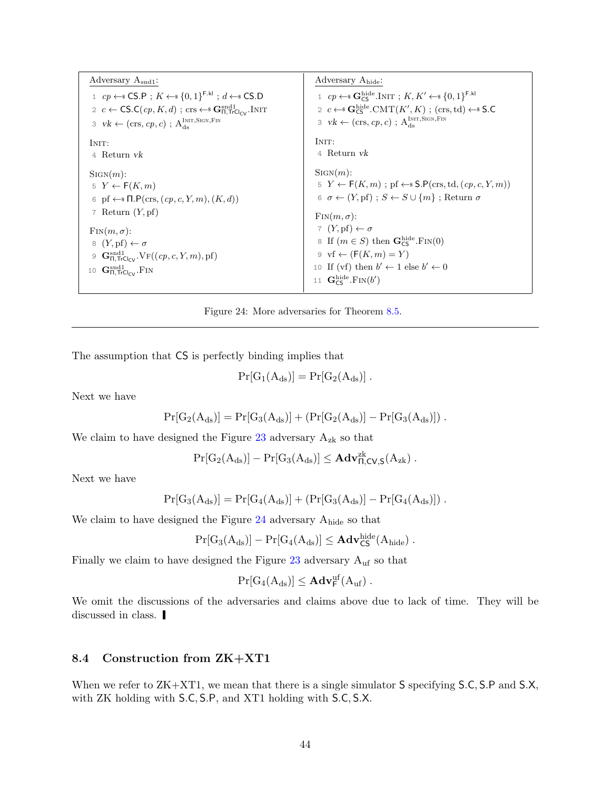<span id="page-43-1"></span>

| Adversary $A_{\text{snd1}}$ :                                                                                                                                                                                                                                          | Adversary A <sub>hide</sub> :                                                                                                                                                                                                 |
|------------------------------------------------------------------------------------------------------------------------------------------------------------------------------------------------------------------------------------------------------------------------|-------------------------------------------------------------------------------------------------------------------------------------------------------------------------------------------------------------------------------|
| 1 $cp \leftarrow$ CS.P; $K \leftarrow$ {0,1} <sup>F.kl</sup> ; $d \leftarrow$ CS.D<br>2 c $\leftarrow$ CS.C(cp, K, d); crs $\leftarrow$ S $\mathbf{G}_{\Pi,\text{TrCl}_{\text{C}}/}^{\text{snd1}}$ . INIT<br>3 $vk \leftarrow (crs, cp, c)$ ; $A_{ds}^{INT, SIGN,FIN}$ | 1 $cp \leftarrow$ G <sub>CS</sub> . INIT ; $K, K' \leftarrow \{0, 1\}^{\text{F}, \text{kl}}$<br>2 $c \leftarrow$ Geg CMT $(K', K)$ ; (crs, td) $\leftarrow$ S.C<br>3 $vk \leftarrow (crs, cp, c)$ ; $A_{ds}^{INT, SIGN, Fin}$ |
| INIT:                                                                                                                                                                                                                                                                  | INIT:                                                                                                                                                                                                                         |
| 4 Return vk                                                                                                                                                                                                                                                            | 4 Return vk                                                                                                                                                                                                                   |
| $\text{Sign}(m)$ :<br>$5 Y \leftarrow F(K,m)$<br>6 pf $\leftarrow$ $\Pi$ . $P(crs, (cp, c, Y, m), (K, d))$<br>7 Return $(Y, pf)$                                                                                                                                       | $SIGN(m)$ :<br>$5 Y \leftarrow F(K, m)$ ; pf $\leftarrow$ \$ S.P(crs, td, $(cp, c, Y, m)$ )<br>6 $\sigma \leftarrow (Y, \text{pf}) : S \leftarrow S \cup \{m\} : \text{Return } \sigma$<br>$\text{Fin}(m, \sigma)$ :          |
| $\text{Fin}(m, \sigma)$ :                                                                                                                                                                                                                                              | 7 $(Y, \text{pf}) \leftarrow \sigma$                                                                                                                                                                                          |
| $8 (Y, pf) \leftarrow \sigma$                                                                                                                                                                                                                                          | 8 If $(m \in S)$ then $\mathbf{G}_{\mathsf{CS}}^{\text{hide}}$ . FIN(0)                                                                                                                                                       |
| 9 $\mathbf{G}_{\Pi, \text{TrCl}_{\text{CV}}}^{\text{snd1}}$ . $\text{VF}((cp, c, Y, m), \text{pf})$                                                                                                                                                                    | $\vartheta$ vf $\leftarrow$ (F(K, m) = Y)                                                                                                                                                                                     |
| 10 $\mathbf{G}_{\Pi, \text{TrCl}_{\text{CV}}}^{\text{snd1}}$ . FIN                                                                                                                                                                                                     | 10 If (vf) then $b' \leftarrow 1$ else $b' \leftarrow 0$                                                                                                                                                                      |
|                                                                                                                                                                                                                                                                        | 11 $\mathbf{G}_{\mathsf{CS}}^{\mathrm{hide}}$ .FIN $(b')$                                                                                                                                                                     |

Figure 24: More adversaries for Theorem [8.5.](#page-41-3)

The assumption that CS is perfectly binding implies that

$$
\Pr[G_1(A_{ds})] = \Pr[G_2(A_{ds})] .
$$

Next we have

$$
\Pr[G_2(A_{ds})] = \Pr[G_3(A_{ds})] + (\Pr[G_2(A_{ds})] - \Pr[G_3(A_{ds})])\;.
$$

We claim to have designed the Figure [23](#page-42-0) adversary  $\mathbf{A}_{\text{zk}}$  so that

$$
\Pr[G_2(A_{ds})] - \Pr[G_3(A_{ds})] \leq \mathbf{Adv}_{\Pi,\mathsf{CV},\mathsf{S}}^{zk}(A_{zk}) \; .
$$

Next we have

$$
Pr[G_3(A_{ds})] = Pr[G_4(A_{ds})] + (Pr[G_3(A_{ds})] - Pr[G_4(A_{ds})])\;.
$$

We claim to have designed the Figure [24](#page-43-1) adversary  $\mathbf{A}_{\text{hide}}$  so that

$$
\Pr[G_3(A_{\mathrm{ds}})] - \Pr[G_4(A_{\mathrm{ds}})] \leq \mathbf{Adv}^{\rm hide}_{\mathsf{CS}}(A_{\mathrm{hide}}) \ .
$$

Finally we claim to have designed the Figure [23](#page-42-0) adversary  $\rm A_{uf}$  so that

$$
\Pr[G_4(A_{ds})] \leq \mathbf{Adv}^{uf}_\mathsf{F}(A_{uf})\ .
$$

We omit the discussions of the adversaries and claims above due to lack of time. They will be discussed in class.

### <span id="page-43-0"></span>8.4 Construction from ZK+XT1

<span id="page-43-2"></span>When we refer to  $ZK+XT1$ , we mean that there is a single simulator S specifying S.C, S.P and S.X, with ZK holding with S.C, S.P, and XT1 holding with S.C, S.X.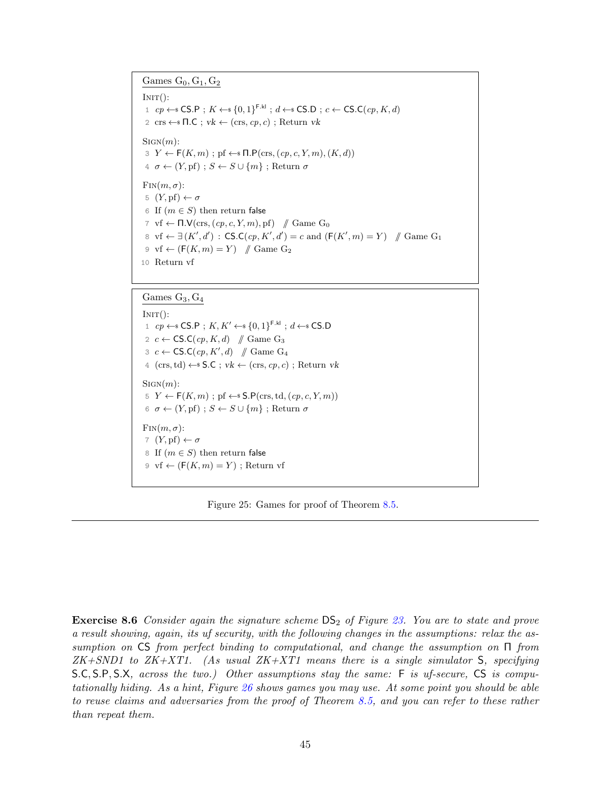<span id="page-44-0"></span>Games  $G_0, G_1, G_2$ 

 $INT():$ 1  $cp \leftarrow$  CS.P;  $K \leftarrow$  {0, 1}<sup>F.kl</sup>;  $d \leftarrow$  CS.D;  $c \leftarrow$  CS.C( $cp, K, d$ ) 2 crs  $\leftarrow$   $\mathsf{fl}.\mathsf{C}$ ;  $vk \leftarrow$  (crs,  $cp, c$ ); Return vk  $SIGN(m)$ :  $3 Y \leftarrow F(K, m)$ ; pf  $\leftarrow$   $\mathsf{fl}.\mathsf{P}(\text{crs},(cp, c, Y, m), (K, d))$  $4 \sigma \leftarrow (Y, \text{pf})$ ;  $S \leftarrow S \cup \{m\}$ ; Return  $\sigma$  $\text{Fin}(m, \sigma)$ : 5  $(Y, \text{pf}) \leftarrow \sigma$ 6 If  $(m \in S)$  then return false 7 vf  $\leftarrow \Pi.\mathsf{V}(\text{crs}, (cp, c, Y, m), \text{pf})$  // Game G<sub>0</sub> 8 vf ←  $\exists (K', d') : \mathsf{CS}.C(cp, K', d') = c$  and  $(\mathsf{F}(K', m) = Y)$  // Game G<sub>1</sub> 9 vf  $\leftarrow$  ( $F(K,m) = Y$ ) // Game G<sub>2</sub> 10 Return vf

#### Games  $G_3, G_4$

 $INT():$ 1  $cp \leftarrow$  CS.P;  $K, K' \leftarrow \{0, 1\}^{\text{F.kl}}$ ;  $d \leftarrow$  CS.D 2  $c \leftarrow \mathsf{CS.C}(cp, K, d)$  // Game G<sub>3</sub> 3  $c \leftarrow \mathsf{CS.C}(cp, K', d)$  // Game G<sub>4</sub> 4 (crs, td)  $\leftarrow$  S.C ; vk  $\leftarrow$  (crs, cp, c) ; Return vk  $SIGN(m)$ : 5  $Y \leftarrow F(K, m)$ ; pf  $\leftarrow$  \$ S.P(crs, td,  $(cp, c, Y, m)$ ) 6  $\sigma \leftarrow (Y, \text{pf})$ ;  $S \leftarrow S \cup \{m\}$ ; Return  $\sigma$  $\text{Fin}(m, \sigma)$ : 7  $(Y, \text{pf}) \leftarrow \sigma$ 8 If  $(m \in S)$  then return false 9 vf  $\leftarrow$  ( $F(K, m) = Y$ ); Return vf

Figure 25: Games for proof of Theorem [8.5.](#page-41-3)

**Exercise 8.6** Consider again the signature scheme  $DS_2$  of Figure [23.](#page-42-0) You are to state and prove a result showing, again, its uf security, with the following changes in the assumptions: relax the assumption on CS from perfect binding to computational, and change the assumption on Π from  $ZK+SND1$  to  $ZK+XT1$ . (As usual  $ZK+XT1$  means there is a single simulator S, specifying S.C, S.P, S.X, across the two.) Other assumptions stay the same: F is uf-secure, CS is computationally hiding. As a hint, Figure [26](#page-45-2) shows games you may use. At some point you should be able to reuse claims and adversaries from the proof of Theorem [8.5,](#page-41-3) and you can refer to these rather than repeat them.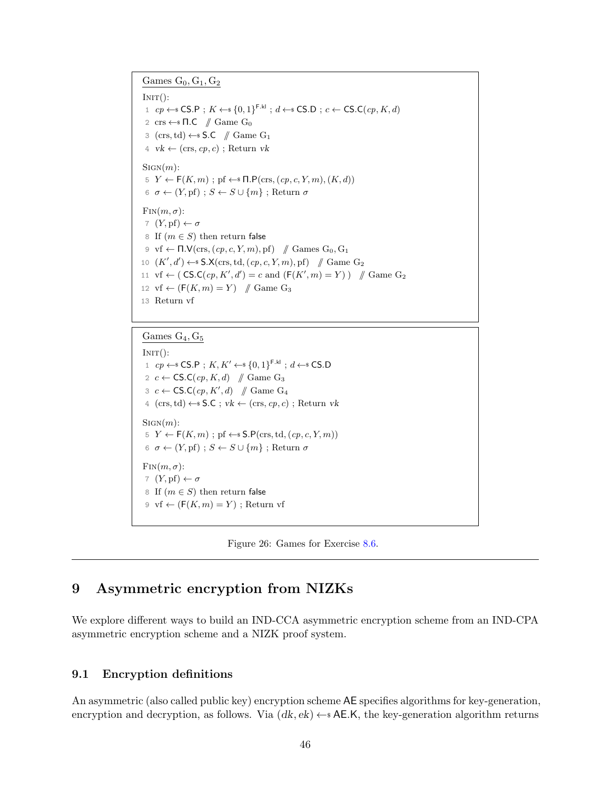<span id="page-45-2"></span>Games  $G_0, G_1, G_2$ 

 $INT():$ 1  $cp \leftarrow$  CS.P;  $K \leftarrow$  {0, 1}<sup>F.kl</sup>;  $d \leftarrow$  CS.D;  $c \leftarrow$  CS.C( $cp, K, d$ ) 2 crs  $\leftarrow$   $\blacksquare$   $\blacksquare$   $\blacksquare$   $\blacksquare$   $\blacksquare$   $\blacksquare$   $\blacksquare$   $\blacksquare$   $\blacksquare$ 3 (crs, td)  $\leftarrow$  S.C // Game G<sub>1</sub> 4  $vk \leftarrow (crs, cp, c)$ ; Return *vk*  $SIGN(m)$ :  $5 \ Y \leftarrow \mathsf{F}(K,m)$ ; pf  $\leftarrow$   $\mathsf{fl}.\mathsf{P}(\text{crs},(cp,c,Y,m),(K,d))$ 6  $\sigma \leftarrow (Y, \text{pf})$ ;  $S \leftarrow S \cup \{m\}$ ; Return  $\sigma$  $\text{Fin}(m, \sigma)$ : 7  $(Y, \text{pf}) \leftarrow \sigma$ 8 If  $(m \in S)$  then return false 9 vf  $\leftarrow \Pi.\mathsf{V}(\text{crs}, (cp, c, Y, m), \text{pf})$  // Games  $G_0, G_1$ 10  $(K', d') \leftarrow$  S.X(crs, td,  $(cp, c, Y, m)$ , pf) // Game G<sub>2</sub> 11 vf  $\leftarrow$  (CS.C(cp, K', d') = c and (F(K', m) = Y)) // Game G<sub>2</sub> 12 vf  $\leftarrow$  ( $F(K, m) = Y$ ) // Game G<sub>3</sub> 13 Return vf

Games  $G_4, G_5$ 

 $INT():$ 1 cp ← SCS.P;  $K, K' \leftarrow \{0, 1\}^{\text{F.kl}}$ ;  $d \leftarrow \text{sCS.D}$ 2  $c \leftarrow \mathsf{CS.C}(cp, K, d)$  // Game G<sub>3</sub> 3  $c \leftarrow \mathsf{CS.C}(cp, K', d) \quad \text{\# Game } G_4$ 4 (crs, td)  $\leftarrow$  S.C ; vk  $\leftarrow$  (crs, cp, c) ; Return vk  $SIGN(m)$ : 5  $Y \leftarrow F(K, m)$ ; pf  $\leftarrow$  \$ S.P(crs, td,  $(cp, c, Y, m)$ ) 6  $\sigma \leftarrow (Y, \text{pf})$ ;  $S \leftarrow S \cup \{m\}$ ; Return  $\sigma$  $\text{Fin}(m, \sigma)$ : 7  $(Y, \text{pf}) \leftarrow \sigma$ 8 If  $(m \in S)$  then return false 9 vf  $\leftarrow$  ( $F(K, m) = Y$ ); Return vf



# <span id="page-45-0"></span>9 Asymmetric encryption from NIZKs

We explore different ways to build an IND-CCA asymmetric encryption scheme from an IND-CPA asymmetric encryption scheme and a NIZK proof system.

### <span id="page-45-1"></span>9.1 Encryption definitions

An asymmetric (also called public key) encryption scheme AE specifies algorithms for key-generation, encryption and decryption, as follows. Via  $(dk, ek) \leftarrow$  AE.K, the key-generation algorithm returns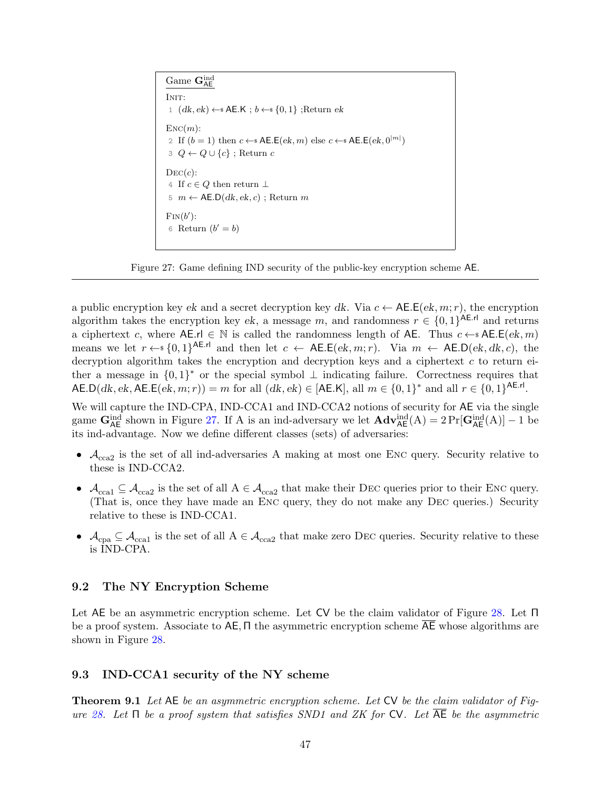```
Game \mathbf{G}_{\mathsf{A}\mathsf{E}}^{\mathrm{ind}}INIT:
 1 (dk, ek) ← AE.K; b \leftarrow s \{0, 1\};Return ek
\text{Enc}(m):
 2 If (b = 1) then c \leftarrow s \mathsf{AE.E}(ek, m) else c \leftarrow s \mathsf{AE.E}(ek, 0^{|m|})3 \ Q \leftarrow Q \cup \{c\}; Return c
DEC(c):
4\; If c\in Q then return \bot5 m \leftarrow \mathsf{AE.D}(dk, ek, c); Return m
\text{Fin}(b'):
 6 Return (b' = b)
```
Figure 27: Game defining IND security of the public-key encryption scheme AE.

a public encryption key ek and a secret decryption key dk. Via  $c \leftarrow \mathsf{AE}.\mathsf{E}(ek, m; r)$ , the encryption algorithm takes the encryption key ek, a message m, and randomness  $r \in \{0,1\}^{\mathsf{AE}.\mathsf{rl}}$  and returns a ciphertext c, where  $A \in \mathbb{R}$  is called the randomness length of  $A \in \mathbb{R}$ . Thus  $c \leftarrow s A \in \mathbb{R}(ek, m)$ means we let  $r \leftarrow s \{0,1\}^{AE.rl}$  and then let  $c \leftarrow AE.E(ek, m; r)$ . Via  $m \leftarrow AE.D(ek, dk, c)$ , the decryption algorithm takes the encryption and decryption keys and a ciphertext  $c$  to return either a message in  $\{0,1\}^*$  or the special symbol  $\perp$  indicating failure. Correctness requires that  $\mathsf{AE.D}(dk, ek, \mathsf{AE.E}(ek, m; r)) = m$  for all  $(dk, ek) \in [\mathsf{AE.K}],$  all  $m \in \{0,1\}^*$  and all  $r \in \{0,1\}^{\mathsf{AE.rl}}.$ 

We will capture the IND-CPA, IND-CCA1 and IND-CCA2 notions of security for AE via the single game  $\mathbf{G}_{\mathsf{A}\mathsf{E}}^{\text{ind}}$  shown in Figure [27.](#page-46-2) If A is an ind-adversary we let  $\mathbf{Adv}_{\mathsf{A}\mathsf{E}}^{\text{ind}}(\mathsf{A}) = 2 \Pr[\mathbf{G}_{\mathsf{A}\mathsf{E}}^{\text{ind}}(\mathsf{A})] - 1$  be its ind-advantage. Now we define different classes (sets) of adversaries:

- $A_{\text{cca2}}$  is the set of all ind-adversaries A making at most one ENC query. Security relative to these is IND-CCA2.
- $\mathcal{A}_{\text{cca1}} \subseteq \mathcal{A}_{\text{cca2}}$  is the set of all  $A \in \mathcal{A}_{\text{cca2}}$  that make their DEC queries prior to their ENC query. (That is, once they have made an Enc query, they do not make any Dec queries.) Security relative to these is IND-CCA1.
- $\mathcal{A}_{\text{cpa}} \subseteq \mathcal{A}_{\text{ccal}}$  is the set of all  $A \in \mathcal{A}_{\text{cca2}}$  that make zero DEC queries. Security relative to these is IND-CPA.

### <span id="page-46-0"></span>9.2 The NY Encryption Scheme

Let AE be an asymmetric encryption scheme. Let CV be the claim validator of Figure [28.](#page-47-0) Let Π be a proof system. Associate to  $AE$ ,  $\Pi$  the asymmetric encryption scheme AE whose algorithms are shown in Figure [28.](#page-47-0)

### <span id="page-46-1"></span>9.3 IND-CCA1 security of the NY scheme

<span id="page-46-3"></span>Theorem 9.1 Let AE be an asymmetric encryption scheme. Let CV be the claim validator of Fig-ure [28.](#page-47-0) Let  $\Pi$  be a proof system that satisfies SND1 and ZK for CV. Let  $\overline{AE}$  be the asymmetric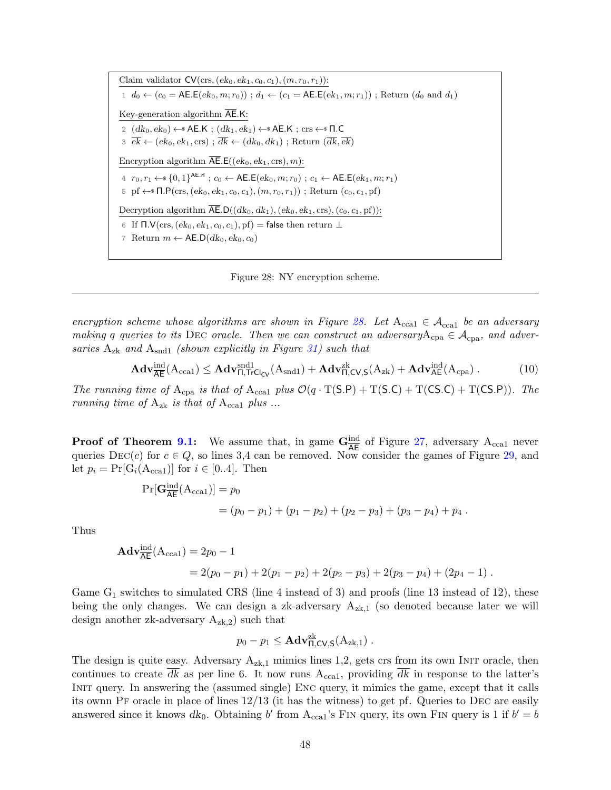<span id="page-47-0"></span>Claim validator  $CV(\text{crs},(ek_0, ek_1, c_0, c_1), (m, r_0, r_1))$ : 1  $d_0 \leftarrow (c_0 = \text{AE.E}(ek_0, m; r_0))$ ;  $d_1 \leftarrow (c_1 = \text{AE.E}(ek_1, m; r_1))$ ; Return  $(d_0 \text{ and } d_1)$ Key-generation algorithm  $\overline{\mathsf{AE}}.\mathsf{K}$ : 2  $(dk_0, ek_0) \leftarrow$  AE.K;  $(dk_1, ek_1) \leftarrow$  AE.K; crs  $\leftarrow$  T.C  $\overline{\mathcal{B}} \in (ek_0, ek_1, \text{crs})$ ;  $\overline{dk} \leftarrow (dk_0, dk_1)$ ; Return  $(\overline{dk}, \overline{ek})$ Encryption algorithm  $\overline{\mathsf{AE}}.\mathsf{E}((ek_0, ek_1, \text{crs}), m)$ : 4  $r_0, r_1 \leftarrow \{0, 1\}^{\mathsf{AE}.\mathsf{r} \mathsf{l}}$ ;  $c_0 \leftarrow \mathsf{AE}.\mathsf{E}(ek_0, m; r_0)$ ;  $c_1 \leftarrow \mathsf{AE}.\mathsf{E}(ek_1, m; r_1)$ 5 pf  $\leftarrow$   $\mathsf{I}.\mathsf{P}(\text{crs},(ek_0, ek_1, c_0, c_1), (m, r_0, r_1))$ ; Return  $(c_0, c_1, \text{pf})$ Decryption algorithm  $\overline{\mathsf{AE}}$ .D $((dk_0, dk_1), (ek_0, ek_1, \text{crs}), (c_0, c_1, \text{pf}))$ : 6 If  $\Pi.\mathsf{V}(\text{crs},(ek_0, ek_1, c_0, c_1), \text{pf}) = \text{false}$  then return  $\bot$ 7 Return  $m \leftarrow \mathsf{AE}.\mathsf{D}(dk_0, ek_0, c_0)$ 

Figure 28: NY encryption scheme.

encryption scheme whose algorithms are shown in Figure [28.](#page-47-0) Let  $A_{cca1} \in A_{cca1}$  be an adversary making q queries to its DEC oracle. Then we can construct an adversary  $A_{cpa} \in \mathcal{A}_{cpa}$ , and adversaries  $A_{zk}$  and  $A_{snd1}$  (shown explicitly in Figure [31\)](#page-50-0) such that

$$
\mathbf{Adv}_{\overline{\mathsf{AE}}}^{\text{ind}}(\mathbf{A}_{\text{ccal}}) \leq \mathbf{Adv}_{\mathsf{\Pi},\mathsf{TrCl}_{\mathsf{CV}}}^{\text{snd1}}(\mathbf{A}_{\text{snd1}}) + \mathbf{Adv}_{\mathsf{\Pi},\mathsf{CV},\mathsf{S}}^{\text{zk}}(\mathbf{A}_{\text{zk}}) + \mathbf{Adv}_{\mathsf{AE}}^{\text{ind}}(\mathbf{A}_{\text{cpa}}) \,. \tag{10}
$$

The running time of  $A_{cpa}$  is that of  $A_{cca1}$  plus  $\mathcal{O}(q \cdot T(S.P) + T(S.C) + T(CS.C) + T(CS.P)).$  The running time of  $A_{z_k}$  is that of  $A_{cca1}$  plus ...

**Proof of Theorem [9.1:](#page-46-3)** We assume that, in game  $G_{\overline{AE}}^{\text{ind}}$  of Figure [27,](#page-46-2) adversary  $A_{\text{ccal}}$  never queries  $\text{Dec}(c)$  for  $c \in Q$ , so lines 3,4 can be removed. Now consider the games of Figure [29,](#page-48-0) and let  $p_i = \Pr[G_i(A_{\text{ccal}})]$  for  $i \in [0..4]$ . Then

$$
Pr[G_{\overline{AE}}^{ind}(A_{cca1})] = p_0
$$
  
=  $(p_0 - p_1) + (p_1 - p_2) + (p_2 - p_3) + (p_3 - p_4) + p_4$ .

Thus

$$
\mathbf{Adv}_{\overline{\mathbf{AE}}}^{\text{ind}}(\mathbf{A}_{\text{ccal}}) = 2p_0 - 1
$$
  
= 2(p\_0 - p\_1) + 2(p\_1 - p\_2) + 2(p\_2 - p\_3) + 2(p\_3 - p\_4) + (2p\_4 - 1).

Game  $G_1$  switches to simulated CRS (line 4 instead of 3) and proofs (line 13 instead of 12), these being the only changes. We can design a zk-adversary  $A_{z_k}$  (so denoted because later we will design another zk-adversary  $A_{z,k,2}$ ) such that

$$
p_0 - p_1 \leq \mathbf{Adv}_{\Pi,CV,S}^{zk}(\mathbf{A}_{zk,1}) .
$$

The design is quite easy. Adversary  $A_{z_k,1}$  mimics lines 1,2, gets crs from its own INIT oracle, then continues to create dk as per line 6. It now runs  $A_{cca1}$ , providing dk in response to the latter's INIT query. In answering the (assumed single) ENC query, it mimics the game, except that it calls its ownn PF oracle in place of lines  $12/13$  (it has the witness) to get pf. Queries to DEC are easily answered since it knows  $dk_0$ . Obtaining b' from  $A_{cca1}$ 's FIN query, its own FIN query is 1 if  $b' = b$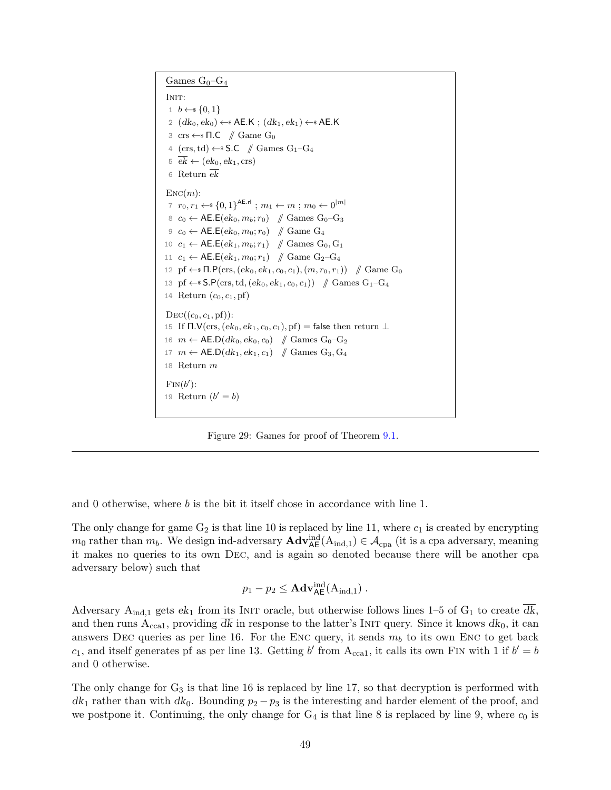<span id="page-48-0"></span>Games  $G_0-G_4$ 

INIT: 1  $b \leftarrow s \{0, 1\}$ 2  $(dk_0, ek_0) \leftarrow$  AE.K ;  $(dk_1, ek_1) \leftarrow$  AE.K 3 crs  $\leftarrow$  **1.C** // Game G<sub>0</sub> 4  $(cxs, td) \leftarrow$  S.C  $\#$  Games  $G_1-G_4$  $\overline{ek} \leftarrow (ek_0, ek_1, \text{crs})$ 6 Return  $ek$  $\text{Enc}(m)$ :  $7\hspace{.1cm} r_0, r_1 \leftarrow \scriptstyle{\ast} \left\{ 0,1\right\}^{\mathsf{AE}. \mathsf{rl}} \hspace{.1cm}; \hspace{.1cm} m_1 \leftarrow m \hspace{.1cm}; \hspace{.1cm} m_0 \leftarrow 0^{\mid m \mid}$ 8  $c_0$  ← AE.E( $ek_0, m_b; r_0$ ) // Games G<sub>0</sub>-G<sub>3</sub> 9  $c_0$  ← AE.E( $ek_0, m_0; r_0$ )  $\#$  Game G<sub>4</sub> 10  $c_1 \leftarrow \mathsf{AE}.\mathsf{E}(ek_1, m_b; r_1)$  // Games  $G_0, G_1$ 11  $c_1$  ← AE.E( $ek_1, m_0; r_1$ )  $\#$  Game G<sub>2</sub>-G<sub>4</sub> 12 pf  $\leftarrow$   $\mathsf{fl}.\mathsf{P}(\text{crs},(ek_0, ek_1, c_0, c_1), (m, r_0, r_1))$  // Game G<sub>0</sub> 13 pf  $\leftarrow$  S.P(crs, td,  $(ek_0, ek_1, c_0, c_1)$ ) // Games G<sub>1</sub>-G<sub>4</sub> 14 Return  $(c_0, c_1, \text{pf})$  $DEC((c_0, c_1, \text{pf}))$ : 15 If  $\Pi.\mathsf{V}(\text{crs},(ek_0, ek_1, c_0, c_1), \text{pf}) = \text{false}$  then return  $\perp$ 16  $m \leftarrow \mathsf{AE}.\mathsf{D}(dk_0, ek_0, c_0)$  // Games  $\mathrm{G}_0\text{-}\mathrm{G}_2$ 17  $m \leftarrow \mathsf{A}\mathsf{E}.\mathsf{D}(dk_1, ek_1, c_1)$  // Games  $\mathrm{G}_3, \mathrm{G}_4$ 18 Return m  $\text{Fin}(b')$ : 19 Return  $(b' = b)$ 

Figure 29: Games for proof of Theorem [9.1.](#page-46-3)

and 0 otherwise, where  $b$  is the bit it itself chose in accordance with line 1.

The only change for game  $G_2$  is that line 10 is replaced by line 11, where  $c_1$  is created by encrypting  $m_0$  rather than  $m_b$ . We design ind-adversary  $\mathbf{Adv}_{\mathsf{AE}}^{\text{ind}}(\mathbf{A}_{\text{ind},1}) \in \mathcal{A}_{\text{cpa}}$  (it is a cpa adversary, meaning it makes no queries to its own Dec, and is again so denoted because there will be another cpa adversary below) such that

$$
p_1 - p_2 \leq \mathbf{Adv}_{\mathsf{AE}}^{\mathrm{ind}}(A_{\mathrm{ind},1}) \ .
$$

Adversary A<sub>ind,1</sub> gets  $ek_1$  from its INIT oracle, but otherwise follows lines 1–5 of G<sub>1</sub> to create  $\overline{dk}$ , and then runs  $A_{ccat}$ , providing dk in response to the latter's INIT query. Since it knows  $dk_0$ , it can answers DEC queries as per line 16. For the ENC query, it sends  $m_b$  to its own ENC to get back  $c_1$ , and itself generates pf as per line 13. Getting b' from  $A_{cca1}$ , it calls its own FIN with 1 if  $b' = b$ and 0 otherwise.

The only change for  $G_3$  is that line 16 is replaced by line 17, so that decryption is performed with  $dk_1$  rather than with  $dk_0$ . Bounding  $p_2 - p_3$  is the interesting and harder element of the proof, and we postpone it. Continuing, the only change for  $G_4$  is that line 8 is replaced by line 9, where  $c_0$  is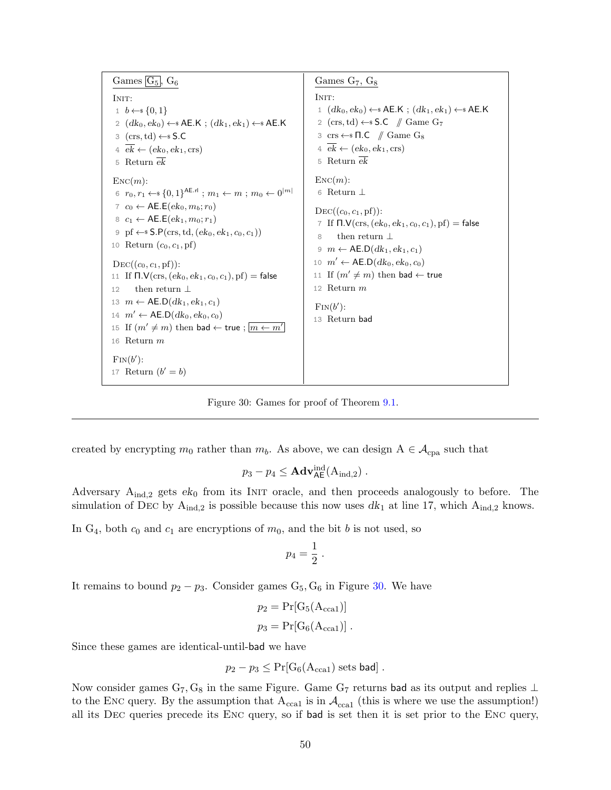<span id="page-49-0"></span>Games  $\boxed{G_5}$ ,  $G_6$ INIT:  $1 \quad b \leftarrow \{0,1\}$ 2  $(dk_0, ek_0) \leftarrow$ \$ AE.K ;  $(dk_1, ek_1) \leftarrow$ \$ AE.K 3  $(crs, td) \leftarrow$ \$ S.C  $4 \overline{ek} \leftarrow (ek_0, ek_1, \text{crs})$ 5 Return  $ek$  $\text{Enc}(m)$ : 6  $r_0, r_1 \leftarrow \{0, 1\}^{\mathsf{AE}. \mathsf{rl}}$  ;  $m_1 \leftarrow m$  ;  $m_0 \leftarrow 0^{|m|}$  $7 \, c_0 \leftarrow \mathsf{AE}.\mathsf{E}(ek_0, m_b; r_0)$  $8 \ c_1 \leftarrow \mathsf{AE}.\mathsf{E}(ek_1,m_0;r_1)$ 9 pf  $\leftarrow$  \$ S.P(crs, td,  $(ek_0, ek_1, c_0, c_1))$ 10 Return  $(c_0, c_1, \text{pf})$  $DEC((c_0, c_1, \text{pf}))$ : 11 If  $\Pi$ .  $V(crs, (ek_0, ek_1, c_0, c_1), pf) = false$ 12 then return ⊥ 13  $m \leftarrow \mathsf{AE}.\mathsf{D}(dk_1, ek_1, c_1)$ 14  $m' \leftarrow \mathsf{AE}.\mathsf{D}(dk_0, ek_0, c_0)$ 15 If  $(m' \neq m)$  then bad  $\leftarrow$  true ;  $\boxed{m \leftarrow m'}$ 16 Return m  $\text{Fin}(b')$ : 17 Return  $(b' = b)$ Games G<sub>7</sub>, G<sub>8</sub> INIT: 1  $(dk_0, ek_0) \leftarrow$  AE.K ;  $(dk_1, ek_1) \leftarrow$  AE.K 2 (crs, td)  $\leftarrow$  S.C // Game G<sub>7</sub> 3 crs  $\leftarrow$   $\blacksquare$   $\blacksquare$   $\blacksquare$   $\blacksquare$   $\blacksquare$   $\blacksquare$   $\blacksquare$   $\blacksquare$   $\blacksquare$   $\blacksquare$  $4 \overline{ek} \leftarrow (ek_0, ek_1, \text{crs})$ 5 Return  $ek$  $\text{Enc}(m)$ : 6 Return ⊥  $DEC((c_0, c_1, pf))$ : 7 If  $\Pi$ .  $V(crs, (ek_0, ek_1, c_0, c_1), pf) = false$ 8 then return ⊥ 9  $m \leftarrow \mathsf{AE}.\mathsf{D}(dk_1, ek_1, c_1)$ 10  $m' \leftarrow \mathsf{AE}.\mathsf{D}(dk_0, ek_0, c_0)$ 11 If  $(m' \neq m)$  then bad  $\leftarrow$  true 12 Return m  $\text{Fin}(b')$ : 13 Return bad

Figure 30: Games for proof of Theorem [9.1.](#page-46-3)

created by encrypting  $m_0$  rather than  $m_b$ . As above, we can design  $A \in \mathcal{A}_{\text{cpa}}$  such that

$$
p_3 - p_4 \leq \mathbf{Adv}_{\mathsf{AE}}^{\mathrm{ind}}(\mathrm{A}_{\mathrm{ind},2}) \ .
$$

Adversary  $A_{ind,2}$  gets  $ek_0$  from its INIT oracle, and then proceeds analogously to before. The simulation of DEC by  $A_{ind,2}$  is possible because this now uses  $dk_1$  at line 17, which  $A_{ind,2}$  knows.

In  $G_4$ , both  $c_0$  and  $c_1$  are encryptions of  $m_0$ , and the bit b is not used, so

$$
p_4=\frac{1}{2}.
$$

It remains to bound  $p_2 - p_3$ . Consider games  $G_5, G_6$  in Figure [30.](#page-49-0) We have

$$
p_2 = \Pr[G_5(A_{\text{ccal}})]
$$
  

$$
p_3 = \Pr[G_6(A_{\text{ccal}})]
$$
.

Since these games are identical-until-bad we have

$$
p_2 - p_3 \le \Pr[G_6(A_{\text{ccal}}) \text{ sets bad}].
$$

Now consider games  $G_7, G_8$  in the same Figure. Game  $G_7$  returns bad as its output and replies ⊥ to the ENC query. By the assumption that  $A_{\text{ccal}}$  is in  $A_{\text{ccal}}$  (this is where we use the assumption!) all its Dec queries precede its Enc query, so if bad is set then it is set prior to the Enc query,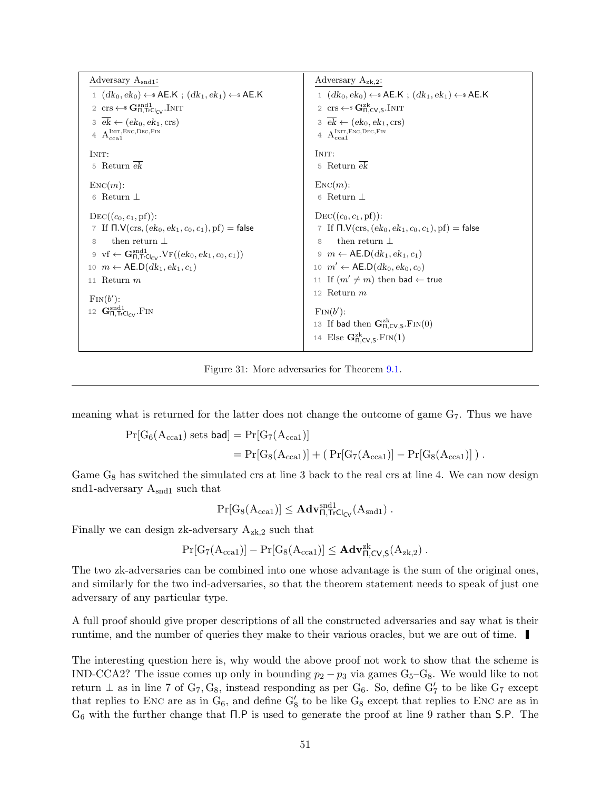<span id="page-50-0"></span>

| Adversary $A_{\text{snd1}}$ :                                                                         | Adversary $A_{z_k,2}$ :                                                                              |
|-------------------------------------------------------------------------------------------------------|------------------------------------------------------------------------------------------------------|
| 1 $(dk_0, ek_0) \leftarrow$ AE.K; $(dk_1, ek_1) \leftarrow$ AE.K                                      | 1 $(dk_0, ek_0) \leftarrow$ AE.K; $(dk_1, ek_1) \leftarrow$ AE.K                                     |
| 2 crs $\leftarrow$ <b>G</b> <sub><math>\Pi</math></sub> , $TrCl_{CV}$ , INIT                          | 2 crs $\leftarrow$ <b>G</b> <sub><math>\text{R}_{\text{LCV},\text{S}}^{\text{zk}}</math>. INIT</sub> |
| $3 \text{ ek} \leftarrow (\text{ek}_0, \text{ek}_1, \text{crs})$                                      | $\overline{\mathcal{E}} \in (ek_0, ek_1, \text{crs})$                                                |
| $4\  \  \, \mathrm{A_{cca1}^{Inrr,Enc,Dec,Fin}}$                                                      | $4\  \  \, \mathrm{A_{cca1}^{INT, Enc, Dec, Fin}}$                                                   |
| INIT:                                                                                                 | INIT:                                                                                                |
| 5 Return $ek$                                                                                         | 5 Return $\overline{ek}$                                                                             |
| $\text{Enc}(m)$ :                                                                                     | $\text{Enc}(m)$ :                                                                                    |
| 6 Return $\perp$                                                                                      | 6 Return $\perp$                                                                                     |
| $DEC((c_0, c_1, \text{pf}))$ :                                                                        | $DEC((c_0, c_1, pf))$ :                                                                              |
| 7 If $\Pi$ .V(crs, $(ek_0, ek_1, c_0, c_1)$ , pf) = false                                             | 7 If $\Pi.V(\text{crs}, (ek_0, ek_1, c_0, c_1), \text{pf}) = \text{false}$                           |
| then return $\perp$<br>8                                                                              | then return $\perp$<br>8                                                                             |
| 9 vf $\leftarrow$ $\mathbf{G}_{\Pi, \text{TrCL}}^{\text{snd1}}$ . $\text{VF}((ek_0, ek_1, c_0, c_1))$ | $9 \t m \leftarrow \mathsf{AE}.\mathsf{D}(dk_1, ek_1, c_1)$                                          |
| 10 $m \leftarrow \mathsf{AE.D}(dk_1, ek_1, c_1)$                                                      | 10 $m' \leftarrow \mathsf{AE}.\mathsf{D}(dk_0, ek_0, c_0)$                                           |
| 11 Return $m$                                                                                         | 11 If $(m' \neq m)$ then bad $\leftarrow$ true                                                       |
| $\text{Fin}(b')$ :                                                                                    | 12 Return $m$                                                                                        |
| 12 $\mathbf{G}_{\Pi, \text{TrCL}}^{\text{snd1}}$ . FIN                                                | $\text{Fin}(b')$ :                                                                                   |
|                                                                                                       | 13 If bad then $\mathbf{G}_{\Pi,CV,S}^{zk}$ . FIN(0)                                                 |
|                                                                                                       | 14 Else $\mathbf{G}_{\Pi,CV,S}^{zk}$ . FIN(1)                                                        |
|                                                                                                       |                                                                                                      |

Figure 31: More adversaries for Theorem [9.1.](#page-46-3)

meaning what is returned for the latter does not change the outcome of game G7. Thus we have

$$
\begin{aligned} \Pr[G_6(A_{cca1})\;{\rm sets}\; \textsf{bad}] & = \Pr[G_7(A_{cca1})] \\ & = \Pr[G_8(A_{cca1})] + (\; \Pr[G_7(A_{cca1})] - \Pr[G_8(A_{cca1})] \;)\;. \end{aligned}
$$

Game  $G_8$  has switched the simulated crs at line 3 back to the real crs at line 4. We can now design snd1-adversary  $A_{\text{snd}1}$  such that

$$
\Pr[G_8(A_{cca1})] \leq \mathbf{Adv}_{\Pi,\mathsf{TrCl}_{\mathsf{CV}}}^{\mathrm{snd1}}(A_{\mathrm{snd1}}) \ .
$$

Finally we can design zk-adversary  $A_{zk,2}$  such that

$$
\Pr[G_7(A_{\rm cca1})]-\Pr[G_8(A_{\rm cca1})]\leq \mathbf{Adv}_{\Pi,CV,S}^{\rm zk}(A_{\rm zk,2})\;.
$$

The two zk-adversaries can be combined into one whose advantage is the sum of the original ones, and similarly for the two ind-adversaries, so that the theorem statement needs to speak of just one adversary of any particular type.

A full proof should give proper descriptions of all the constructed adversaries and say what is their runtime, and the number of queries they make to their various oracles, but we are out of time.

The interesting question here is, why would the above proof not work to show that the scheme is IND-CCA2? The issue comes up only in bounding  $p_2 - p_3$  via games  $G_5-G_8$ . We would like to not return  $\perp$  as in line 7 of G<sub>7</sub>, G<sub>8</sub>, instead responding as per G<sub>6</sub>. So, define G<sub>7</sub><sup>'</sup> to be like G<sub>7</sub> except that replies to ENC are as in  $G_6$ , and define  $G'_8$  to be like  $G_8$  except that replies to ENC are as in G<sup>6</sup> with the further change that Π.P is used to generate the proof at line 9 rather than S.P. The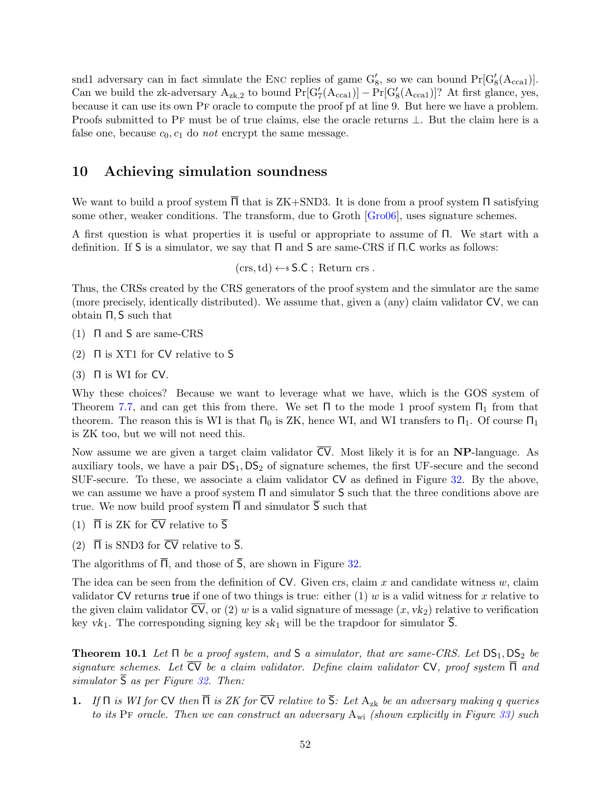<span id="page-51-2"></span>snd1 adversary can in fact simulate the ENC replies of game  $G_8'$ , so we can bound  $Pr[G_8'(A_{cca1})].$ Can we build the zk-adversary  $A_{zk,2}$  to bound  $Pr[G'_{7}(A_{cca1})] - Pr[G'_{8}(A_{cca1})]$ ? At first glance, yes, because it can use its own Pf oracle to compute the proof pf at line 9. But here we have a problem. Proofs submitted to PF must be of true claims, else the oracle returns ⊥. But the claim here is a false one, because  $c_0, c_1$  do not encrypt the same message.

### <span id="page-51-0"></span>10 Achieving simulation soundness

We want to build a proof system  $\Pi$  that is ZK+SND3. It is done from a proof system  $\Pi$  satisfying some other, weaker conditions. The transform, due to Groth [\[Gro06\]](#page-70-10), uses signature schemes.

A first question is what properties it is useful or appropriate to assume of Π. We start with a definition. If S is a simulator, we say that Π and S are same-CRS if Π.C works as follows:

 $(crs, td) \leftarrow$  S.C; Return crs.

Thus, the CRSs created by the CRS generators of the proof system and the simulator are the same (more precisely, identically distributed). We assume that, given a (any) claim validator CV, we can obtain Π, S such that

- (1) Π and S are same-CRS
- (2)  $\Pi$  is XT1 for CV relative to S
- (3)  $\Box$  is WI for CV.

Why these choices? Because we want to leverage what we have, which is the GOS system of Theorem [7.7,](#page-37-0) and can get this from there. We set  $\Pi$  to the mode 1 proof system  $\Pi_1$  from that theorem. The reason this is WI is that  $\Pi_0$  is ZK, hence WI, and WI transfers to  $\Pi_1$ . Of course  $\Pi_1$ is ZK too, but we will not need this.

Now assume we are given a target claim validator  $\overline{CV}$ . Most likely it is for an **NP**-language. As auxiliary tools, we have a pair  $DS_1$ ,  $DS_2$  of signature schemes, the first UF-secure and the second SUF-secure. To these, we associate a claim validator CV as defined in Figure [32.](#page-52-0) By the above, we can assume we have a proof system  $\Pi$  and simulator S such that the three conditions above are true. We now build proof system  $\overline{\Pi}$  and simulator  $\overline{S}$  such that

- (1)  $\overline{\Pi}$  is ZK for  $\overline{\text{CV}}$  relative to  $\overline{\text{S}}$
- (2)  $\overline{\Pi}$  is SND3 for  $\overline{\text{CV}}$  relative to  $\overline{\text{S}}$ .

The algorithms of  $\overline{\Pi}$ , and those of  $\overline{S}$ , are shown in Figure [32.](#page-52-0)

The idea can be seen from the definition of  $CV$ . Given crs, claim x and candidate witness w, claim validator CV returns true if one of two things is true: either  $(1)$  w is a valid witness for x relative to the given claim validator  $\overline{CV}$ , or (2) w is a valid signature of message  $(x, vk_2)$  relative to verification key  $vk_1$ . The corresponding signing key  $sk_1$  will be the trapdoor for simulator S.

<span id="page-51-1"></span>**Theorem 10.1** Let  $\Pi$  be a proof system, and  $S$  a simulator, that are same-CRS. Let  $DS_1$ ,  $DS_2$  be signature schemes. Let  $\overline{\text{CV}}$  be a claim validator. Define claim validator  $\text{CV}$ , proof system  $\overline{\Pi}$  and simulator  $\overline{S}$  as per Figure [32.](#page-52-0) Then:

1. If  $\Pi$  is WI for CV then  $\overline{\Pi}$  is ZK for  $\overline{\text{CV}}$  relative to  $\overline{\text{S}}$ : Let  $A_{\text{zk}}$  be an adversary making q queries to its PF oracle. Then we can construct an adversary  $A_{wi}$  (shown explicitly in Figure [33\)](#page-53-0) such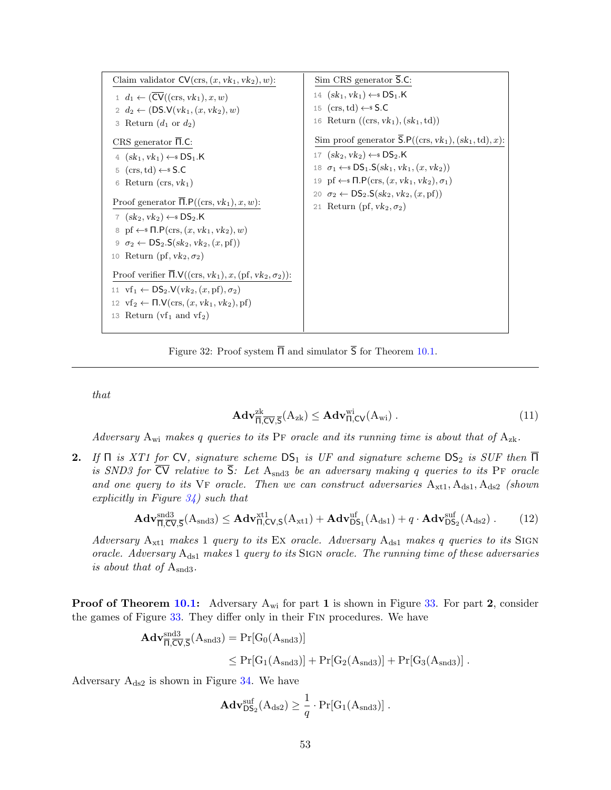<span id="page-52-0"></span>

Figure 32: Proof system  $\overline{\Pi}$  and simulator  $\overline{S}$  for Theorem [10.1.](#page-51-1)

that

$$
\mathbf{Adv}_{\overline{\Pi},\overline{\text{CV}},\overline{\text{S}}}^{\text{zk}}(A_{\text{zk}}) \leq \mathbf{Adv}_{\Pi,\text{CV}}^{\text{wi}}(A_{\text{wi}}) \,. \tag{11}
$$

Adversary  $A_{wi}$  makes q queries to its PF oracle and its running time is about that of  $A_{zk}$ .

2. If  $\Pi$  is XT1 for CV, signature scheme  $DS_1$  is UF and signature scheme  $DS_2$  is SUF then  $\Pi$ is SND3 for  $\overline{CV}$  relative to  $\overline{S}$ : Let Asnd<sub>3</sub> be an adversary making q queries to its PF oracle and one query to its VF oracle. Then we can construct adversaries  $A_{xt1}, A_{ds1}, A_{ds2}$  (shown explicitly in Figure  $34$ ) such that

$$
\mathbf{Adv}_{\overline{\Pi},\overline{\text{CV}},\overline{\text{S}}}^{\text{snd3}}(A_{\text{snd3}}) \leq \mathbf{Adv}_{\Pi,\text{CV},\text{S}}^{\text{xt1}}(A_{\text{xt1}}) + \mathbf{Adv}_{\text{DS}_1}^{\text{uf}}(A_{\text{ds1}}) + q \cdot \mathbf{Adv}_{\text{DS}_2}^{\text{surf}}(A_{\text{ds2}}) \,. \tag{12}
$$

Adversary  $A_{xt1}$  makes 1 query to its Ex oracle. Adversary  $A_{ds1}$  makes q queries to its SIGN oracle. Adversary  $A_{ds1}$  makes 1 query to its SIGN oracle. The running time of these adversaries is about that of  $A_{\text{snd3}}$ .

**Proof of Theorem [10.1:](#page-51-1)** Adversary  $A_{wi}$  for part 1 is shown in Figure [33.](#page-53-0) For part 2, consider the games of Figure [33.](#page-53-0) They differ only in their Fin procedures. We have

$$
\begin{aligned} \mathbf{Adv}_{\overline{\Pi},\overline{\text{CV}},\overline{\text{S}}}^{\text{and3}}(A_{\text{snd3}}) &= \Pr[G_0(A_{\text{snd3}})] \\ &\leq \Pr[G_1(A_{\text{snd3}})] + \Pr[G_2(A_{\text{snd3}})] + \Pr[G_3(A_{\text{snd3}})] \; . \end{aligned}
$$

Adversary  $A_{ds2}$  is shown in Figure [34.](#page-54-0) We have

$$
\mathbf{Adv}_{\mathsf{DS}_2}^{\text{suf}}(A_{\text{ds}2}) \geq \frac{1}{q} \cdot \Pr[G_1(A_{\text{snd}3})] .
$$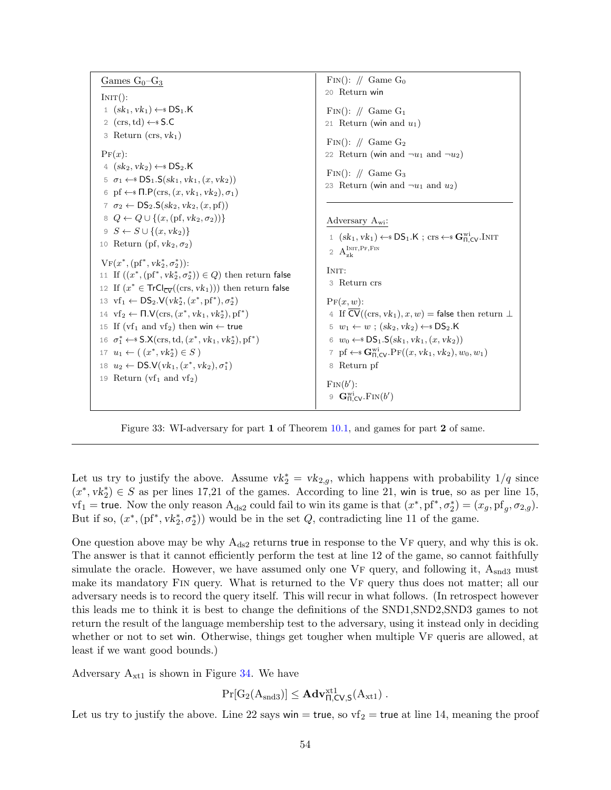<span id="page-53-0"></span>

Figure 33: WI-adversary for part 1 of Theorem [10.1,](#page-51-1) and games for part 2 of same.

Let us try to justify the above. Assume  $vk_2^* = vk_{2,g}$ , which happens with probability  $1/q$  since  $(x^*, v k_2^*) \in S$  as per lines 17,21 of the games. According to line 21, win is true, so as per line 15,  $\text{wf}_1 = \text{true}$ . Now the only reason  $A_{ds2}$  could fail to win its game is that  $(x^*, \text{pf}^*, \sigma_2^*) = (x_g, \text{pf}_g, \sigma_{2,g})$ . But if so,  $(x^*, (pf^*, vk_2^*, \sigma_2^*))$  would be in the set  $Q$ , contradicting line 11 of the game.

One question above may be why  $A_{ds2}$  returns true in response to the VF query, and why this is ok. The answer is that it cannot efficiently perform the test at line 12 of the game, so cannot faithfully simulate the oracle. However, we have assumed only one  $VF$  query, and following it,  $A_{\text{snd3}}$  must make its mandatory FIN query. What is returned to the VF query thus does not matter; all our adversary needs is to record the query itself. This will recur in what follows. (In retrospect however this leads me to think it is best to change the definitions of the SND1,SND2,SND3 games to not return the result of the language membership test to the adversary, using it instead only in deciding whether or not to set win. Otherwise, things get tougher when multiple VF queris are allowed, at least if we want good bounds.)

Adversary  $A_{xt1}$  is shown in Figure [34.](#page-54-0) We have

$$
\Pr[G_2(A_{\text{snd3}})] \leq \mathbf{Adv}_{\Pi,\text{CV},\text{S}}^{\text{xt1}}(A_{\text{xt1}}) .
$$

Let us try to justify the above. Line 22 says win = true, so  $vf_2$  = true at line 14, meaning the proof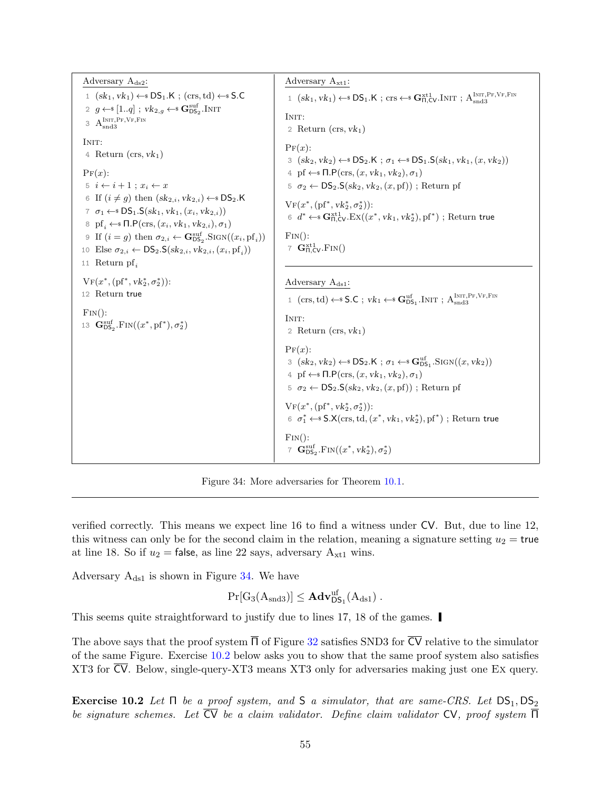<span id="page-54-0"></span>Adversary  $A_{ds2}$ : 1  $(sk_1, vk_1) \leftarrow SDS_1.K$ ;  $(crs, td) \leftarrow SDS_1$ . 2  $g \leftarrow \{1..q\}$ ;  $vk_{2,g} \leftarrow s \mathbf{G}_{\text{DS}_2}^{\text{suf}}$ .Init  $A<sub>snd3</sub><sup>INT,PF,VF,FIN</sup>$ INIT: 4 Return  $(crs, vk<sub>1</sub>)$  $\Pr(x)$ : 5  $i \leftarrow i + 1$ ;  $x_i \leftarrow x$ 6 If  $(i \neq g)$  then  $(sk_{2,i}, vk_{2,i}) \leftarrow$  DS<sub>2</sub>.K 7  $\sigma_1 \leftarrow$   $DS_1.S(sk_1, vk_1,(x_i, vk_2,i))$ 8 pf<sub>i</sub>  $\leftarrow$   $\blacksquare$ P(crs, (x<sub>i</sub>, vk<sub>1</sub>, vk<sub>2,i</sub>),  $\sigma_1$ ) 9 If  $(i = g)$  then  $\sigma_{2,i} \leftarrow \mathbf{G}_{\text{DS}_2}^{\text{suf}}$ . SIGN $((x_i, \text{pf}_i))$ 10 Else  $\sigma_{2,i} \leftarrow DS_2.S(sk_{2,i}, vk_{2,i},(x_i,pf_i))$ 11 Return pf $_i$  $V_F(x^*, (pf^*, vk_2^*, \sigma_2^*)):$ 12 Return true  $\text{Fin}()$ : 13  $\mathbf{G}_{\text{DS}_2}^{\text{suf}}$ .FIN $((x^*, \text{pf}^*), \sigma_2^*)$ Adversary  $A_{xt1}$ : 1  $(sk_1, vk_1) \leftarrow SDS_1.K$ ; crs  $\leftarrow$  **s** $\mathbf{G}_{\Pi,CV}^{xt1}$ . Init;  $A_{\text{snd3}}^{\text{Init},\text{Pr},\text{VF},\text{Fin}}$ INIT<sup>.</sup> 2 Return  $(crs, vk<sub>1</sub>)$  $\Pr(x)$ : 3  $(sk_2, vk_2) \leftarrow SDS_2.K ; \sigma_1 \leftarrow SDS_1.S(sk_1, vk_1,(x, vk_2))$ 4 pf  $\leftarrow$   $\mathsf{N}.\mathsf{P}(\text{crs},(x,vk_1,vk_2),\sigma_1)$  $5 \sigma_2 \leftarrow DS_2.S(sk_2, vk_2,(x,pf))$ ; Return pf  $V_F(x^*, (pf^*, vk_2^*, \sigma_2^*)):$  $6 \, d^* \leftarrow \mathbf{G}^{\text{xt1}}_{\Pi,\text{CV}}.\text{Ex}((x^*,\text{vk}_1,\text{vk}_2^*),\text{pf}^*)$  ; Return true  $\text{FIN}()$ : 7  $\mathbf{G}_{\Pi,\mathsf{CV}}^{\text{xt1}}$ .  $\text{Fin}()$ Adversary  $A_{ds1}$ : 1 (crs, td)  $\leftarrow$  S.C ;  $vk_1 \leftarrow$  G<sub>DS<sub>1</sub></sub>.INIT ;  $A_{\text{snd3}}^{\text{INT}, \text{PF}, \text{VF}, \text{Fin}}$ INIT: 2 Return  $(crs, vk<sub>1</sub>)$  $PF(x)$ :  $3 (sk_2, vk_2) \leftarrow SDS_2.K ; \sigma_1 \leftarrow SDS_1.SIGN((x, vk_2))$ 4 pf  $\leftarrow$   $\mathsf{N}.\mathsf{P}(\text{crs},(x,vk_1,vk_2),\sigma_1)$  $5 \sigma_2 \leftarrow DS_2.S(sk_2, vk_2,(x,pf))$ ; Return pf  $V_F(x^*, (pf^*, vk_2^*, \sigma_2^*)):$  $6 \sigma_1^* \leftarrow \$S.X(crs, td, (x^*, vk_1, vk_2^*), pf^*)$ ; Return true  $\text{FIN}()$ : 7  $\mathbf{G}_{\text{DS}_2}^{\text{suf}}$ . Fin $((x^*, vk_2^*), \sigma_2^*)$ 

Figure 34: More adversaries for Theorem [10.1.](#page-51-1)

verified correctly. This means we expect line 16 to find a witness under CV. But, due to line 12, this witness can only be for the second claim in the relation, meaning a signature setting  $u_2$  = true at line 18. So if  $u_2$  = false, as line 22 says, adversary  $A_{xt1}$  wins.

Adversary  $A_{ds1}$  is shown in Figure [34.](#page-54-0) We have

$$
\Pr[G_3(A_{\textup{snd}3})] \leq \mathbf{Adv}^{uf}_{\mathsf{DS}_1}(A_{\textup{ds}1})\ .
$$

This seems quite straightforward to justify due to lines 17, 18 of the games.

The above says that the proof system  $\overline{\Pi}$  of Figure [32](#page-52-0) satisfies SND3 for  $\overline{CV}$  relative to the simulator of the same Figure. Exercise [10.2](#page-54-1) below asks you to show that the same proof system also satisfies XT3 for CV. Below, single-query-XT3 means XT3 only for adversaries making just one Ex query.

<span id="page-54-1"></span>Exercise 10.2 Let  $\Pi$  be a proof system, and S a simulator, that are same-CRS. Let  $DS_1$ ,  $DS_2$ be signature schemes. Let  $\overline{CV}$  be a claim validator. Define claim validator CV, proof system  $\overline{\Pi}$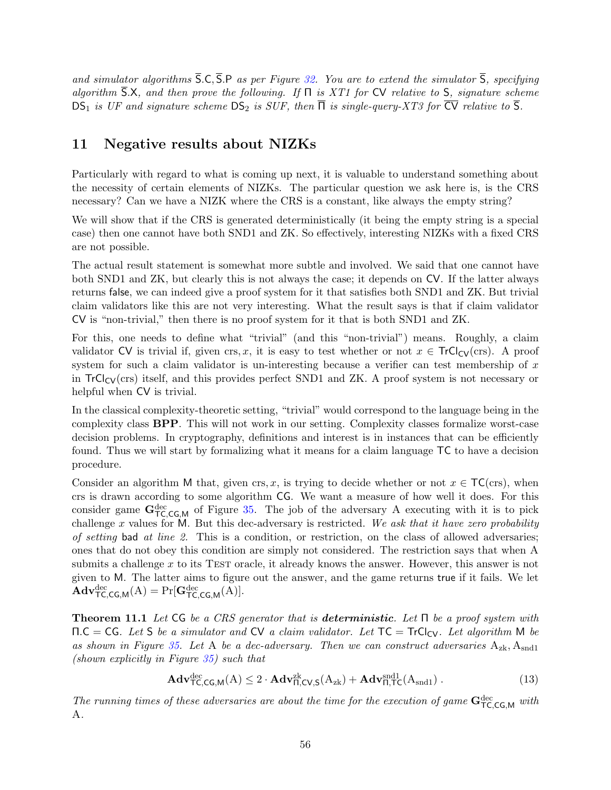and simulator algorithms  $\overline{S}$ .C,  $\overline{S}$ .P as per Figure [32.](#page-52-0) You are to extend the simulator  $\overline{S}$ , specifying algorithm  $\overline{S}.X$ , and then prove the following. If  $\Pi$  is XT1 for CV relative to S, signature scheme  $DS_1$  is UF and signature scheme  $DS_2$  is SUF, then  $\overline{\Pi}$  is single-query-XT3 for  $\overline{CV}$  relative to  $\overline{S}$ .

### <span id="page-55-0"></span>11 Negative results about NIZKs

Particularly with regard to what is coming up next, it is valuable to understand something about the necessity of certain elements of NIZKs. The particular question we ask here is, is the CRS necessary? Can we have a NIZK where the CRS is a constant, like always the empty string?

We will show that if the CRS is generated deterministically (it being the empty string is a special case) then one cannot have both SND1 and ZK. So effectively, interesting NIZKs with a fixed CRS are not possible.

The actual result statement is somewhat more subtle and involved. We said that one cannot have both SND1 and ZK, but clearly this is not always the case; it depends on CV. If the latter always returns false, we can indeed give a proof system for it that satisfies both SND1 and ZK. But trivial claim validators like this are not very interesting. What the result says is that if claim validator CV is "non-trivial," then there is no proof system for it that is both SND1 and ZK.

For this, one needs to define what "trivial" (and this "non-trivial") means. Roughly, a claim validator CV is trivial if, given crs, x, it is easy to test whether or not  $x \in TrCl_{CV}(crs)$ . A proof system for such a claim validator is un-interesting because a verifier can test membership of  $x$ in  $TrCl_{CV}(crs)$  itself, and this provides perfect SND1 and ZK. A proof system is not necessary or helpful when CV is trivial.

In the classical complexity-theoretic setting, "trivial" would correspond to the language being in the complexity class BPP. This will not work in our setting. Complexity classes formalize worst-case decision problems. In cryptography, definitions and interest is in instances that can be efficiently found. Thus we will start by formalizing what it means for a claim language TC to have a decision procedure.

Consider an algorithm M that, given crs, x, is trying to decide whether or not  $x \in \mathsf{TC}(\text{crs})$ , when crs is drawn according to some algorithm CG. We want a measure of how well it does. For this consider game  $G_{\text{TC,CG,M}}^{\text{dec}}$  of Figure [35.](#page-56-0) The job of the adversary A executing with it is to pick challenge x values for M. But this dec-adversary is restricted. We ask that it have zero probability of setting bad at line 2. This is a condition, or restriction, on the class of allowed adversaries; ones that do not obey this condition are simply not considered. The restriction says that when A submits a challenge  $x$  to its TEST oracle, it already knows the answer. However, this answer is not given to M. The latter aims to figure out the answer, and the game returns true if it fails. We let  $\mathbf{Adv}_{\mathsf{TC},\mathsf{CG},\mathsf{M}}^{\text{dec}}(\mathbf{A}) = \Pr[\mathbf{G}_{\mathsf{TC},\mathsf{CG},\mathsf{M}}^{\text{dec}}(\mathbf{A})].$ 

<span id="page-55-1"></span>**Theorem 11.1** Let CG be a CRS generator that is **deterministic**. Let  $\Pi$  be a proof system with  $\Pi.C = CG$ . Let S be a simulator and CV a claim validator. Let  $TC = TrCl_{CV}$ . Let algorithm M be as shown in Figure [35.](#page-56-0) Let A be a dec-adversary. Then we can construct adversaries  $A_{zk}$ ,  $A_{sndl}$ (shown explicitly in Figure [35\)](#page-56-0) such that

<span id="page-55-2"></span>
$$
\mathbf{Adv}_{\mathsf{TC},\mathsf{CG},\mathsf{M}}^{\text{dec}}(A) \le 2 \cdot \mathbf{Adv}_{\mathsf{\Pi},\mathsf{CV},\mathsf{S}}^{\text{zk}}(A_{\text{zk}}) + \mathbf{Adv}_{\mathsf{\Pi},\mathsf{TC}}^{\text{snd1}}(A_{\text{snd1}}) \,. \tag{13}
$$

The running times of these adversaries are about the time for the execution of game  $G_{TC,CG,M}^{dec}$  with A.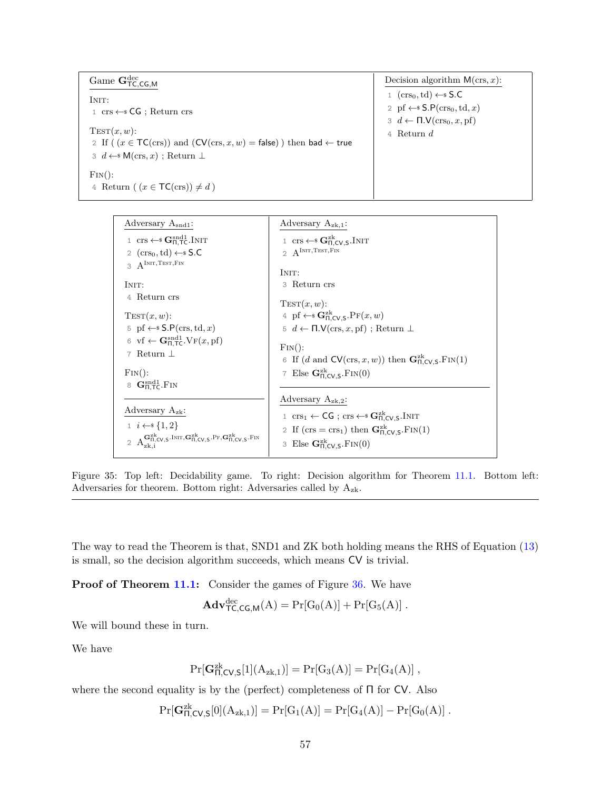<span id="page-56-0"></span>

| Game $\mathbf{G}_{\mathsf{TC}.\mathsf{CG}.\mathsf{M}}^{\text{dec}}$                 | Decision algorithm $M(crs, x)$ :                                |
|-------------------------------------------------------------------------------------|-----------------------------------------------------------------|
| INIT:                                                                               | $(crs_0, td) \leftarrow$ S.C                                    |
| $1 \text{ crs} \leftarrow \text{SG}$ ; Return crs                                   | 2 pf $\leftarrow$ \$ S.P(crs <sub>0</sub> , td, x)              |
|                                                                                     | $3 \, d \leftarrow \Pi \mathcal{N}(\text{crs}_0, x, \text{pf})$ |
| $TEST(x, w)$ :                                                                      | 4 Return $d$                                                    |
| 2 If ( $(x \in TC(crs))$ and $(CV(crs, x, w) = false)$ ) then bad $\leftarrow$ true |                                                                 |
| $3 \, d \leftarrow \, M(cxs, x)$ ; Return $\perp$                                   |                                                                 |
| $\text{Fin}()$ :                                                                    |                                                                 |
| 4 Return $(x \in \mathsf{TC}(\text{crs})) \neq d$                                   |                                                                 |

| Adversary $A_{\text{snd1}}$ :                                                                                                                                                                     | Adversary $A_{z_{k},1}$ :                                                                                                            |
|---------------------------------------------------------------------------------------------------------------------------------------------------------------------------------------------------|--------------------------------------------------------------------------------------------------------------------------------------|
| 1 crs $\leftarrow$ $\mathbf{G}_{\Pi, \mathsf{T}\mathsf{C}}^{\text{snd}1}$ . INIT                                                                                                                  | 1 crs $\leftarrow$ $\mathbf{G}_{\Pi,CV,S}^{zk}$ . INIT                                                                               |
| 2 $(crs_0, td) \leftarrow$ S.C                                                                                                                                                                    | 2 $A^{INT, TEST, FIN}$                                                                                                               |
| $A^{INT, TEST, FIN}$                                                                                                                                                                              | INIT:                                                                                                                                |
| INIT:                                                                                                                                                                                             | 3 Return crs                                                                                                                         |
| 4 Return crs                                                                                                                                                                                      | $TEST(x, w)$ :                                                                                                                       |
| $TEST(x, w)$ :                                                                                                                                                                                    | 4 pf $\leftarrow$ $\mathbf{G}_{\Pi.CV,S}^{zk}$ . $\Pr(x, w)$                                                                         |
| 5 pf $\leftarrow$ S.P(crs, td, x)                                                                                                                                                                 | $5 \ d \leftarrow \Pi.\mathsf{V}(\text{crs}, x, \text{pf})$ ; Return $\bot$                                                          |
| 6 vf $\leftarrow$ G <sub>n,TC</sub> .V <sub>F</sub> $(x,$ pf $)$                                                                                                                                  | $\text{Fin}()$ :                                                                                                                     |
| 7 Return $\perp$                                                                                                                                                                                  | 6 If (d and $CV(crs, x, w)$ ) then $\mathbf{G}_{\Pi.CV.S}^{zk}$ . FIN(1)                                                             |
| $\text{Fin}()$ :                                                                                                                                                                                  | 7 Else $\mathbf{G}_{\Pi,CV,S}^{zk}$ . FIN $(0)$                                                                                      |
| 8 $\mathbf{G}_{\Pi, \mathsf{TC}}^{\text{snd}1}$ . Fin                                                                                                                                             |                                                                                                                                      |
|                                                                                                                                                                                                   | Adversary $A_{z_k,2}$ :                                                                                                              |
| Adversary $A_{zk}$ :                                                                                                                                                                              | 1 $\mathrm{crs}_1 \leftarrow \mathsf{CG}$ ; $\mathrm{crs} \leftarrow^* \mathbf{G}_{\Pi,\mathrm{CV},\mathrm{S}}^{\mathrm{zk}}$ . INIT |
| $1 \quad i \leftarrow s \{1,2\}$                                                                                                                                                                  | 2 If $(crs = crs_1)$ then $\mathbf{G}_{\Pi,CV,S}^{zk}$ . FIN(1)                                                                      |
| $2\quad A_{\rm zk}^{{\bf G}_{\Pi,\text{CV},\text{S}}^{\rm zk}\cdot\text{INIT}, {\bf G}_{\Pi,\text{CV},\text{S}}^{\rm zk}\cdot\text{PF}, {\bf G}_{\Pi,\text{CV},\text{S}}^{\rm zk}\cdot\text{FN}}$ |                                                                                                                                      |
|                                                                                                                                                                                                   | 3 Else $\mathbf{G}_{\Pi,CV,S}^{zk}$ . FIN(0)                                                                                         |
|                                                                                                                                                                                                   |                                                                                                                                      |

Figure 35: Top left: Decidability game. To right: Decision algorithm for Theorem [11.1.](#page-55-1) Bottom left: Adversaries for theorem. Bottom right: Adversaries called by  $A_{z\mathbf{k}}$ .

The way to read the Theorem is that, SND1 and ZK both holding means the RHS of Equation [\(13\)](#page-55-2) is small, so the decision algorithm succeeds, which means CV is trivial.

Proof of Theorem [11.1:](#page-55-1) Consider the games of Figure [36.](#page-57-1) We have

$$
\mathbf{Adv}^{\text{dec}}_{\mathsf{TC},\mathsf{CG},\mathsf{M}}(A) = \Pr[G_0(A)] + \Pr[G_5(A)] .
$$

We will bound these in turn.

We have

$$
\Pr[{\bf G}^{zk}_{\Pi,\text{CV},\text{S}}[1](A_{zk,1})] = \Pr[G_3(A)] = \Pr[G_4(A)] \;,
$$

where the second equality is by the (perfect) completeness of  $\Pi$  for CV. Also

$$
\Pr[{\bf G}^{zk}_{\Pi,CV,S}[0](A_{zk,1})] = \Pr[G_1(A)] = \Pr[G_4(A)] - \Pr[G_0(A)] \; .
$$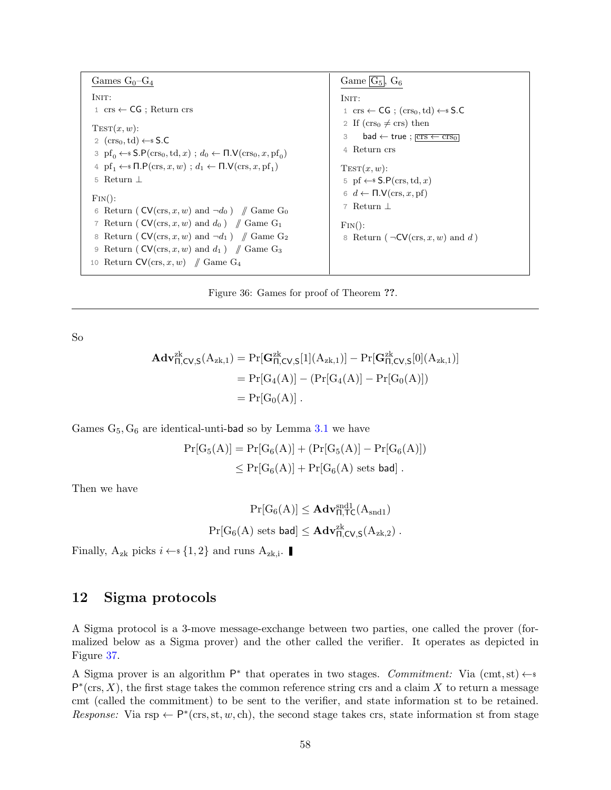<span id="page-57-1"></span>Games  $G_0-G_4$ INIT: 1 crs ← CG ; Return crs  $TEST(x, w)$ : 2  $(crs_0, td) \leftarrow$ \$ S.C 3  $pf_0 \leftarrow$  S.P(crs<sub>0</sub>, td, x);  $d_0 \leftarrow \Pi.\mathsf{V}(crs_0, x, pf_0)$ 4  $pf_1 \leftarrow SDP(crs, x, w)$ ;  $d_1 \leftarrow \Pi.V(crs, x, pf_1)$ 5 Return ⊥  $\text{Fin}()$ : 6 Return (  $CV(crs, x, w)$  and  $\neg d_0$  ) // Game G<sub>0</sub> 7 Return ( $CV(crs, x, w)$  and  $d_0$ ) // Game G<sub>1</sub> 8 Return ( $CV(crs, x, w)$  and  $\neg d_1$ ) // Game G<sub>2</sub> 9 Return ( $CV(crs, x, w)$  and  $d_1$ ) // Game G<sub>3</sub> 10 Return  $CV(crs, x, w)$  // Game G<sub>4</sub> Game  $\boxed{G_5}$ ,  $G_6$ INIT: 1 crs  $\leftarrow$  CG ; (crs<sub>0</sub>, td)  $\leftarrow$  \$ S.C 2 If  $(crs_0 \neq crs)$  then 3 bad  $\leftarrow$  true ;  $\overline{crs \leftarrow crs_0}$ 4 Return crs  $TEST(x, w)$ : 5 pf  $\leftarrow$ \$ S.P(crs, td, x) 6  $d \leftarrow \Pi.\mathsf{V}(\text{crs}, x, \text{pf})$ 7 Return ⊥  $\text{Fin}()$ : 8 Return ( $\neg$ CV(crs, x, w) and d)

Figure 36: Games for proof of Theorem ??.

So

$$
\begin{aligned} \mathbf{Adv}_{\Pi,CV,S}^{zk}({A}_{zk,1}) &= \Pr[\mathbf{G}_{\Pi,CV,S}^{zk}[1](A_{zk,1})] - \Pr[\mathbf{G}_{\Pi,CV,S}^{zk}[0](A_{zk,1})] \\ &= \Pr[G_4(\mathbf{A})] - (\Pr[G_4(\mathbf{A})] - \Pr[G_0(\mathbf{A})]) \\ &= \Pr[G_0(\mathbf{A})] \ . \end{aligned}
$$

Games  $G_5, G_6$  are identical-unti-bad so by Lemma [3.1](#page-9-0) we have

$$
Pr[G_5(A)] = Pr[G_6(A)] + (Pr[G_5(A)] - Pr[G_6(A)])
$$
  

$$
\leq Pr[G_6(A)] + Pr[G_6(A) \text{ sets bad}].
$$

Then we have

$$
Pr[G_6(A)] \leq \mathbf{Adv}_{\Pi, \mathsf{TC}}^{\text{snd1}}(A_{\text{snd1}})
$$
  

$$
Pr[G_6(A) \text{ sets bad}] \leq \mathbf{Adv}_{\Pi, \mathsf{CV}, \mathsf{S}}^{\text{zk}}(A_{\text{zk}, 2}) .
$$

Finally,  $A_{zk}$  picks  $i \leftarrow s \{1, 2\}$  and runs  $A_{zk,i}$ .

### <span id="page-57-0"></span>12 Sigma protocols

A Sigma protocol is a 3-move message-exchange between two parties, one called the prover (formalized below as a Sigma prover) and the other called the verifier. It operates as depicted in Figure [37.](#page-58-0)

A Sigma prover is an algorithm  $P^*$  that operates in two stages. Commitment: Via (cmt, st)  $\leftarrow$  $P^*(\text{crs}, X)$ , the first stage takes the common reference string crs and a claim X to return a message cmt (called the commitment) to be sent to the verifier, and state information st to be retained. Response: Via rsp  $\leftarrow P^*(\text{crs}, \text{st}, w, \text{ch})$ , the second stage takes crs, state information st from stage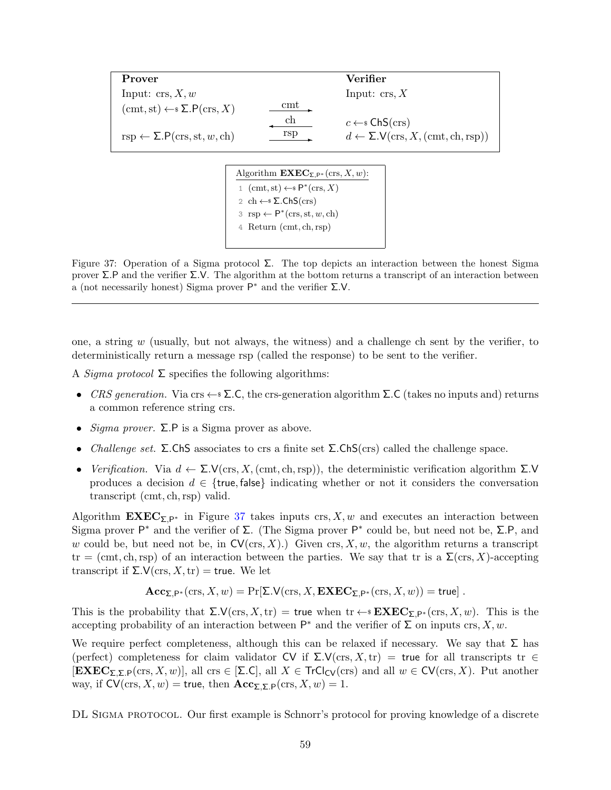<span id="page-58-0"></span>

| Prover                                                                |                | Verifier                                                                    |
|-----------------------------------------------------------------------|----------------|-----------------------------------------------------------------------------|
| Input: $\text{crs}, X, w$                                             |                | Input: $\operatorname{crs}$ , X                                             |
| $(\text{cmt}, \text{st}) \leftarrow \{ \Sigma \cdot P(\text{crs}, X)$ | $\mathrm{cmt}$ |                                                                             |
|                                                                       | ch             | $c \leftarrow s \mathsf{ChS}(\mathsf{crs})$                                 |
| $rsp \leftarrow \Sigma.P(crs, st, w, ch)$                             | rsp            | $d \leftarrow \Sigma.V(\text{crs}, X, (\text{cmt}, \text{ch}, \text{rsp}))$ |

Algorithm  $\mathbf{EXEC}_{\Sigma,P^*}(\text{crs},X,w)$ : 1 (cmt, st)  $\leftarrow$   $\mathsf{P}^*(\text{crs}, X)$ 2 ch  $\leftarrow$   $\Sigma$ .ChS(crs)  $3 \text{rsp} \leftarrow \mathsf{P}^*(\text{crs}, \text{st}, w, \text{ch})$ 4 Return (cmt, ch, rsp)

Figure 37: Operation of a Sigma protocol  $\Sigma$ . The top depicts an interaction between the honest Sigma prover Σ.P and the verifier Σ.V. The algorithm at the bottom returns a transcript of an interaction between a (not necessarily honest) Sigma prover  $\mathsf{P}^*$  and the verifier  $\Sigma.\mathsf{V}$ .

one, a string  $w$  (usually, but not always, the witness) and a challenge ch sent by the verifier, to deterministically return a message rsp (called the response) to be sent to the verifier.

A *Sigma protocol*  $\Sigma$  specifies the following algorithms:

- CRS generation. Via crs  $\leftarrow$  S.C, the crs-generation algorithm  $\Sigma$ .C (takes no inputs and) returns a common reference string crs.
- *Sigma prover.*  $\Sigma$ . P is a Sigma prover as above.
- *Challenge set.* Σ.ChS associates to crs a finite set  $\Sigma$ .ChS(crs) called the challenge space.
- Verification. Via  $d \leftarrow \Sigma.V(\text{crs}, X, (\text{cmt}, \text{ch}, \text{rsp}))$ , the deterministic verification algorithm  $\Sigma.V$ produces a decision  $d \in \{$ true, false indicating whether or not it considers the conversation transcript (cmt, ch,rsp) valid.

Algorithm  $\mathbf{EXEC}_{\Sigma,P^*}$  in Figure [37](#page-58-0) takes inputs crs, X, w and executes an interaction between Sigma prover  $P^*$  and the verifier of  $\Sigma$ . (The Sigma prover  $P^*$  could be, but need not be,  $\Sigma$ . P, and w could be, but need not be, in  $CV(crs, X)$ .) Given crs, X, w, the algorithm returns a transcript  $tr = (cm, ch, rsp)$  of an interaction between the parties. We say that tr is a  $\Sigma(crs, X)$ -accepting transcript if  $\Sigma$ .  $V(\text{crs}, X, \text{tr}) = \text{true}$ . We let

$$
\mathbf{Acc}_{\mathsf{\Sigma},\mathsf{P}^*}(\mathrm{crs}, X, w) = \Pr[\mathsf{\Sigma}. \mathsf{V}(\mathrm{crs}, X, \mathbf{EXEC}_{\mathsf{\Sigma},\mathsf{P}^*}(\mathrm{crs}, X, w)) = \mathsf{true}] \ .
$$

This is the probability that  $\Sigma \mathcal{N}(\text{crs}, X, \text{tr}) = \text{true}$  when  $\text{tr} \leftarrow \text{P} \mathbf{E} \mathbf{X} \mathbf{E} \mathbf{C}_{\Sigma, \mathsf{P}^*}(\text{crs}, X, w)$ . This is the accepting probability of an interaction between  $\mathsf{P}^*$  and the verifier of  $\Sigma$  on inputs crs,  $X, w$ .

We require perfect completeness, although this can be relaxed if necessary. We say that  $\Sigma$  has (perfect) completeness for claim validator CV if  $\Sigma \mathcal{N}(\text{crs}, X, \text{tr}) = \text{true}$  for all transcripts tr  $\in$  $[\mathbf{EXEC}_{\Sigma,\Sigma,\mathsf{P}}(\text{crs}, X, w)]$ , all crs  $\in [\Sigma,\mathsf{C}]$ , all  $X \in \mathsf{Tr} \mathsf{Cl}_{\mathsf{CV}}(\text{crs})$  and all  $w \in \mathsf{CV}(\text{crs}, X)$ . Put another way, if  $CV(\text{crs}, X, w) = \text{true}$ , then  $Acc_{\Sigma, \Sigma, P}(\text{crs}, X, w) = 1$ .

DL Sigma protocol. Our first example is Schnorr's protocol for proving knowledge of a discrete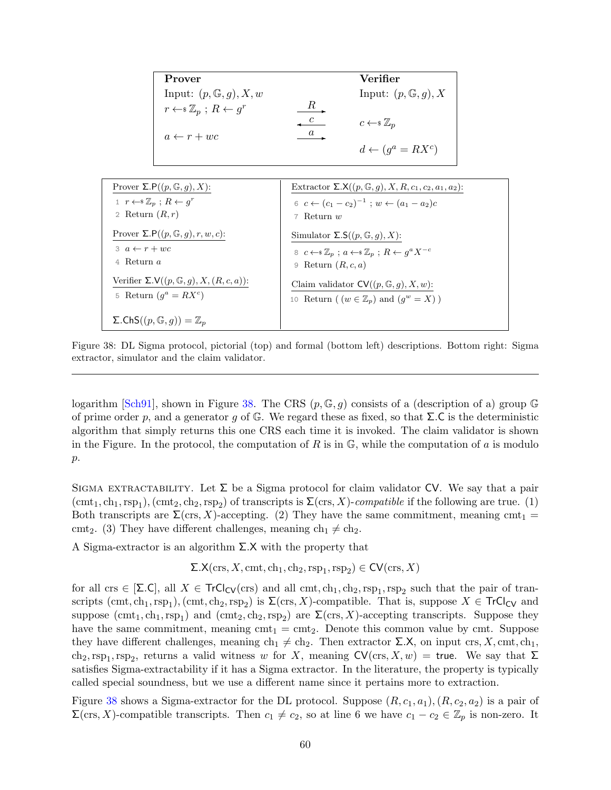<span id="page-59-1"></span><span id="page-59-0"></span>

| Prover                                            |    | Verifier                        |
|---------------------------------------------------|----|---------------------------------|
| Input: $(p, \mathbb{G}, q), X, w$                 |    | Input: $(p, \mathbb{G}, g)$ , X |
| $r \leftarrow \mathcal{Z}_p$ ; $R \leftarrow g^r$ | K. |                                 |
|                                                   |    | $c \leftarrow \mathcal{Z}_n$    |
| $a \leftarrow r + wc$                             |    |                                 |
|                                                   |    | $d \leftarrow (q^a = RX^c)$     |

| Prover $\Sigma.P((p,\mathbb{G},q),X)$ :                    | Extractor $\Sigma$ . $\mathsf{X}((p, \mathbb{G}, q), X, R, c_1, c_2, a_1, a_2)$ :         |
|------------------------------------------------------------|-------------------------------------------------------------------------------------------|
| $1 \quad r \leftarrow \in \mathbb{Z}_p : R \leftarrow q^r$ | 6 $c \leftarrow (c_1 - c_2)^{-1}$ ; $w \leftarrow (a_1 - a_2)c$                           |
| 2 Return $(R,r)$                                           | 7 Return $w$                                                                              |
| Prover $\Sigma.P((p,\mathbb{G},q),r,w,c)$ :                | Simulator $\Sigma S((p, \mathbb{G}, q), X)$ :                                             |
| $3\ a \leftarrow r + wc$                                   | 8 $c \leftarrow \mathcal{Z}_n$ ; $a \leftarrow \mathcal{Z}_n$ ; $R \leftarrow q^a X^{-c}$ |
| 4 Return $a$                                               | 9 Return $(R, c, a)$                                                                      |
| Verifier $\Sigma.V((p,\mathbb{G},g),X,(R,c,a))$ :          | Claim validator $CV((p, \mathbb{G}, q), X, w)$ :                                          |
| 5 Return $(q^a = RX^c)$                                    | 10 Return ( $(w \in \mathbb{Z}_p)$ and $(q^w = X)$ )                                      |
| $\Sigma$ .ChS $((p, \mathbb{G}, g)) = \mathbb{Z}_p$        |                                                                                           |

Figure 38: DL Sigma protocol, pictorial (top) and formal (bottom left) descriptions. Bottom right: Sigma extractor, simulator and the claim validator.

logarithm [\[Sch91\]](#page-70-11), shown in Figure [38.](#page-59-0) The CRS  $(p, \mathbb{G}, g)$  consists of a (description of a) group  $\mathbb{G}$ of prime order p, and a generator q of  $\mathbb{G}$ . We regard these as fixed, so that  $\Sigma$ .C is the deterministic algorithm that simply returns this one CRS each time it is invoked. The claim validator is shown in the Figure. In the protocol, the computation of R is in  $\mathbb{G}$ , while the computation of a is modulo  $p$ .

SIGMA EXTRACTABILITY. Let  $\Sigma$  be a Sigma protocol for claim validator CV. We say that a pair  $(\text{cmt}_1, \text{ch}_1, \text{rsp}_1), (\text{cmt}_2, \text{ch}_2, \text{rsp}_2)$  of transcripts is  $\Sigma(\text{crs}, X)$ -compatible if the following are true. (1) Both transcripts are  $\Sigma(\text{crs}, X)$ -accepting. (2) They have the same commitment, meaning cmt<sub>1</sub> = cmt<sub>2</sub>. (3) They have different challenges, meaning  $ch_1 \neq ch_2$ .

A Sigma-extractor is an algorithm  $\Sigma$ . X with the property that

 $\Sigma$ .X(crs, X, cmt, ch<sub>1</sub>, ch<sub>2</sub>, rsp<sub>1</sub>, rsp<sub>2</sub>)  $\in \text{CV}(\text{crs}, X)$ 

for all crs  $\in$  [ $\Sigma$ .C], all  $X \in \text{TrCl}_{CV}(ers)$  and all cmt,  $ch_1, ch_2, rsp_1, rsp_2$  such that the pair of transcripts  $(\text{cmt}, \text{ch}_1, \text{rsp}_1), (\text{cmt}, \text{ch}_2, \text{rsp}_2)$  is  $\Sigma(\text{crs}, X)$ -compatible. That is, suppose  $X \in \text{TrCl}_{CV}$  and suppose  $(\text{cmt}_1, \text{ch}_1, \text{rsp}_1)$  and  $(\text{cmt}_2, \text{ch}_2, \text{rsp}_2)$  are  $\Sigma(\text{crs}, X)$ -accepting transcripts. Suppose they have the same commitment, meaning  $\text{cmt}_1 = \text{cmt}_2$ . Denote this common value by cmt. Suppose they have different challenges, meaning ch<sub>1</sub>  $\neq$  ch<sub>2</sub>. Then extractor  $\Sigma$ .X, on input crs, X, cmt, ch<sub>1</sub>, ch<sub>2</sub>, rsp<sub>1</sub>, rsp<sub>2</sub>, returns a valid witness w for X, meaning  $CV(crs, X, w) =$  true. We say that  $\Sigma$ satisfies Sigma-extractability if it has a Sigma extractor. In the literature, the property is typically called special soundness, but we use a different name since it pertains more to extraction.

Figure [38](#page-59-0) shows a Sigma-extractor for the DL protocol. Suppose  $(R, c_1, a_1), (R, c_2, a_2)$  is a pair of  $\Sigma(\text{crs}, X)$ -compatible transcripts. Then  $c_1 \neq c_2$ , so at line 6 we have  $c_1 - c_2 \in \mathbb{Z}_p$  is non-zero. It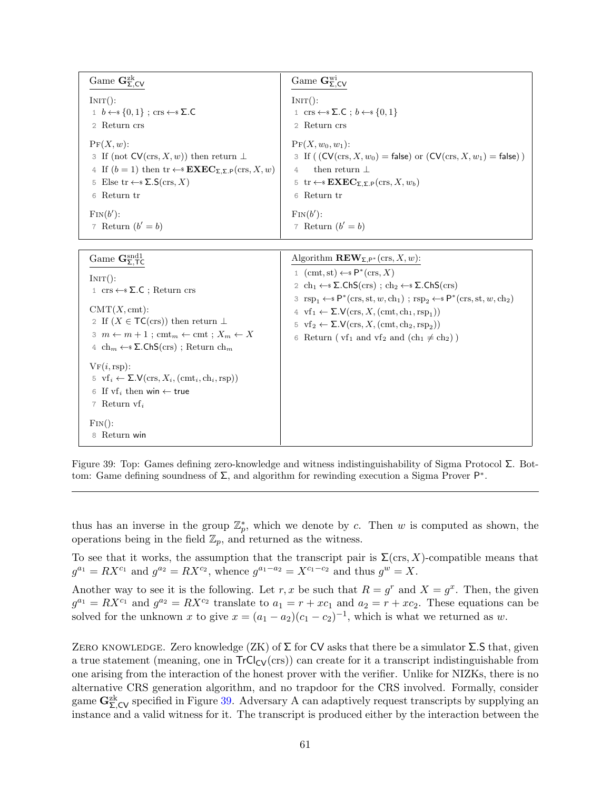<span id="page-60-0"></span>

| Game $\mathbf{G}_{\Sigma,\text{CV}}^{\text{zk}}$                                                                                                                                                                                                                                  | Game $\mathbf{G}_{\Sigma,\mathsf{CV}}^{\text{wi}}$                                                                                                                                                                                                        |
|-----------------------------------------------------------------------------------------------------------------------------------------------------------------------------------------------------------------------------------------------------------------------------------|-----------------------------------------------------------------------------------------------------------------------------------------------------------------------------------------------------------------------------------------------------------|
| INT():                                                                                                                                                                                                                                                                            | $INT()$ :                                                                                                                                                                                                                                                 |
| $1 \quad b \leftarrow s \{0,1\}$ ; crs $\leftarrow s \Sigma$ .C                                                                                                                                                                                                                   | 1 crs $\leftarrow$ $\Sigma$ .C; $b \leftarrow$ $\{0,1\}$                                                                                                                                                                                                  |
| 2 Return crs                                                                                                                                                                                                                                                                      | 2 Return crs                                                                                                                                                                                                                                              |
| $\Pr(X, w)$ :<br>3 If (not $CV(crs, X, w)$ ) then return $\perp$<br>4 If $(b = 1)$ then $\text{tr} \leftarrow \text{S} \mathbf{E}\mathbf{X}\mathbf{E}\mathbf{C}_{\Sigma,\Sigma,\mathsf{P}}(\text{crs}, X, w)$<br>5 Else tr $\leftarrow$ $\Sigma$ . $S$ (crs, X)<br>Return tr<br>6 | ${\rm Pr}(X, w_0, w_1)$ :<br>3 If ( $(CV(crs, X, w_0) = false$ ) or $(CV(crs, X, w_1) = false)$ )<br>then return $\perp$<br>$\Delta$<br>5 tr $\leftarrow$ <b>EXEC</b> <sub><math>\sum</math></sub> $\sum$ <sub>P</sub> (crs, X, $w_b$ )<br>Return tr<br>6 |
| $\text{Fin}(b')$ :                                                                                                                                                                                                                                                                | $\text{Fin}(b')$ :                                                                                                                                                                                                                                        |
| 7 Return $(b' = b)$                                                                                                                                                                                                                                                               | 7 Return $(b' = b)$                                                                                                                                                                                                                                       |

| Game $\mathbf{G}_{\Sigma,\mathsf{T}\mathsf{C}}^{\text{snd}1}$                                                                                                                                                                                                                                                                | Algorithm $\mathbf{REV}_{\Sigma,P^*}(\text{crs},X,w)$ :                                                                                                                                                                                                                                                                                                                                                                                                                                                                                                                                                                                               |
|------------------------------------------------------------------------------------------------------------------------------------------------------------------------------------------------------------------------------------------------------------------------------------------------------------------------------|-------------------------------------------------------------------------------------------------------------------------------------------------------------------------------------------------------------------------------------------------------------------------------------------------------------------------------------------------------------------------------------------------------------------------------------------------------------------------------------------------------------------------------------------------------------------------------------------------------------------------------------------------------|
| INT():<br>$1 \text{ crs} \leftarrow \$\Sigma.\mathsf{C}$ ; Return crs<br>$CMT(X, cmt)$ :<br>2 If $(X \in \mathsf{TC}(\text{crs}))$ then return $\perp$<br>$3 \text{ } m \leftarrow m+1$ ; cmt <sub>m</sub> $\leftarrow$ cmt; $X_m \leftarrow X$<br>4 ch <sub>m</sub> $\leftarrow$ $\Sigma$ .ChS(crs); Return ch <sub>m</sub> | 1 (cmt, st) $\leftarrow$ $\mathsf{P}^*(\text{crs}, X)$<br>2 ch <sub>1</sub> $\leftarrow$ $\Sigma$ .ChS(crs); ch <sub>2</sub> $\leftarrow$ $\Sigma$ .ChS(crs)<br>3 $\text{rsp}_1 \leftarrow \text{*} \mathsf{P}^*(\text{crs}, \text{st}, w, \text{ch}_1)$ ; $\text{rsp}_2 \leftarrow \text{*} \mathsf{P}^*(\text{crs}, \text{st}, w, \text{ch}_2)$<br>4 $\text{vf}_1 \leftarrow \Sigma \cdot V(\text{crs}, X, (\text{cmt}, \text{ch}_1, \text{rsp}_1))$<br>5 $\text{vf}_2 \leftarrow \Sigma \text{.V}(\text{crs}, X, (\text{cmt}, \text{ch}_2, \text{rsp}_2))$<br>Return ( $\text{vf}_1$ and $\text{vf}_2$ and $(\text{ch}_1 \neq \text{ch}_2)$ )<br>6 |
| VF(i, rsp):<br>5 $\text{vf}_i \leftarrow \Sigma \text{.V}(\text{crs}, X_i, (\text{cmt}_i, \text{ch}_i, \text{rsp}))$<br>6 If $\mathbf{v} \mathbf{f}_i$ then win $\leftarrow$ true<br>7 Return $\mathbf{v}$ $\mathbf{f}_i$<br>$\text{Fin}()$ :<br>Return win<br>8                                                             |                                                                                                                                                                                                                                                                                                                                                                                                                                                                                                                                                                                                                                                       |

Figure 39: Top: Games defining zero-knowledge and witness indistinguishability of Sigma Protocol Σ. Bottom: Game defining soundness of  $\Sigma$ , and algorithm for rewinding execution a Sigma Prover  $\mathsf{P}^*$ .

thus has an inverse in the group  $\mathbb{Z}_p^*$ , which we denote by c. Then w is computed as shown, the operations being in the field  $\mathbb{Z}_p$ , and returned as the witness.

To see that it works, the assumption that the transcript pair is  $\Sigma(\text{crs}, X)$ -compatible means that  $g^{a_1} = RX^{c_1}$  and  $g^{a_2} = RX^{c_2}$ , whence  $g^{a_1-a_2} = X^{c_1-c_2}$  and thus  $g^w = X$ .

Another way to see it is the following. Let r, x be such that  $R = g^r$  and  $X = g^x$ . Then, the given  $g^{a_1} = RX^{c_1}$  and  $g^{a_2} = RX^{c_2}$  translate to  $a_1 = r + xc_1$  and  $a_2 = r + xc_2$ . These equations can be solved for the unknown x to give  $x = (a_1 - a_2)(c_1 - c_2)^{-1}$ , which is what we returned as w.

ZERO KNOWLEDGE. Zero knowledge (ZK) of  $\Sigma$  for CV asks that there be a simulator  $\Sigma$ . S that, given a true statement (meaning, one in  $TrCl_{CV}(crs)$ ) can create for it a transcript indistinguishable from one arising from the interaction of the honest prover with the verifier. Unlike for NIZKs, there is no alternative CRS generation algorithm, and no trapdoor for the CRS involved. Formally, consider game  $G_{\Sigma,CV}^{z\bar{k}}$  specified in Figure [39.](#page-60-0) Adversary A can adaptively request transcripts by supplying an instance and a valid witness for it. The transcript is produced either by the interaction between the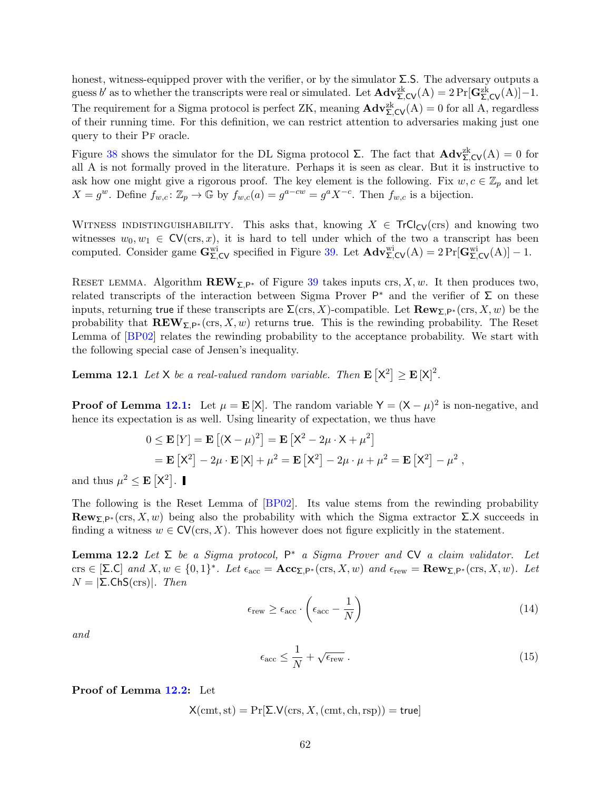<span id="page-61-4"></span>honest, witness-equipped prover with the verifier, or by the simulator  $\Sigma$ . The adversary outputs a guess b' as to whether the transcripts were real or simulated. Let  $\mathbf{Adv}_{\Sigma,\mathsf{CV}}^{\mathsf{zk}}(A) = 2 \Pr[\mathbf{G}_{\Sigma,\mathsf{CV}}^{\mathsf{zk}}(A)] - 1.$ The requirement for a Sigma protocol is perfect ZK, meaning  $\mathbf{Adv}_{\Sigma,\mathsf{CV}}^{\mathsf{zk}}(\mathsf{A}) = 0$  for all A, regardless of their running time. For this definition, we can restrict attention to adversaries making just one query to their Pf oracle.

Figure [38](#page-59-0) shows the simulator for the DL Sigma protocol  $\Sigma$ . The fact that  $\mathbf{Adv}_{\Sigma,\mathsf{CV}}^{z\mathsf{k}}(\mathsf{A})=0$  for all A is not formally proved in the literature. Perhaps it is seen as clear. But it is instructive to ask how one might give a rigorous proof. The key element is the following. Fix  $w, c \in \mathbb{Z}_p$  and let  $X = g^w$ . Define  $f_{w,c} \colon \mathbb{Z}_p \to \mathbb{G}$  by  $f_{w,c}(a) = g^{a-cw} = g^a X^{-c}$ . Then  $f_{w,c}$  is a bijection.

WITNESS INDISTINGUISHABILITY. This asks that, knowing  $X \in \text{TrCl}_{CV}(crs)$  and knowing two witnesses  $w_0, w_1 \in CV(\text{crs}, x)$ , it is hard to tell under which of the two a transcript has been computed. Consider game  $\mathbf{G}_{\Sigma,\mathsf{CV}}^{\text{wi}}$  specified in Figure [39.](#page-60-0) Let  $\mathbf{Adv}_{\Sigma,\mathsf{CV}}^{\text{wi}}(A) = 2 \Pr[\mathbf{G}_{\Sigma,\mathsf{CV}}^{\text{wi}}(A)] - 1$ .

RESET LEMMA. Algorithm  $\mathbf{REW}_{\Sigma,P^*}$  of Figure [39](#page-60-0) takes inputs crs, X, w. It then produces two, related transcripts of the interaction between Sigma Prover  $P^*$  and the verifier of  $\Sigma$  on these inputs, returning true if these transcripts are  $\Sigma(\text{crs}, X)$ -compatible. Let  $\textbf{Row}_{\Sigma,P^*}(\text{crs}, X, w)$  be the probability that  $\mathbf{REV}_{\Sigma,P^*}(\text{crs}, X, w)$  returns true. This is the rewinding probability. The Reset Lemma of [\[BP02\]](#page-69-12) relates the rewinding probability to the acceptance probability. We start with the following special case of Jensen's inequality.

<span id="page-61-0"></span>**Lemma 12.1** Let X be a real-valued random variable. Then  $\mathbf{E} \left[ X^2 \right] \geq \mathbf{E} \left[ X \right]^2$ .

**Proof of Lemma [12.1:](#page-61-0)** Let  $\mu = \mathbf{E}[X]$ . The random variable  $Y = (X - \mu)^2$  is non-negative, and hence its expectation is as well. Using linearity of expectation, we thus have

$$
0 \le \mathbf{E}[Y] = \mathbf{E}[(X - \mu)^2] = \mathbf{E}[X^2 - 2\mu \cdot X + \mu^2]
$$
  
=  $\mathbf{E}[X^2] - 2\mu \cdot \mathbf{E}[X] + \mu^2 = \mathbf{E}[X^2] - 2\mu \cdot \mu + \mu^2 = \mathbf{E}[X^2] - \mu^2$ ,

and thus  $\mu^2 \leq \mathbf{E} \left[ \mathsf{X}^2 \right]$ .

The following is the Reset Lemma of [\[BP02\]](#page-69-12). Its value stems from the rewinding probability Rew<sub>Σ</sub> $\mathbf{P}*(\text{crs}, X, w)$  being also the probability with which the Sigma extractor  $\Sigma$ .X succeeds in finding a witness  $w \in \text{CV}(\text{crs}, X)$ . This however does not figure explicitly in the statement.

<span id="page-61-1"></span>**Lemma 12.2** Let  $\Sigma$  be a Sigma protocol,  $P^*$  a Sigma Prover and CV a claim validator. Let  $\text{crs} \in [\Sigma \text{.} \mathsf{C}]$  and  $X, w \in \{0, 1\}^*$ . Let  $\epsilon_{\text{acc}} = \mathbf{Acc}_{\Sigma, \mathsf{P}^*}(\text{crs}, X, w)$  and  $\epsilon_{\text{rew}} = \mathbf{Row}_{\Sigma, \mathsf{P}^*}(\text{crs}, X, w)$ . Let  $N = |\Sigma \text{ChS}(\text{crs})|$ . Then

$$
\epsilon_{\text{rew}} \ge \epsilon_{\text{acc}} \cdot \left(\epsilon_{\text{acc}} - \frac{1}{N}\right) \tag{14}
$$

and

<span id="page-61-3"></span><span id="page-61-2"></span>
$$
\epsilon_{\rm acc} \le \frac{1}{N} + \sqrt{\epsilon_{\rm rew}} \ . \tag{15}
$$

Proof of Lemma [12.2:](#page-61-1) Let

 $X(\text{cmt}, \text{st}) = \Pr[\Sigma . \mathsf{V}(\text{crs}, X, (\text{cmt}, \text{ch}, \text{rsp})) = \text{true}]$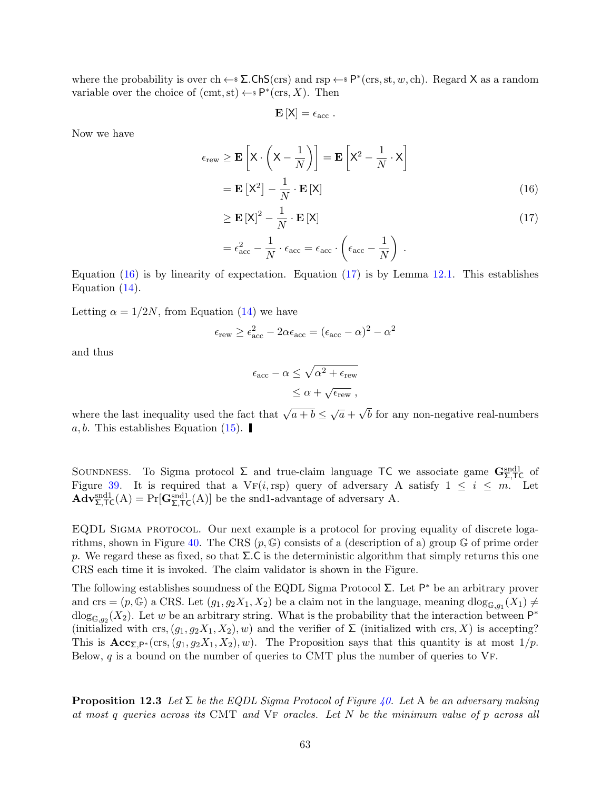where the probability is over ch  $\leftarrow$   $\Sigma$ .ChS(crs) and rsp  $\leftarrow$   $\mathbb{P}^*(\text{crs}, \text{st}, w, \text{ch})$ . Regard X as a random variable over the choice of  $($ cmt, st $) \leftarrow$   $\mathsf{P}^*(\text{crs}, X)$ . Then

<span id="page-62-1"></span><span id="page-62-0"></span>
$$
\mathbf{E}\left[\mathsf{X}\right]=\epsilon_{\rm acc}.
$$

Now we have

$$
\epsilon_{\text{rew}} \ge \mathbf{E}\left[\mathbf{X} \cdot \left(\mathbf{X} - \frac{1}{N}\right)\right] = \mathbf{E}\left[\mathbf{X}^2 - \frac{1}{N} \cdot \mathbf{X}\right]
$$

$$
= \mathbf{E}\left[\mathbf{X}^2\right] - \frac{1}{N} \cdot \mathbf{E}\left[\mathbf{X}\right]
$$
(16)
$$
\ge \mathbf{E}\left[\mathbf{X}^2\right]^2 - \frac{1}{N}\cdot \mathbf{E}\left[\mathbf{X}\right]
$$
(17)

$$
\geq \mathbf{E}[X]^2 - \frac{1}{N} \cdot \mathbf{E}[X]
$$
  
=  $\epsilon_{\text{acc}}^2 - \frac{1}{N} \cdot \epsilon_{\text{acc}} = \epsilon_{\text{acc}} \cdot \left(\epsilon_{\text{acc}} - \frac{1}{N}\right)$ . (17)

Equation  $(16)$  is by linearity of expectation. Equation  $(17)$  is by Lemma [12.1.](#page-61-0) This establishes Equation [\(14\)](#page-61-2).

Letting  $\alpha = 1/2N$ , from Equation [\(14\)](#page-61-2) we have

$$
\epsilon_{\text{rew}} \ge \epsilon_{\text{acc}}^2 - 2\alpha \epsilon_{\text{acc}} = (\epsilon_{\text{acc}} - \alpha)^2 - \alpha^2
$$

and thus

$$
\epsilon_{\text{acc}} - \alpha \leq \sqrt{\alpha^2 + \epsilon_{\text{rew}}}
$$
  

$$
\leq \alpha + \sqrt{\epsilon_{\text{rew}}},
$$

where the last inequality used the fact that  $\sqrt{a+b} \leq \sqrt{a}$ . √ b for any non-negative real-numbers a, b. This establishes Equation [\(15\)](#page-61-3).

SOUNDNESS. To Sigma protocol  $\Sigma$  and true-claim language TC we associate game  $\mathbf{G}_{\Sigma,\mathsf{TC}}^{\text{snd1}}$  of Figure [39.](#page-60-0) It is required that a VF(i, rsp) query of adversary A satisfy  $1 \leq i \leq m$ . Let  $\mathbf{Adv}_{\Sigma,\mathsf{TC}}^{\text{snd1}}(A) = \Pr[\mathbf{G}_{\Sigma,\mathsf{TC}}^{\text{snd1}}(A)]$  be the snd1-advantage of adversary A.

EQDL SIGMA PROTOCOL. Our next example is a protocol for proving equality of discrete loga-rithms, shown in Figure [40.](#page-63-0) The CRS  $(p, \mathbb{G})$  consists of a (description of a) group  $\mathbb{G}$  of prime order p. We regard these as fixed, so that  $\Sigma$ . C is the deterministic algorithm that simply returns this one CRS each time it is invoked. The claim validator is shown in the Figure.

The following establishes soundness of the EQDL Sigma Protocol  $\Sigma$ . Let  $\mathsf{P}^*$  be an arbitrary prover and crs =  $(p, \mathbb{G})$  a CRS. Let  $(g_1, g_2X_1, X_2)$  be a claim not in the language, meaning  $dlog_{\mathbb{G},g_1}(X_1) \neq$  $\text{dlog}_{\mathbb{G},g_2}(X_2)$ . Let w be an arbitrary string. What is the probability that the interaction between  $\mathsf{P}^*$ (initialized with crs,  $(g_1, g_2X_1, X_2), w$ ) and the verifier of  $\Sigma$  (initialized with crs, X) is accepting? This is  $\text{Acc}_{\Sigma,P^*}(\text{crs},(g_1,g_2X_1,X_2),w)$ . The Proposition says that this quantity is at most  $1/p$ . Below,  $q$  is a bound on the number of queries to CMT plus the number of queries to VF.

<span id="page-62-2"></span>**Proposition 12.3** Let  $\Sigma$  be the EQDL Sigma Protocol of Figure [40.](#page-63-0) Let A be an adversary making at most q queries across its CMT and  $VF$  oracles. Let  $N$  be the minimum value of  $p$  across all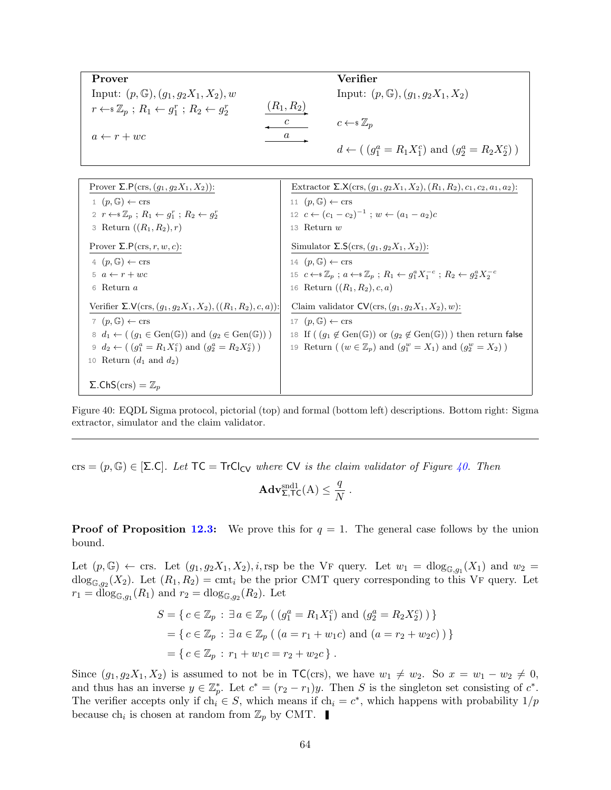<span id="page-63-0"></span>

| Prover                                                                         |                  | Verifier                                                       |
|--------------------------------------------------------------------------------|------------------|----------------------------------------------------------------|
| Input: $(p, \mathbb{G}), (g_1, g_2X_1, X_2), w$                                |                  | Input: $(p, \mathbb{G}), (q_1, q_2X_1, X_2)$                   |
| $r \leftarrow \mathcal{Z}_p$ ; $R_1 \leftarrow g_1^r$ ; $R_2 \leftarrow g_2^r$ | $(R_{1}, R_{2})$ |                                                                |
|                                                                                |                  | $c \leftarrow \in \mathbb{Z}_n$                                |
| $a \leftarrow r + wc$                                                          |                  |                                                                |
|                                                                                |                  | $d \leftarrow ((g_1^a = R_1 X_1^c)$ and $(g_2^a = R_2 X_2^c))$ |

| Prover $\Sigma$ . $P(crs, (q_1, q_2X_1, X_2))$ :                                           | Extractor $\Sigma$ . $X(crs, (q_1, q_2X_1, X_2), (R_1, R_2), c_1, c_2, a_1, a_2)$ :                                                |
|--------------------------------------------------------------------------------------------|------------------------------------------------------------------------------------------------------------------------------------|
| $1(p, \mathbb{G}) \leftarrow \text{crs}$                                                   | 11 $(p, \mathbb{G}) \leftarrow \text{crs}$                                                                                         |
| 2 $r \leftarrow \mathcal{Z}_n : R_1 \leftarrow q_1^r : R_2 \leftarrow q_2^r$               | 12 $c \leftarrow (c_1 - c_2)^{-1}$ ; $w \leftarrow (a_1 - a_2)c$                                                                   |
| 3 Return $((R_1, R_2), r)$                                                                 | 13 Return $w$                                                                                                                      |
| Prover $\Sigma.P(\text{crs}, r, w, c)$ :                                                   | Simulator $\Sigma$ . $S(\text{crs}, (g_1, g_2X_1, X_2))$ :                                                                         |
| 4 $(p, \mathbb{G}) \leftarrow \text{crs}$                                                  | 14 $(p, \mathbb{G}) \leftarrow \text{crs}$                                                                                         |
| $5\ a \leftarrow r + wc$                                                                   | 15 $c \leftarrow \mathcal{Z}_p$ ; $a \leftarrow \mathcal{Z}_p$ ; $R_1 \leftarrow q_1^a X_1^{-c}$ ; $R_2 \leftarrow q_2^a X_2^{-c}$ |
| 6 Return a                                                                                 | 16 Return $((R_1, R_2), c, a)$                                                                                                     |
| Verifier $\Sigma$ . $V(crs, (q_1, q_2X_1, X_2), ((R_1, R_2), c, a))$ :                     | Claim validator $CV(crs, (g_1, g_2X_1, X_2), w)$ :                                                                                 |
| 7 $(p, \mathbb{G}) \leftarrow \text{crs}$                                                  | 17 $(p, \mathbb{G}) \leftarrow \text{crs}$                                                                                         |
| $\delta d_1 \leftarrow ((q_1 \in Gen(\mathbb{G})) \text{ and } (q_2 \in Gen(\mathbb{G})))$ | 18 If $((g_1 \notin Gen(\mathbb{G}))$ or $(g_2 \notin Gen(\mathbb{G}))$ then return false                                          |
| 9 $d_2 \leftarrow ((q_1^a = R_1 X_1^c)$ and $(q_2^a = R_2 X_2^c))$                         | 19 Return ( $(w \in \mathbb{Z}_p)$ and $(g_1^w = X_1)$ and $(g_2^w = X_2)$ )                                                       |
| 10 Return $(d_1 \text{ and } d_2)$                                                         |                                                                                                                                    |
|                                                                                            |                                                                                                                                    |
| $\Sigma$ .ChS(crs) = $\mathbb{Z}_p$                                                        |                                                                                                                                    |

Figure 40: EQDL Sigma protocol, pictorial (top) and formal (bottom left) descriptions. Bottom right: Sigma extractor, simulator and the claim validator.

crs =  $(p, \mathbb{G}) \in [\Sigma, C]$ . Let  $TC = TrC_{CV}$  where CV is the claim validator of Figure [40.](#page-63-0) Then

$$
\mathbf{Adv}_{\Sigma,\mathsf{TC}}^{\text{snd1}}(A) \leq \frac{q}{N}.
$$

**Proof of Proposition [12.3:](#page-62-2)** We prove this for  $q = 1$ . The general case follows by the union bound.

Let  $(p, \mathbb{G}) \leftarrow \text{crs.}$  Let  $(g_1, g_2X_1, X_2), i$ , rsp be the VF query. Let  $w_1 = \text{dlog}_{\mathbb{G},g_1}(X_1)$  and  $w_2 =$  $\text{dlog}_{\mathbb{G},g_2}(X_2)$ . Let  $(R_1, R_2) = \text{cmt}_i$  be the prior CMT query corresponding to this VF query. Let  $r_1 = \text{dlog}_{\mathbb{G},g_1}(R_1)$  and  $r_2 = \text{dlog}_{\mathbb{G},g_2}(R_2)$ . Let

$$
S = \{ c \in \mathbb{Z}_p : \exists a \in \mathbb{Z}_p \left( (g_1^a = R_1 X_1^c) \text{ and } (g_2^a = R_2 X_2^c) \right) \}
$$
  
= 
$$
\{ c \in \mathbb{Z}_p : \exists a \in \mathbb{Z}_p \left( (a = r_1 + w_1 c) \text{ and } (a = r_2 + w_2 c) \right) \}
$$
  
= 
$$
\{ c \in \mathbb{Z}_p : r_1 + w_1 c = r_2 + w_2 c \}.
$$

Since  $(g_1, g_2X_1, X_2)$  is assumed to not be in  $TC(\text{crs})$ , we have  $w_1 \neq w_2$ . So  $x = w_1 - w_2 \neq 0$ , and thus has an inverse  $y \in \mathbb{Z}_p^*$ . Let  $c^* = (r_2 - r_1)y$ . Then S is the singleton set consisting of  $c^*$ . The verifier accepts only if  $ch_i \in S$ , which means if  $ch_i = c^*$ , which happens with probability  $1/p$ because  $\ch_i$  is chosen at random from  $\mathbb{Z}_p$  by CMT.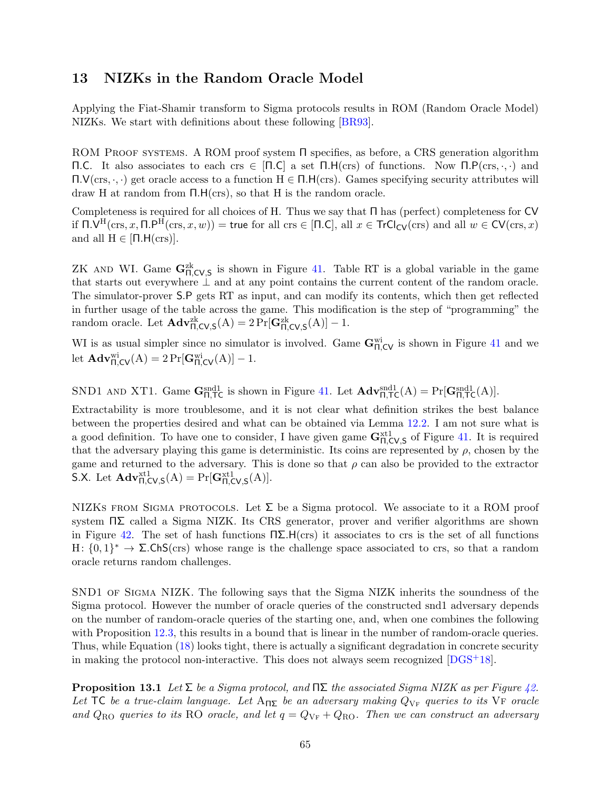### <span id="page-64-2"></span><span id="page-64-0"></span>13 NIZKs in the Random Oracle Model

Applying the Fiat-Shamir transform to Sigma protocols results in ROM (Random Oracle Model) NIZKs. We start with definitions about these following [\[BR93\]](#page-69-13).

ROM PROOF SYSTEMS. A ROM proof system  $\Pi$  specifies, as before, a CRS generation algorithm Π.C. It also associates to each crs ∈ [Π.C] a set Π.H(crs) of functions. Now Π.P(crs, ·, ·) and Π.V(crs, ·, ·) get oracle access to a function H ∈ Π.H(crs). Games specifying security attributes will draw H at random from Π.H(crs), so that H is the random oracle.

Completeness is required for all choices of H. Thus we say that Π has (perfect) completeness for CV if  $\Pi.\mathsf{V}^{\mathrm{H}}(\mathrm{crs},x,\Pi.\mathsf{P}^{\mathrm{H}}(\mathrm{crs},x,w)) = \mathsf{true}$  for all  $\mathrm{crs} \in [\Pi.\mathsf{C}],$  all  $x \in \mathsf{Tr} \mathsf{Cl}_{\mathsf{CV}}(\mathrm{crs})$  and all  $w \in \mathsf{CV}(\mathrm{crs},x)$ and all  $H \in [\Pi.H(\text{crs})]$ .

ZK AND WI. Game  $\mathbf{G}_{\Pi,\mathsf{CV},\mathsf{S}}^{\text{zk}}$  is shown in Figure [41.](#page-65-0) Table RT is a global variable in the game that starts out everywhere ⊥ and at any point contains the current content of the random oracle. The simulator-prover S.P gets RT as input, and can modify its contents, which then get reflected in further usage of the table across the game. This modification is the step of "programming" the random oracle. Let  $\mathbf{Adv}_{\Pi,\text{CV},\text{S}}^{zk}(A) = 2 \Pr[\mathbf{G}_{\Pi,\text{CV},\text{S}}^{zk}(A)] - 1.$ 

WI is as usual simpler since no simulator is involved. Game  $G_{\Pi,CV}^{wi}$  is shown in Figure [41](#page-65-0) and we let  $\mathbf{Adv}_{\Pi,\mathsf{CV}}^{\text{wi}}(A) = 2 \Pr[\mathbf{G}_{\Pi,\mathsf{CV}}^{\text{wi}}(A)] - 1.$ 

SND1 AND XT1. Game  $\mathbf{G}_{\Pi,\mathsf{T}\mathsf{C}}^{\text{snd1}}$  is shown in Figure [41.](#page-65-0) Let  $\mathbf{Adv}_{\Pi,\mathsf{T}\mathsf{C}}^{\text{snd1}}(A) = \Pr[\mathbf{G}_{\Pi,\mathsf{T}\mathsf{C}}^{\text{snd1}}(A)].$ 

Extractability is more troublesome, and it is not clear what definition strikes the best balance between the properties desired and what can be obtained via Lemma [12.2.](#page-61-1) I am not sure what is a good definition. To have one to consider, I have given game  $G_{\Pi,CV,S}^{xt1}$  of Figure [41.](#page-65-0) It is required that the adversary playing this game is deterministic. Its coins are represented by  $\rho$ , chosen by the game and returned to the adversary. This is done so that  $\rho$  can also be provided to the extractor S.X. Let  $\mathbf{Adv}_{\Pi,\text{CV},\text{S}}^{\text{xt1}}(A) = \Pr[\mathbf{G}_{\Pi,\text{CV},\text{S}}^{\text{xt1}}(A)].$ 

NIZKS FROM SIGMA PROTOCOLS. Let  $\Sigma$  be a Sigma protocol. We associate to it a ROM proof system  $\Pi\Sigma$  called a Sigma NIZK. Its CRS generator, prover and verifier algorithms are shown in Figure [42.](#page-66-0) The set of hash functions  $\Pi\Sigma$ . H(crs) it associates to crs is the set of all functions H:  ${0,1}^*$   $\rightarrow$  Σ.ChS(crs) whose range is the challenge space associated to crs, so that a random oracle returns random challenges.

SND1 of Sigma NIZK. The following says that the Sigma NIZK inherits the soundness of the Sigma protocol. However the number of oracle queries of the constructed snd1 adversary depends on the number of random-oracle queries of the starting one, and, when one combines the following with Proposition [12.3,](#page-62-2) this results in a bound that is linear in the number of random-oracle queries. Thus, while Equation [\(18\)](#page-65-1) looks tight, there is actually a significant degradation in concrete security in making the protocol non-interactive. This does not always seem recognized [\[DGS](#page-69-14)+18].

<span id="page-64-1"></span>**Proposition 13.1** Let  $\Sigma$  be a Sigma protocol, and  $\Pi\Sigma$  the associated Sigma NIZK as per Figure [42.](#page-66-0) Let TC be a true-claim language. Let  $A_{\Pi\Sigma}$  be an adversary making  $Q_{\rm VF}$  queries to its VF oracle and  $Q_{\text{RO}}$  queries to its RO oracle, and let  $q = Q_{\text{VF}} + Q_{\text{RO}}$ . Then we can construct an adversary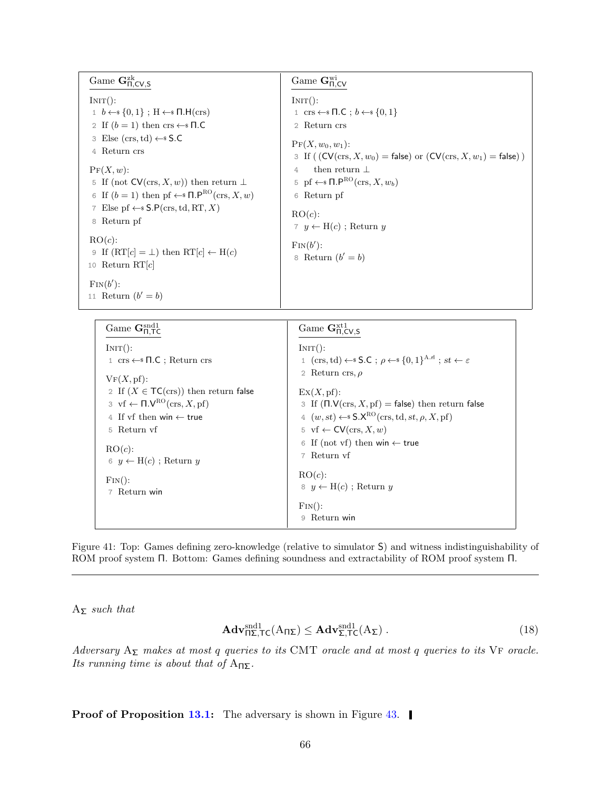<span id="page-65-0"></span>Game  $\mathbf{G}_{\Pi,\mathsf{CV},\mathsf{S}}^{\text{zk}}$  $INT():$  $1 \quad b \leftarrow s \{0, 1\}$ ; H $\leftarrow s \Pi.H(\text{crs})$ 2 If  $(b = 1)$  then crs  $\leftarrow$  T.C 3 Else (crs, td)  $\leftarrow$  \$ S.C 4 Return crs  $\Pr(X, w)$ : 5 If (not  $CV(crs, X, w)$ ) then return  $\perp$ 6 If  $(b = 1)$  then pf  $\leftarrow$  **n**.P<sup>RO</sup>(crs, *X*, *w*) 7 Else pf  $\leftarrow$  \$  $S.P(crs, td, RT, X)$ 8 Return pf  $RO(c)$ : 9 If  $(RT[c] = \bot)$  then  $RT[c] \leftarrow H(c)$ 10 Return  $RT[c]$  $\text{Fin}(b')$ : 11 Return  $(b' = b)$  $\rm{Game}\ G_{\Pi,\mathsf{CV}}^{\rm wi}$  $INT():$ 1 crs  $\leftarrow$   $\Pi$ .C ;  $b \leftarrow$   $\{0,1\}$ 2 Return crs  $PF(X, w_0, w_1):$ 3 If (  $(CV(crs, X, w_0) = false$ ) or  $(CV(crs, X, w_1) = false)$  ) 4 then return ⊥ 5 pf  $\leftarrow$   $\mathsf{F} \mathsf{R}^{\mathsf{RO}}(\text{crs}, X, w_b)$ 6 Return pf  $RO(c)$ : 7  $y \leftarrow H(c)$ ; Return y  $\text{Fin}(b')$ : 8 Return  $(b' = b)$ 

| Game $\mathbf{G}_{\mathbf{n}}^{\text{snd}1}$                              | Game $\mathbf{G}_{\Pi,\textsf{CV},\textsf{S}}^{\text{xt1}}$                                          |
|---------------------------------------------------------------------------|------------------------------------------------------------------------------------------------------|
| $INT()$ :                                                                 | $INT()$ :                                                                                            |
| 1 crs ← $\Pi$ .C; Return crs                                              | 1 (crs, td) $\leftarrow$ S.C; $\rho \leftarrow$ {0, 1} <sup>A.rl</sup> ; st $\leftarrow \varepsilon$ |
| VF(X,pf):                                                                 | 2 Return crs, $\rho$                                                                                 |
| 2 If $(X \in \mathsf{TC}(\text{crs}))$ then return false                  | $\mathrm{Ex}(X,\mathrm{pf})$ :                                                                       |
| $\beta$ vf $\leftarrow \Pi.\mathsf{V}^{\rm RO}(\text{crs}, X, \text{pf})$ | 3 If $(\Pi.V(\text{crs}, X, pf) = false)$ then return false                                          |
| 4 If vf then win $\leftarrow$ true                                        | 4 $(w, st) \leftarrow$ \$ $S.X^{RO}(crs, td, st, \rho, X, pf)$                                       |
| 5 Return vf                                                               | 5 vf $\leftarrow$ CV(crs, X, w)                                                                      |
| $RO(c)$ :                                                                 | 6 If (not vf) then win $\leftarrow$ true                                                             |
| 6 $y \leftarrow H(c)$ ; Return y                                          | 7 Return vf                                                                                          |
| $\text{Fin}()$ :                                                          | $RO(c)$ :                                                                                            |
| 7 Return win                                                              | $8 \, y \leftarrow H(c)$ ; Return y                                                                  |
|                                                                           | $\text{Fin}()$ :                                                                                     |
|                                                                           | Return win<br>9                                                                                      |

Figure 41: Top: Games defining zero-knowledge (relative to simulator S) and witness indistinguishability of ROM proof system Π. Bottom: Games defining soundness and extractability of ROM proof system Π.

 $A_{\Sigma}$  such that

<span id="page-65-1"></span>
$$
\mathbf{Adv}_{\Pi\Sigma,\mathsf{TC}}^{\text{snd1}}(A_{\Pi\Sigma}) \le \mathbf{Adv}_{\Sigma,\mathsf{TC}}^{\text{snd1}}(A_{\Sigma})\,. \tag{18}
$$

Adversary  $A_{\Sigma}$  makes at most q queries to its CMT oracle and at most q queries to its VF oracle. Its running time is about that of  $A_{\Pi\Sigma}$ .

**Proof of Proposition [13.1:](#page-64-1)** The adversary is shown in Figure [43.](#page-66-1)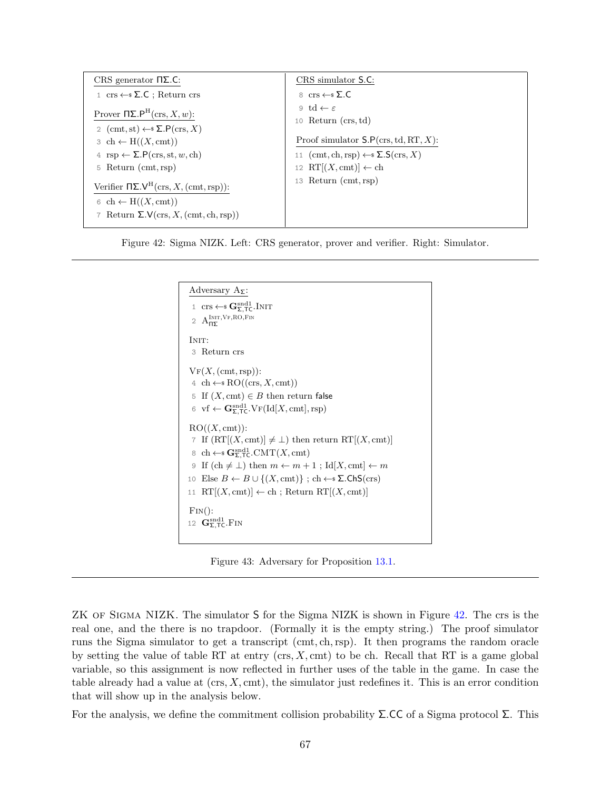<span id="page-66-0"></span>

| CRS generator $\Pi\Sigma$ .C:                                                                 | CRS simulator S.C:                                     |
|-----------------------------------------------------------------------------------------------|--------------------------------------------------------|
| $1 \text{ crs} \leftarrow \text{$\mathcal{S}$}$ . C : Return crs                              | 8 crs $\leftarrow$ \$ $\Sigma$ .C                      |
| Prover $\Pi\Sigma.P^H(\text{crs}, X, w)$ :<br>2 (cmt, st) $\leftarrow$ $\Sigma$ . $P(crs, X)$ | 9 td $\leftarrow \varepsilon$<br>10 Return $(crs, td)$ |
| $\beta$ ch $\leftarrow$ H( $(X, \text{cmt})$ )                                                | Proof simulator $S.P(crs, td, RT, X)$ :                |
| 4 rsp $\leftarrow \Sigma.P(\text{crs},\text{st},w,\text{ch})$                                 | 11 (cmt, ch, rsp) $\leftarrow$ $\Sigma$ . $S(crs, X)$  |
| $5$ Return (cmt, rsp)                                                                         | 12 RT $[(X, \text{cmt})] \leftarrow \text{ch}$         |
| Verifier $\Pi\Sigma \cdot V^H(\text{crs}, X, (\text{cmt}, \text{rsp}))$ :                     | 13 Return (cmt, rsp)                                   |
| $6 \text{ ch} \leftarrow H((X, \text{cmt}))$                                                  |                                                        |
| 7 Return $\Sigma.V(\text{crs}, X, (\text{cmt}, \text{ch}, \text{rsp}))$                       |                                                        |

<span id="page-66-1"></span>Figure 42: Sigma NIZK. Left: CRS generator, prover and verifier. Right: Simulator.



Figure 43: Adversary for Proposition [13.1.](#page-64-1)

ZK OF SIGMA NIZK. The simulator S for the Sigma NIZK is shown in Figure [42.](#page-66-0) The crs is the real one, and the there is no trapdoor. (Formally it is the empty string.) The proof simulator runs the Sigma simulator to get a transcript (cmt, ch,rsp). It then programs the random oracle by setting the value of table RT at entry  $(crs, X, cmt)$  to be ch. Recall that RT is a game global variable, so this assignment is now reflected in further uses of the table in the game. In case the table already had a value at  $(crs, X, cmt)$ , the simulator just redefines it. This is an error condition that will show up in the analysis below.

For the analysis, we define the commitment collision probability  $\Sigma$ .CC of a Sigma protocol  $\Sigma$ . This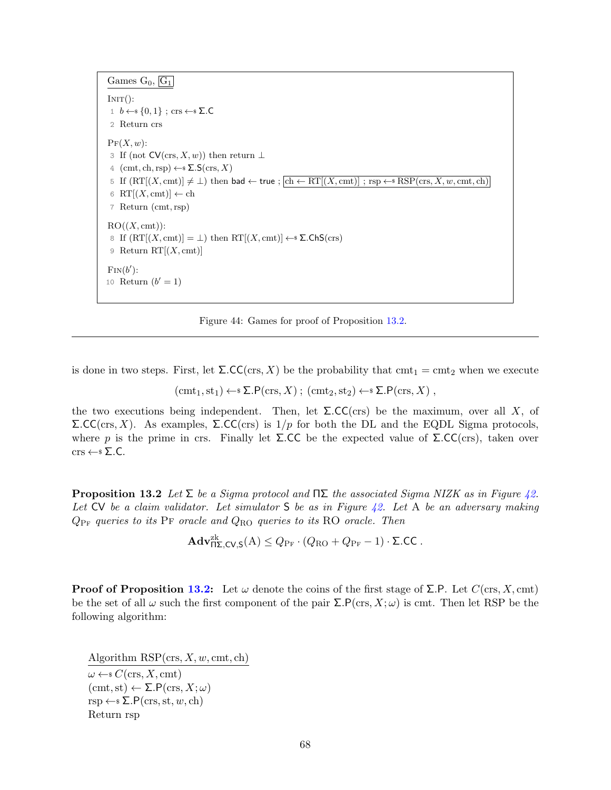<span id="page-67-1"></span>Games  $G_0$ ,  $\boxed{G_1}$ 

 $INT():$ 1 *b* ←  ${0, 1}$ ; crs ← Σ.C 2 Return crs  $\Pr(X, w)$ : 3 If (not  $CV(crs, X, w)$ ) then return  $\perp$ 4 (cmt, ch, rsp)  $\leftarrow$  \$  $\Sigma$ . S(crs, X) 5 If  $(RT[(X, cmt)] \neq \bot)$  then bad  $\leftarrow$  true ;  $\boxed{ch \leftarrow RT[(X, cmt)]}$  ; rsp  $\leftarrow$  s  $RSP(crs, X, w, cmt, ch)$ 6 RT $[(X, \text{cmt})] \leftarrow \text{ch}$ 7 Return (cmt, rsp)  $RO((X, cmt))$ : 8 If  $(RT[(X, \text{cmt})] = \bot)$  then  $RT[(X, \text{cmt})] \leftarrow$  **2. ChS(crs)** 9 Return  $RT[(X, cmt)]$  $\text{Fin}(b')$ : 10 Return  $(b' = 1)$ 

Figure 44: Games for proof of Proposition [13.2.](#page-67-0)

is done in two steps. First, let  $\Sigma$ .CC(crs, X) be the probability that cmt<sub>1</sub> = cmt<sub>2</sub> when we execute

 $(\text{cmt}_1, \text{st}_1) \leftarrow \text{S.P}(\text{crs}, X); (\text{cmt}_2, \text{st}_2) \leftarrow \text{S.P}(\text{crs}, X)$ 

the two executions being independent. Then, let  $\Sigma$ .CC(crs) be the maximum, over all X, of Σ.CC(crs, X). As examples, Σ.CC(crs) is 1/p for both the DL and the EQDL Sigma protocols, where p is the prime in crs. Finally let  $\Sigma$ .CC be the expected value of  $\Sigma$ .CC(crs), taken over  $\text{crs} \leftarrow \sSigma . C.$ 

<span id="page-67-0"></span>**Proposition 13.2** Let  $\Sigma$  be a Sigma protocol and  $\Pi\Sigma$  the associated Sigma NIZK as in Figure [42.](#page-66-0) Let  $CV$  be a claim validator. Let simulator S be as in Figure [42.](#page-66-0) Let A be an adversary making  $Q_{\rm PF}$  queries to its PF oracle and  $Q_{\rm RO}$  queries to its RO oracle. Then

 $\mathbf{Adv}_{\mathsf{P}\mathsf{I}\mathsf{X},\mathsf{CV},\mathsf{S}}^{\mathsf{z}\mathsf{k}}(\mathsf{A}) \leq Q_{\mathsf{P}\mathsf{F}}\cdot(Q_{\mathsf{RO}}+Q_{\mathsf{P}\mathsf{F}}-1)\cdot\mathsf{\Sigma}.\mathsf{CC}\;.$ 

**Proof of Proposition [13.2:](#page-67-0)** Let  $\omega$  denote the coins of the first stage of  $\Sigma$ . P. Let  $C(\text{crs}, X, \text{cmt})$ be the set of all  $\omega$  such the first component of the pair  $\Sigma.P(\text{crs}, X; \omega)$  is cmt. Then let RSP be the following algorithm:

Algorithm  $RSP(\text{crs}, X, w, \text{cmt}, \text{ch})$  $\omega \leftarrow$   $C(\text{crs}, X, \text{cmt})$  $(\text{cmt}, \text{st}) \leftarrow \Sigma \cdot P(\text{crs}, X; \omega)$  $rsp \leftarrow * \Sigma.P(crs, st, w, ch)$ Return rsp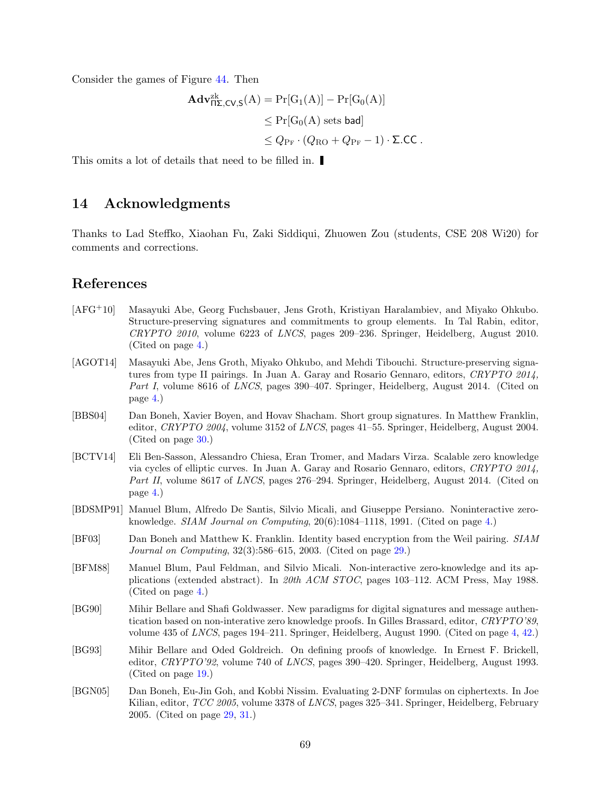Consider the games of Figure [44.](#page-67-1) Then

$$
\mathbf{Adv}_{\mathsf{H}\Sigma,\mathsf{CV},\mathsf{S}}^{\mathsf{zk}}(A) = \Pr[G_1(A)] - \Pr[G_0(A)]
$$
  
\n
$$
\leq \Pr[G_0(A) \text{ sets bad}]
$$
  
\n
$$
\leq Q_{\Pr} \cdot (Q_{\mathsf{RO}} + Q_{\Pr} - 1) \cdot \Sigma.\mathsf{CC}.
$$

This omits a lot of details that need to be filled in.

### <span id="page-68-0"></span>14 Acknowledgments

Thanks to Lad Steffko, Xiaohan Fu, Zaki Siddiqui, Zhuowen Zou (students, CSE 208 Wi20) for comments and corrections.

### References

- <span id="page-68-5"></span>[AFG+10] Masayuki Abe, Georg Fuchsbauer, Jens Groth, Kristiyan Haralambiev, and Miyako Ohkubo. Structure-preserving signatures and commitments to group elements. In Tal Rabin, editor, CRYPTO 2010, volume 6223 of LNCS, pages 209–236. Springer, Heidelberg, August 2010. (Cited on page [4.](#page-3-2))
- <span id="page-68-6"></span>[AGOT14] Masayuki Abe, Jens Groth, Miyako Ohkubo, and Mehdi Tibouchi. Structure-preserving signatures from type II pairings. In Juan A. Garay and Rosario Gennaro, editors, CRYPTO 2014, Part I, volume 8616 of LNCS, pages 390–407. Springer, Heidelberg, August 2014. (Cited on page [4.](#page-3-2))
- <span id="page-68-10"></span>[BBS04] Dan Boneh, Xavier Boyen, and Hovav Shacham. Short group signatures. In Matthew Franklin, editor, CRYPTO 2004, volume 3152 of LNCS, pages 41–55. Springer, Heidelberg, August 2004. (Cited on page [30.](#page-29-0))
- <span id="page-68-4"></span>[BCTV14] Eli Ben-Sasson, Alessandro Chiesa, Eran Tromer, and Madars Virza. Scalable zero knowledge via cycles of elliptic curves. In Juan A. Garay and Rosario Gennaro, editors, CRYPTO 2014, Part II, volume 8617 of LNCS, pages 276–294. Springer, Heidelberg, August 2014. (Cited on page [4.](#page-3-2))
- <span id="page-68-2"></span>[BDSMP91] Manuel Blum, Alfredo De Santis, Silvio Micali, and Giuseppe Persiano. Noninteractive zeroknowledge. SIAM Journal on Computing, 20(6):1084–1118, 1991. (Cited on page [4.](#page-3-2))
- <span id="page-68-8"></span>[BF03] Dan Boneh and Matthew K. Franklin. Identity based encryption from the Weil pairing. SIAM Journal on Computing, 32(3):586–615, 2003. (Cited on page [29.](#page-28-2))
- <span id="page-68-1"></span>[BFM88] Manuel Blum, Paul Feldman, and Silvio Micali. Non-interactive zero-knowledge and its applications (extended abstract). In 20th ACM STOC, pages 103–112. ACM Press, May 1988. (Cited on page [4.](#page-3-2))
- <span id="page-68-3"></span>[BG90] Mihir Bellare and Shafi Goldwasser. New paradigms for digital signatures and message authentication based on non-interative zero knowledge proofs. In Gilles Brassard, editor, CRYPTO'89. volume 435 of LNCS, pages 194–211. Springer, Heidelberg, August 1990. (Cited on page [4,](#page-3-2) [42.](#page-41-4))
- <span id="page-68-7"></span>[BG93] Mihir Bellare and Oded Goldreich. On defining proofs of knowledge. In Ernest F. Brickell, editor, CRYPTO'92, volume 740 of LNCS, pages 390–420. Springer, Heidelberg, August 1993. (Cited on page [19.](#page-18-1))
- <span id="page-68-9"></span>[BGN05] Dan Boneh, Eu-Jin Goh, and Kobbi Nissim. Evaluating 2-DNF formulas on ciphertexts. In Joe Kilian, editor, TCC 2005, volume 3378 of LNCS, pages 325–341. Springer, Heidelberg, February 2005. (Cited on page [29,](#page-28-2) [31.](#page-30-4))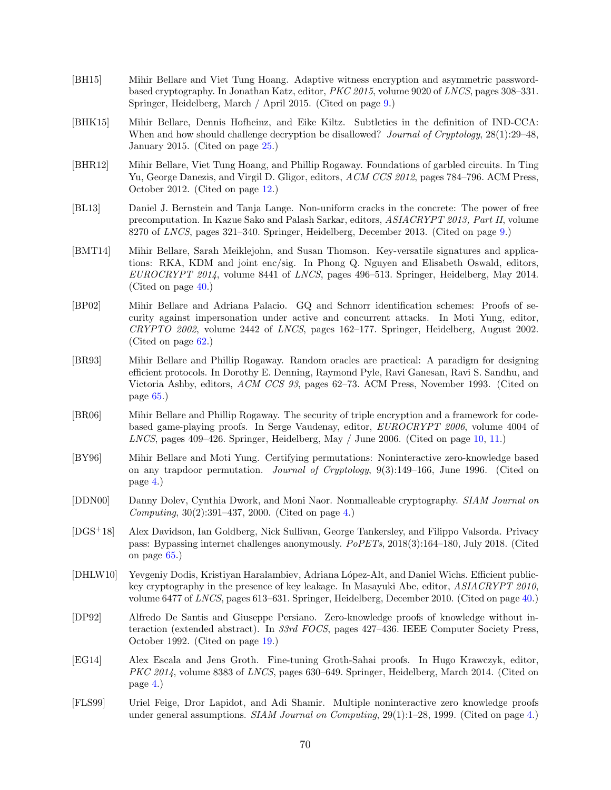- <span id="page-69-5"></span>[BH15] Mihir Bellare and Viet Tung Hoang. Adaptive witness encryption and asymmetric passwordbased cryptography. In Jonathan Katz, editor, PKC 2015, volume 9020 of LNCS, pages 308–331. Springer, Heidelberg, March / April 2015. (Cited on page [9.](#page-8-1))
- <span id="page-69-9"></span>[BHK15] Mihir Bellare, Dennis Hofheinz, and Eike Kiltz. Subtleties in the definition of IND-CCA: When and how should challenge decryption be disallowed? Journal of Cryptology, 28(1):29–48, January 2015. (Cited on page [25.](#page-24-2))
- <span id="page-69-7"></span>[BHR12] Mihir Bellare, Viet Tung Hoang, and Phillip Rogaway. Foundations of garbled circuits. In Ting Yu, George Danezis, and Virgil D. Gligor, editors, ACM CCS 2012, pages 784–796. ACM Press, October 2012. (Cited on page [12.](#page-11-0))
- <span id="page-69-4"></span>[BL13] Daniel J. Bernstein and Tanja Lange. Non-uniform cracks in the concrete: The power of free precomputation. In Kazue Sako and Palash Sarkar, editors, ASIACRYPT 2013, Part II, volume 8270 of LNCS, pages 321–340. Springer, Heidelberg, December 2013. (Cited on page [9.](#page-8-1))
- <span id="page-69-11"></span>[BMT14] Mihir Bellare, Sarah Meiklejohn, and Susan Thomson. Key-versatile signatures and applications: RKA, KDM and joint enc/sig. In Phong Q. Nguyen and Elisabeth Oswald, editors, EUROCRYPT 2014, volume 8441 of LNCS, pages 496–513. Springer, Heidelberg, May 2014. (Cited on page [40.](#page-39-2))
- <span id="page-69-12"></span>[BP02] Mihir Bellare and Adriana Palacio. GQ and Schnorr identification schemes: Proofs of security against impersonation under active and concurrent attacks. In Moti Yung, editor, CRYPTO 2002, volume 2442 of LNCS, pages 162–177. Springer, Heidelberg, August 2002. (Cited on page [62.](#page-61-4))
- <span id="page-69-13"></span>[BR93] Mihir Bellare and Phillip Rogaway. Random oracles are practical: A paradigm for designing efficient protocols. In Dorothy E. Denning, Raymond Pyle, Ravi Ganesan, Ravi S. Sandhu, and Victoria Ashby, editors, ACM CCS 93, pages 62–73. ACM Press, November 1993. (Cited on page [65.](#page-64-2))
- <span id="page-69-6"></span>[BR06] Mihir Bellare and Phillip Rogaway. The security of triple encryption and a framework for codebased game-playing proofs. In Serge Vaudenay, editor, EUROCRYPT 2006, volume 4004 of LNCS, pages 409–426. Springer, Heidelberg, May / June 2006. (Cited on page [10,](#page-9-1) [11.](#page-10-3))
- <span id="page-69-1"></span>[BY96] Mihir Bellare and Moti Yung. Certifying permutations: Noninteractive zero-knowledge based on any trapdoor permutation. Journal of Cryptology, 9(3):149–166, June 1996. (Cited on page [4.](#page-3-2))
- <span id="page-69-2"></span>[DDN00] Danny Dolev, Cynthia Dwork, and Moni Naor. Nonmalleable cryptography. SIAM Journal on *Computing*,  $30(2):391-437, 2000.$  (Cited on page [4.](#page-3-2))
- <span id="page-69-14"></span>[DGS+18] Alex Davidson, Ian Goldberg, Nick Sullivan, George Tankersley, and Filippo Valsorda. Privacy pass: Bypassing internet challenges anonymously. PoPETs, 2018(3):164–180, July 2018. (Cited on page [65.](#page-64-2))
- <span id="page-69-10"></span>[DHLW10] Yevgeniy Dodis, Kristiyan Haralambiev, Adriana López-Alt, and Daniel Wichs. Efficient publickey cryptography in the presence of key leakage. In Masayuki Abe, editor, ASIACRYPT 2010, volume 6477 of LNCS, pages 613–631. Springer, Heidelberg, December 2010. (Cited on page [40.](#page-39-2))
- <span id="page-69-8"></span>[DP92] Alfredo De Santis and Giuseppe Persiano. Zero-knowledge proofs of knowledge without interaction (extended abstract). In 33rd FOCS, pages 427–436. IEEE Computer Society Press, October 1992. (Cited on page [19.](#page-18-1))
- <span id="page-69-3"></span>[EG14] Alex Escala and Jens Groth. Fine-tuning Groth-Sahai proofs. In Hugo Krawczyk, editor, PKC 2014, volume 8383 of LNCS, pages 630–649. Springer, Heidelberg, March 2014. (Cited on page [4.](#page-3-2))
- <span id="page-69-0"></span>[FLS99] Uriel Feige, Dror Lapidot, and Adi Shamir. Multiple noninteractive zero knowledge proofs under general assumptions. *SIAM Journal on Computing*, 29(1):1–28, 1999. (Cited on page [4.](#page-3-2))